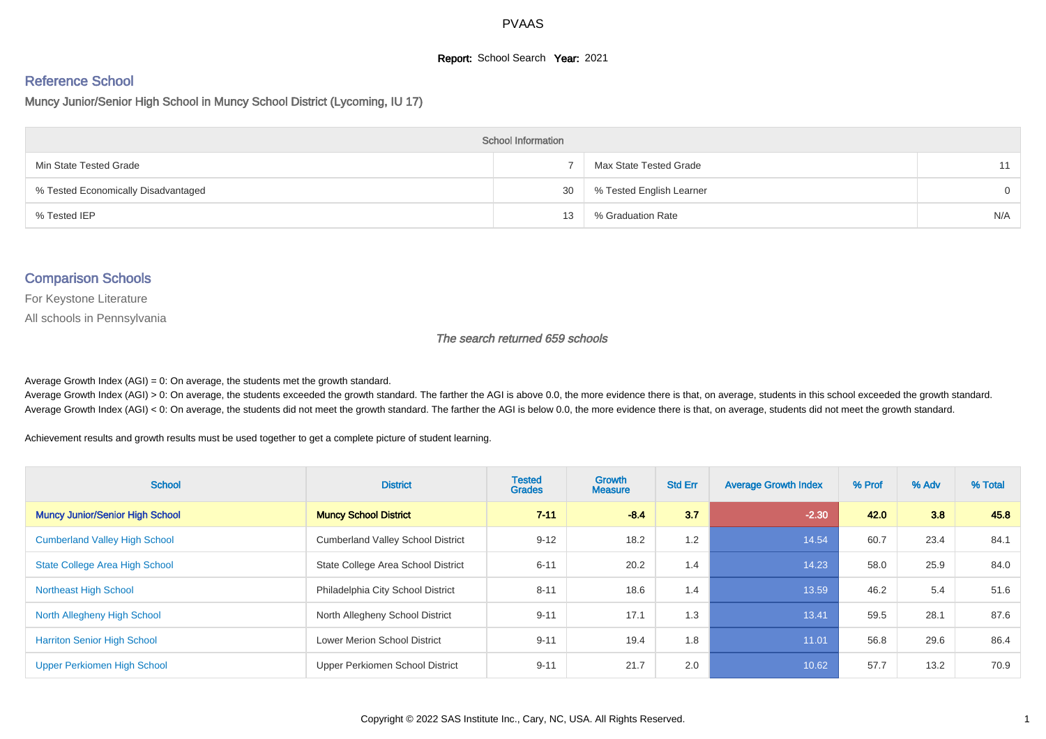## **Report:** School Search **Year:** 2021

# Reference School

Muncy Junior/Senior High School in Muncy School District (Lycoming, IU 17)

| <b>School Information</b>           |    |                          |          |  |  |  |  |  |
|-------------------------------------|----|--------------------------|----------|--|--|--|--|--|
| Min State Tested Grade              |    | Max State Tested Grade   | 11       |  |  |  |  |  |
| % Tested Economically Disadvantaged | 30 | % Tested English Learner | $\Omega$ |  |  |  |  |  |
| % Tested IEP                        | 13 | % Graduation Rate        | N/A      |  |  |  |  |  |

#### Comparison Schools

For Keystone Literature

All schools in Pennsylvania

The search returned 659 schools

Average Growth Index  $(AGI) = 0$ : On average, the students met the growth standard.

Average Growth Index (AGI) > 0: On average, the students exceeded the growth standard. The farther the AGI is above 0.0, the more evidence there is that, on average, students in this school exceeded the growth standard. Average Growth Index (AGI) < 0: On average, the students did not meet the growth standard. The farther the AGI is below 0.0, the more evidence there is that, on average, students did not meet the growth standard.

Achievement results and growth results must be used together to get a complete picture of student learning.

| <b>School</b>                          | <b>District</b>                          | <b>Tested</b><br><b>Grades</b> | <b>Growth</b><br><b>Measure</b> | <b>Std Err</b> | <b>Average Growth Index</b> | % Prof | % Adv | % Total |
|----------------------------------------|------------------------------------------|--------------------------------|---------------------------------|----------------|-----------------------------|--------|-------|---------|
| <b>Muncy Junior/Senior High School</b> | <b>Muncy School District</b>             | $7 - 11$                       | $-8.4$                          | 3.7            | $-2.30$                     | 42.0   | 3.8   | 45.8    |
| <b>Cumberland Valley High School</b>   | <b>Cumberland Valley School District</b> | $9 - 12$                       | 18.2                            | 1.2            | 14.54                       | 60.7   | 23.4  | 84.1    |
| State College Area High School         | State College Area School District       | $6 - 11$                       | 20.2                            | 1.4            | 14.23                       | 58.0   | 25.9  | 84.0    |
| <b>Northeast High School</b>           | Philadelphia City School District        | $8 - 11$                       | 18.6                            | 1.4            | 13.59                       | 46.2   | 5.4   | 51.6    |
| North Allegheny High School            | North Allegheny School District          | $9 - 11$                       | 17.1                            | 1.3            | 13.41                       | 59.5   | 28.1  | 87.6    |
| <b>Harriton Senior High School</b>     | <b>Lower Merion School District</b>      | $9 - 11$                       | 19.4                            | 1.8            | 11.01                       | 56.8   | 29.6  | 86.4    |
| Upper Perkiomen High School            | Upper Perkiomen School District          | $9 - 11$                       | 21.7                            | 2.0            | 10.62                       | 57.7   | 13.2  | 70.9    |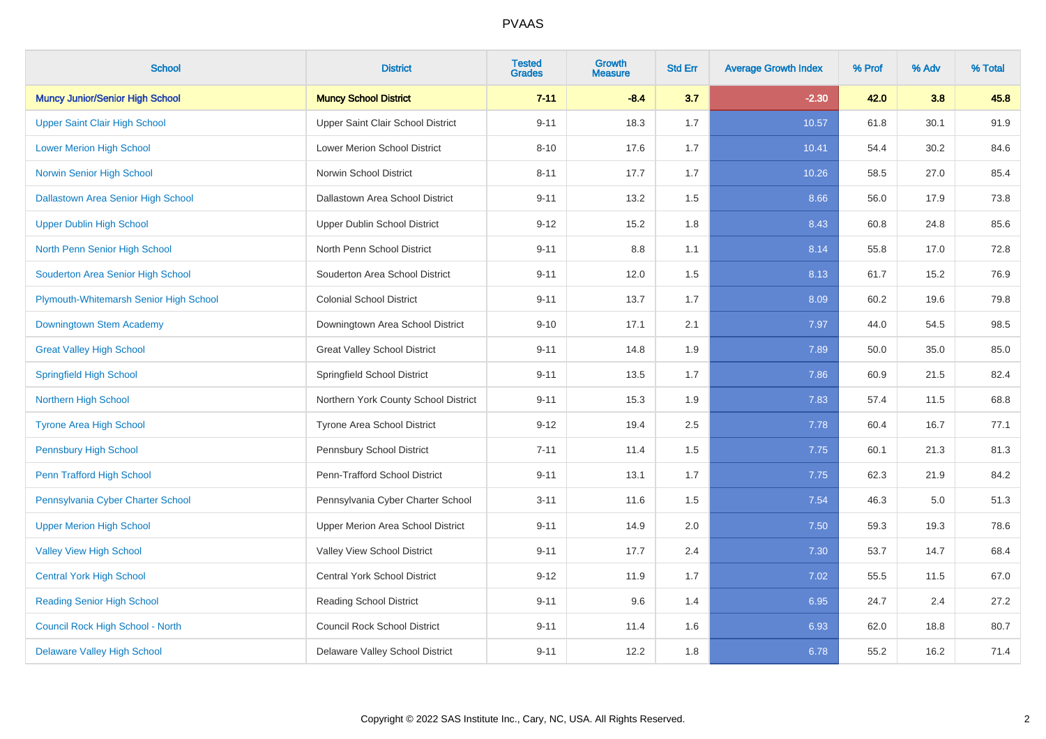| <b>School</b>                             | <b>District</b>                      | <b>Tested</b><br><b>Grades</b> | <b>Growth</b><br><b>Measure</b> | <b>Std Err</b> | <b>Average Growth Index</b> | % Prof | % Adv | % Total |
|-------------------------------------------|--------------------------------------|--------------------------------|---------------------------------|----------------|-----------------------------|--------|-------|---------|
| <b>Muncy Junior/Senior High School</b>    | <b>Muncy School District</b>         | $7 - 11$                       | $-8.4$                          | 3.7            | $-2.30$                     | 42.0   | 3.8   | 45.8    |
| <b>Upper Saint Clair High School</b>      | Upper Saint Clair School District    | $9 - 11$                       | 18.3                            | 1.7            | 10.57                       | 61.8   | 30.1  | 91.9    |
| <b>Lower Merion High School</b>           | Lower Merion School District         | $8 - 10$                       | 17.6                            | 1.7            | 10.41                       | 54.4   | 30.2  | 84.6    |
| <b>Norwin Senior High School</b>          | Norwin School District               | $8 - 11$                       | 17.7                            | 1.7            | 10.26                       | 58.5   | 27.0  | 85.4    |
| <b>Dallastown Area Senior High School</b> | Dallastown Area School District      | $9 - 11$                       | 13.2                            | 1.5            | 8.66                        | 56.0   | 17.9  | 73.8    |
| <b>Upper Dublin High School</b>           | <b>Upper Dublin School District</b>  | $9 - 12$                       | 15.2                            | 1.8            | 8.43                        | 60.8   | 24.8  | 85.6    |
| North Penn Senior High School             | North Penn School District           | $9 - 11$                       | 8.8                             | 1.1            | 8.14                        | 55.8   | 17.0  | 72.8    |
| Souderton Area Senior High School         | Souderton Area School District       | $9 - 11$                       | 12.0                            | 1.5            | 8.13                        | 61.7   | 15.2  | 76.9    |
| Plymouth-Whitemarsh Senior High School    | <b>Colonial School District</b>      | $9 - 11$                       | 13.7                            | 1.7            | 8.09                        | 60.2   | 19.6  | 79.8    |
| Downingtown Stem Academy                  | Downingtown Area School District     | $9 - 10$                       | 17.1                            | 2.1            | 7.97                        | 44.0   | 54.5  | 98.5    |
| <b>Great Valley High School</b>           | <b>Great Valley School District</b>  | $9 - 11$                       | 14.8                            | 1.9            | 7.89                        | 50.0   | 35.0  | 85.0    |
| <b>Springfield High School</b>            | Springfield School District          | $9 - 11$                       | 13.5                            | 1.7            | 7.86                        | 60.9   | 21.5  | 82.4    |
| <b>Northern High School</b>               | Northern York County School District | $9 - 11$                       | 15.3                            | 1.9            | 7.83                        | 57.4   | 11.5  | 68.8    |
| <b>Tyrone Area High School</b>            | Tyrone Area School District          | $9 - 12$                       | 19.4                            | 2.5            | 7.78                        | 60.4   | 16.7  | 77.1    |
| <b>Pennsbury High School</b>              | Pennsbury School District            | $7 - 11$                       | 11.4                            | 1.5            | 7.75                        | 60.1   | 21.3  | 81.3    |
| Penn Trafford High School                 | Penn-Trafford School District        | $9 - 11$                       | 13.1                            | 1.7            | 7.75                        | 62.3   | 21.9  | 84.2    |
| Pennsylvania Cyber Charter School         | Pennsylvania Cyber Charter School    | $3 - 11$                       | 11.6                            | 1.5            | 7.54                        | 46.3   | 5.0   | 51.3    |
| <b>Upper Merion High School</b>           | Upper Merion Area School District    | $9 - 11$                       | 14.9                            | 2.0            | 7.50                        | 59.3   | 19.3  | 78.6    |
| <b>Valley View High School</b>            | Valley View School District          | $9 - 11$                       | 17.7                            | 2.4            | 7.30                        | 53.7   | 14.7  | 68.4    |
| <b>Central York High School</b>           | <b>Central York School District</b>  | $9 - 12$                       | 11.9                            | 1.7            | 7.02                        | 55.5   | 11.5  | 67.0    |
| <b>Reading Senior High School</b>         | <b>Reading School District</b>       | $9 - 11$                       | 9.6                             | 1.4            | 6.95                        | 24.7   | 2.4   | 27.2    |
| Council Rock High School - North          | <b>Council Rock School District</b>  | $9 - 11$                       | 11.4                            | 1.6            | 6.93                        | 62.0   | 18.8  | 80.7    |
| <b>Delaware Valley High School</b>        | Delaware Valley School District      | $9 - 11$                       | 12.2                            | 1.8            | 6.78                        | 55.2   | 16.2  | 71.4    |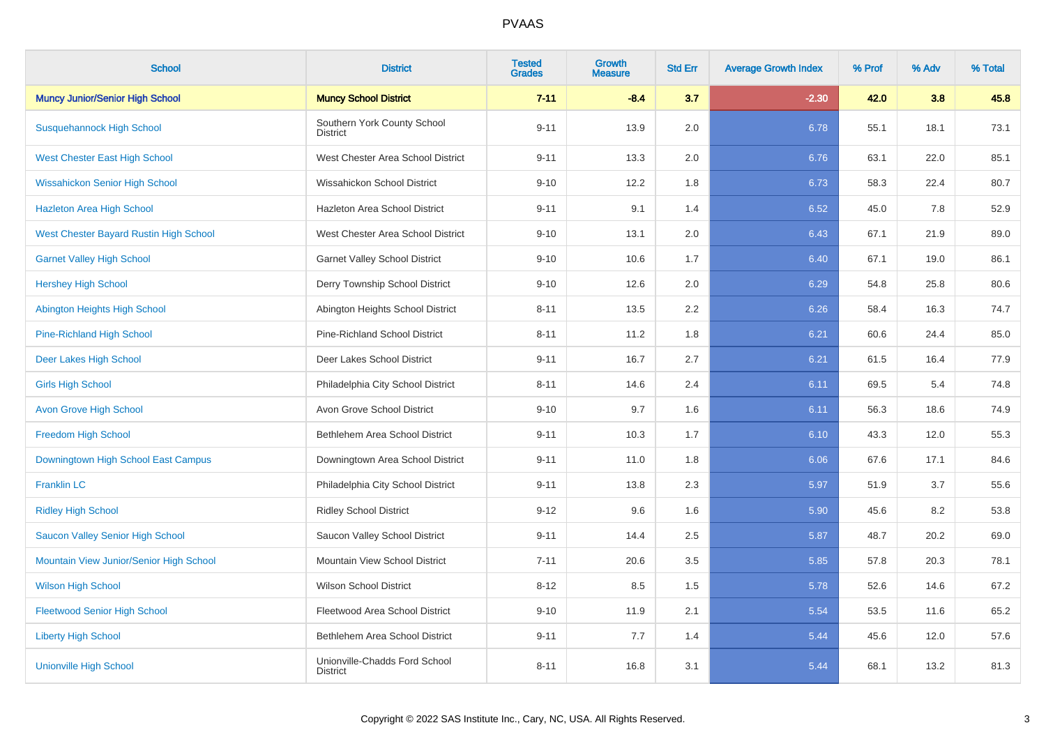| <b>School</b>                           | <b>District</b>                                  | <b>Tested</b><br><b>Grades</b> | Growth<br><b>Measure</b> | <b>Std Err</b> | <b>Average Growth Index</b> | % Prof | % Adv | % Total |
|-----------------------------------------|--------------------------------------------------|--------------------------------|--------------------------|----------------|-----------------------------|--------|-------|---------|
| <b>Muncy Junior/Senior High School</b>  | <b>Muncy School District</b>                     | $7 - 11$                       | $-8.4$                   | 3.7            | $-2.30$                     | 42.0   | 3.8   | 45.8    |
| <b>Susquehannock High School</b>        | Southern York County School<br><b>District</b>   | $9 - 11$                       | 13.9                     | 2.0            | 6.78                        | 55.1   | 18.1  | 73.1    |
| <b>West Chester East High School</b>    | West Chester Area School District                | $9 - 11$                       | 13.3                     | 2.0            | 6.76                        | 63.1   | 22.0  | 85.1    |
| <b>Wissahickon Senior High School</b>   | Wissahickon School District                      | $9 - 10$                       | 12.2                     | 1.8            | 6.73                        | 58.3   | 22.4  | 80.7    |
| <b>Hazleton Area High School</b>        | Hazleton Area School District                    | $9 - 11$                       | 9.1                      | 1.4            | 6.52                        | 45.0   | 7.8   | 52.9    |
| West Chester Bayard Rustin High School  | West Chester Area School District                | $9 - 10$                       | 13.1                     | 2.0            | 6.43                        | 67.1   | 21.9  | 89.0    |
| <b>Garnet Valley High School</b>        | <b>Garnet Valley School District</b>             | $9 - 10$                       | 10.6                     | 1.7            | 6.40                        | 67.1   | 19.0  | 86.1    |
| <b>Hershey High School</b>              | Derry Township School District                   | $9 - 10$                       | 12.6                     | 2.0            | 6.29                        | 54.8   | 25.8  | 80.6    |
| Abington Heights High School            | Abington Heights School District                 | $8 - 11$                       | 13.5                     | 2.2            | 6.26                        | 58.4   | 16.3  | 74.7    |
| <b>Pine-Richland High School</b>        | Pine-Richland School District                    | $8 - 11$                       | 11.2                     | 1.8            | 6.21                        | 60.6   | 24.4  | 85.0    |
| Deer Lakes High School                  | Deer Lakes School District                       | $9 - 11$                       | 16.7                     | 2.7            | 6.21                        | 61.5   | 16.4  | 77.9    |
| <b>Girls High School</b>                | Philadelphia City School District                | $8 - 11$                       | 14.6                     | 2.4            | 6.11                        | 69.5   | 5.4   | 74.8    |
| <b>Avon Grove High School</b>           | Avon Grove School District                       | $9 - 10$                       | 9.7                      | 1.6            | 6.11                        | 56.3   | 18.6  | 74.9    |
| <b>Freedom High School</b>              | Bethlehem Area School District                   | $9 - 11$                       | 10.3                     | 1.7            | 6.10                        | 43.3   | 12.0  | 55.3    |
| Downingtown High School East Campus     | Downingtown Area School District                 | $9 - 11$                       | 11.0                     | 1.8            | 6.06                        | 67.6   | 17.1  | 84.6    |
| <b>Franklin LC</b>                      | Philadelphia City School District                | $9 - 11$                       | 13.8                     | 2.3            | 5.97                        | 51.9   | 3.7   | 55.6    |
| <b>Ridley High School</b>               | <b>Ridley School District</b>                    | $9 - 12$                       | 9.6                      | 1.6            | 5.90                        | 45.6   | 8.2   | 53.8    |
| Saucon Valley Senior High School        | Saucon Valley School District                    | $9 - 11$                       | 14.4                     | 2.5            | 5.87                        | 48.7   | 20.2  | 69.0    |
| Mountain View Junior/Senior High School | Mountain View School District                    | $7 - 11$                       | 20.6                     | 3.5            | 5.85                        | 57.8   | 20.3  | 78.1    |
| <b>Wilson High School</b>               | <b>Wilson School District</b>                    | $8 - 12$                       | 8.5                      | 1.5            | 5.78                        | 52.6   | 14.6  | 67.2    |
| <b>Fleetwood Senior High School</b>     | Fleetwood Area School District                   | $9 - 10$                       | 11.9                     | 2.1            | 5.54                        | 53.5   | 11.6  | 65.2    |
| <b>Liberty High School</b>              | Bethlehem Area School District                   | $9 - 11$                       | 7.7                      | 1.4            | 5.44                        | 45.6   | 12.0  | 57.6    |
| <b>Unionville High School</b>           | Unionville-Chadds Ford School<br><b>District</b> | $8 - 11$                       | 16.8                     | 3.1            | 5.44                        | 68.1   | 13.2  | 81.3    |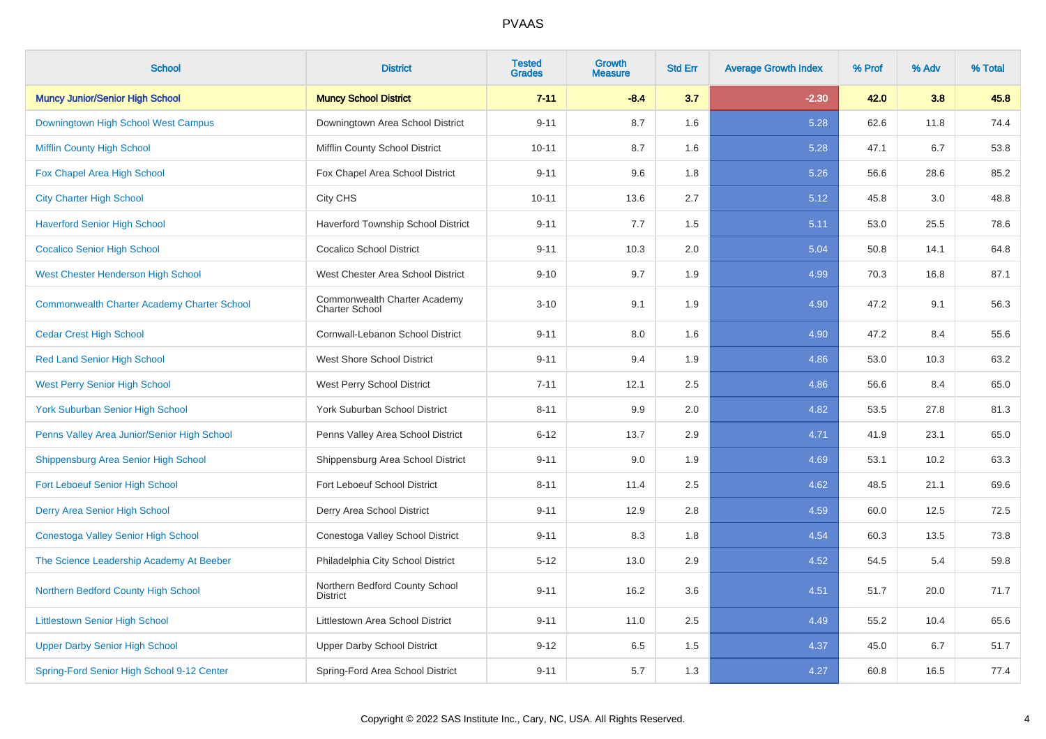| <b>School</b>                                      | <b>District</b>                                       | <b>Tested</b><br><b>Grades</b> | Growth<br><b>Measure</b> | <b>Std Err</b> | <b>Average Growth Index</b> | % Prof | % Adv | % Total |
|----------------------------------------------------|-------------------------------------------------------|--------------------------------|--------------------------|----------------|-----------------------------|--------|-------|---------|
| <b>Muncy Junior/Senior High School</b>             | <b>Muncy School District</b>                          | $7 - 11$                       | $-8.4$                   | 3.7            | $-2.30$                     | 42.0   | 3.8   | 45.8    |
| Downingtown High School West Campus                | Downingtown Area School District                      | $9 - 11$                       | 8.7                      | 1.6            | 5.28                        | 62.6   | 11.8  | 74.4    |
| <b>Mifflin County High School</b>                  | Mifflin County School District                        | $10 - 11$                      | 8.7                      | 1.6            | 5.28                        | 47.1   | 6.7   | 53.8    |
| Fox Chapel Area High School                        | Fox Chapel Area School District                       | $9 - 11$                       | 9.6                      | 1.8            | 5.26                        | 56.6   | 28.6  | 85.2    |
| <b>City Charter High School</b>                    | City CHS                                              | $10 - 11$                      | 13.6                     | 2.7            | 5.12                        | 45.8   | 3.0   | 48.8    |
| <b>Haverford Senior High School</b>                | Haverford Township School District                    | $9 - 11$                       | 7.7                      | 1.5            | 5.11                        | 53.0   | 25.5  | 78.6    |
| <b>Cocalico Senior High School</b>                 | <b>Cocalico School District</b>                       | $9 - 11$                       | 10.3                     | 2.0            | 5.04                        | 50.8   | 14.1  | 64.8    |
| <b>West Chester Henderson High School</b>          | West Chester Area School District                     | $9 - 10$                       | 9.7                      | 1.9            | 4.99                        | 70.3   | 16.8  | 87.1    |
| <b>Commonwealth Charter Academy Charter School</b> | Commonwealth Charter Academy<br><b>Charter School</b> | $3 - 10$                       | 9.1                      | 1.9            | 4.90                        | 47.2   | 9.1   | 56.3    |
| <b>Cedar Crest High School</b>                     | Cornwall-Lebanon School District                      | $9 - 11$                       | 8.0                      | 1.6            | 4.90                        | 47.2   | 8.4   | 55.6    |
| <b>Red Land Senior High School</b>                 | West Shore School District                            | $9 - 11$                       | 9.4                      | 1.9            | 4.86                        | 53.0   | 10.3  | 63.2    |
| <b>West Perry Senior High School</b>               | West Perry School District                            | $7 - 11$                       | 12.1                     | 2.5            | 4.86                        | 56.6   | 8.4   | 65.0    |
| <b>York Suburban Senior High School</b>            | York Suburban School District                         | $8 - 11$                       | 9.9                      | 2.0            | 4.82                        | 53.5   | 27.8  | 81.3    |
| Penns Valley Area Junior/Senior High School        | Penns Valley Area School District                     | $6 - 12$                       | 13.7                     | 2.9            | 4.71                        | 41.9   | 23.1  | 65.0    |
| Shippensburg Area Senior High School               | Shippensburg Area School District                     | $9 - 11$                       | 9.0                      | 1.9            | 4.69                        | 53.1   | 10.2  | 63.3    |
| <b>Fort Leboeuf Senior High School</b>             | Fort Leboeuf School District                          | $8 - 11$                       | 11.4                     | 2.5            | 4.62                        | 48.5   | 21.1  | 69.6    |
| Derry Area Senior High School                      | Derry Area School District                            | $9 - 11$                       | 12.9                     | 2.8            | 4.59                        | 60.0   | 12.5  | 72.5    |
| Conestoga Valley Senior High School                | Conestoga Valley School District                      | $9 - 11$                       | 8.3                      | 1.8            | 4.54                        | 60.3   | 13.5  | 73.8    |
| The Science Leadership Academy At Beeber           | Philadelphia City School District                     | $5 - 12$                       | 13.0                     | 2.9            | 4.52                        | 54.5   | 5.4   | 59.8    |
| Northern Bedford County High School                | Northern Bedford County School<br><b>District</b>     | $9 - 11$                       | 16.2                     | 3.6            | 4.51                        | 51.7   | 20.0  | 71.7    |
| <b>Littlestown Senior High School</b>              | Littlestown Area School District                      | $9 - 11$                       | 11.0                     | 2.5            | 4.49                        | 55.2   | 10.4  | 65.6    |
| <b>Upper Darby Senior High School</b>              | <b>Upper Darby School District</b>                    | $9 - 12$                       | 6.5                      | 1.5            | 4.37                        | 45.0   | 6.7   | 51.7    |
| Spring-Ford Senior High School 9-12 Center         | Spring-Ford Area School District                      | $9 - 11$                       | 5.7                      | 1.3            | 4.27                        | 60.8   | 16.5  | 77.4    |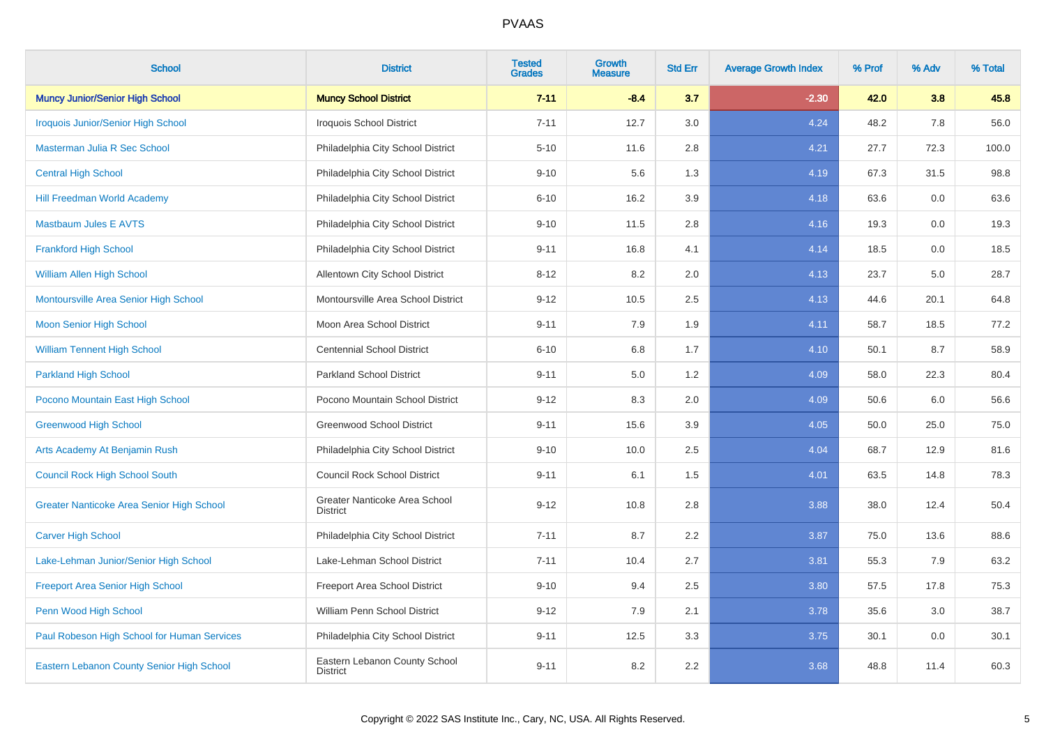| <b>School</b>                                    | <b>District</b>                                  | <b>Tested</b><br><b>Grades</b> | <b>Growth</b><br><b>Measure</b> | <b>Std Err</b> | <b>Average Growth Index</b> | % Prof | % Adv | % Total |
|--------------------------------------------------|--------------------------------------------------|--------------------------------|---------------------------------|----------------|-----------------------------|--------|-------|---------|
| <b>Muncy Junior/Senior High School</b>           | <b>Muncy School District</b>                     | $7 - 11$                       | $-8.4$                          | 3.7            | $-2.30$                     | 42.0   | 3.8   | 45.8    |
| <b>Iroquois Junior/Senior High School</b>        | Iroquois School District                         | $7 - 11$                       | 12.7                            | 3.0            | 4.24                        | 48.2   | 7.8   | 56.0    |
| Masterman Julia R Sec School                     | Philadelphia City School District                | $5 - 10$                       | 11.6                            | 2.8            | 4.21                        | 27.7   | 72.3  | 100.0   |
| <b>Central High School</b>                       | Philadelphia City School District                | $9 - 10$                       | 5.6                             | 1.3            | 4.19                        | 67.3   | 31.5  | 98.8    |
| <b>Hill Freedman World Academy</b>               | Philadelphia City School District                | $6 - 10$                       | 16.2                            | 3.9            | 4.18                        | 63.6   | 0.0   | 63.6    |
| <b>Mastbaum Jules E AVTS</b>                     | Philadelphia City School District                | $9 - 10$                       | 11.5                            | 2.8            | 4.16                        | 19.3   | 0.0   | 19.3    |
| <b>Frankford High School</b>                     | Philadelphia City School District                | $9 - 11$                       | 16.8                            | 4.1            | 4.14                        | 18.5   | 0.0   | 18.5    |
| <b>William Allen High School</b>                 | Allentown City School District                   | $8 - 12$                       | 8.2                             | 2.0            | 4.13                        | 23.7   | 5.0   | 28.7    |
| Montoursville Area Senior High School            | Montoursville Area School District               | $9 - 12$                       | 10.5                            | 2.5            | 4.13                        | 44.6   | 20.1  | 64.8    |
| <b>Moon Senior High School</b>                   | Moon Area School District                        | $9 - 11$                       | 7.9                             | 1.9            | 4.11                        | 58.7   | 18.5  | 77.2    |
| <b>William Tennent High School</b>               | <b>Centennial School District</b>                | $6 - 10$                       | 6.8                             | 1.7            | 4.10                        | 50.1   | 8.7   | 58.9    |
| <b>Parkland High School</b>                      | <b>Parkland School District</b>                  | $9 - 11$                       | 5.0                             | 1.2            | 4.09                        | 58.0   | 22.3  | 80.4    |
| Pocono Mountain East High School                 | Pocono Mountain School District                  | $9 - 12$                       | 8.3                             | 2.0            | 4.09                        | 50.6   | 6.0   | 56.6    |
| <b>Greenwood High School</b>                     | <b>Greenwood School District</b>                 | $9 - 11$                       | 15.6                            | 3.9            | 4.05                        | 50.0   | 25.0  | 75.0    |
| Arts Academy At Benjamin Rush                    | Philadelphia City School District                | $9 - 10$                       | 10.0                            | 2.5            | 4.04                        | 68.7   | 12.9  | 81.6    |
| <b>Council Rock High School South</b>            | <b>Council Rock School District</b>              | $9 - 11$                       | 6.1                             | 1.5            | 4.01                        | 63.5   | 14.8  | 78.3    |
| <b>Greater Nanticoke Area Senior High School</b> | Greater Nanticoke Area School<br><b>District</b> | $9 - 12$                       | 10.8                            | 2.8            | 3.88                        | 38.0   | 12.4  | 50.4    |
| <b>Carver High School</b>                        | Philadelphia City School District                | $7 - 11$                       | 8.7                             | 2.2            | 3.87                        | 75.0   | 13.6  | 88.6    |
| Lake-Lehman Junior/Senior High School            | Lake-Lehman School District                      | $7 - 11$                       | 10.4                            | 2.7            | 3.81                        | 55.3   | 7.9   | 63.2    |
| <b>Freeport Area Senior High School</b>          | Freeport Area School District                    | $9 - 10$                       | 9.4                             | 2.5            | 3.80                        | 57.5   | 17.8  | 75.3    |
| Penn Wood High School                            | William Penn School District                     | $9 - 12$                       | 7.9                             | 2.1            | 3.78                        | 35.6   | 3.0   | 38.7    |
| Paul Robeson High School for Human Services      | Philadelphia City School District                | $9 - 11$                       | 12.5                            | 3.3            | 3.75                        | 30.1   | 0.0   | 30.1    |
| Eastern Lebanon County Senior High School        | Eastern Lebanon County School<br><b>District</b> | $9 - 11$                       | 8.2                             | 2.2            | 3.68                        | 48.8   | 11.4  | 60.3    |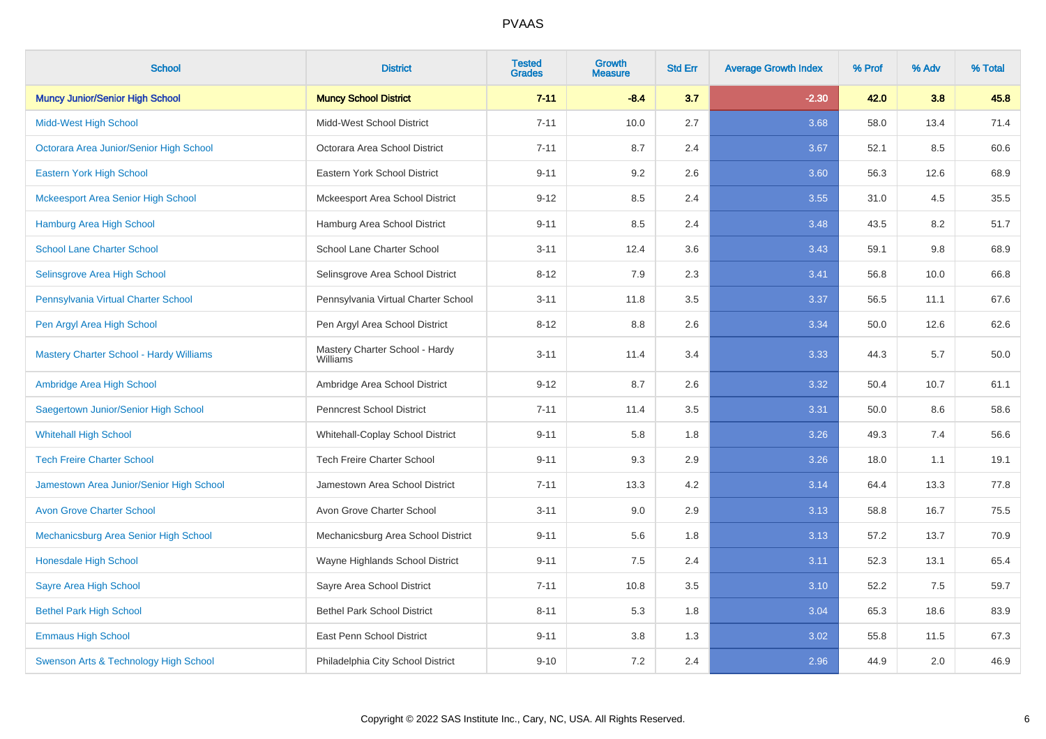| <b>School</b>                                  | <b>District</b>                            | <b>Tested</b><br><b>Grades</b> | Growth<br><b>Measure</b> | <b>Std Err</b> | <b>Average Growth Index</b> | % Prof | % Adv | % Total |
|------------------------------------------------|--------------------------------------------|--------------------------------|--------------------------|----------------|-----------------------------|--------|-------|---------|
| <b>Muncy Junior/Senior High School</b>         | <b>Muncy School District</b>               | $7 - 11$                       | $-8.4$                   | 3.7            | $-2.30$                     | 42.0   | 3.8   | 45.8    |
| <b>Midd-West High School</b>                   | Midd-West School District                  | $7 - 11$                       | 10.0                     | 2.7            | 3.68                        | 58.0   | 13.4  | 71.4    |
| Octorara Area Junior/Senior High School        | Octorara Area School District              | $7 - 11$                       | 8.7                      | 2.4            | 3.67                        | 52.1   | 8.5   | 60.6    |
| Eastern York High School                       | Eastern York School District               | $9 - 11$                       | 9.2                      | 2.6            | 3.60                        | 56.3   | 12.6  | 68.9    |
| <b>Mckeesport Area Senior High School</b>      | Mckeesport Area School District            | $9 - 12$                       | 8.5                      | 2.4            | 3.55                        | 31.0   | 4.5   | 35.5    |
| Hamburg Area High School                       | Hamburg Area School District               | $9 - 11$                       | 8.5                      | 2.4            | 3.48                        | 43.5   | 8.2   | 51.7    |
| <b>School Lane Charter School</b>              | School Lane Charter School                 | $3 - 11$                       | 12.4                     | 3.6            | 3.43                        | 59.1   | 9.8   | 68.9    |
| Selinsgrove Area High School                   | Selinsgrove Area School District           | $8 - 12$                       | 7.9                      | 2.3            | 3.41                        | 56.8   | 10.0  | 66.8    |
| Pennsylvania Virtual Charter School            | Pennsylvania Virtual Charter School        | $3 - 11$                       | 11.8                     | 3.5            | 3.37                        | 56.5   | 11.1  | 67.6    |
| Pen Argyl Area High School                     | Pen Argyl Area School District             | $8 - 12$                       | 8.8                      | 2.6            | 3.34                        | 50.0   | 12.6  | 62.6    |
| <b>Mastery Charter School - Hardy Williams</b> | Mastery Charter School - Hardy<br>Williams | $3 - 11$                       | 11.4                     | 3.4            | 3.33                        | 44.3   | 5.7   | 50.0    |
| Ambridge Area High School                      | Ambridge Area School District              | $9 - 12$                       | 8.7                      | 2.6            | 3.32                        | 50.4   | 10.7  | 61.1    |
| Saegertown Junior/Senior High School           | <b>Penncrest School District</b>           | $7 - 11$                       | 11.4                     | 3.5            | 3.31                        | 50.0   | 8.6   | 58.6    |
| <b>Whitehall High School</b>                   | Whitehall-Coplay School District           | $9 - 11$                       | 5.8                      | 1.8            | 3.26                        | 49.3   | 7.4   | 56.6    |
| <b>Tech Freire Charter School</b>              | <b>Tech Freire Charter School</b>          | $9 - 11$                       | 9.3                      | 2.9            | 3.26                        | 18.0   | 1.1   | 19.1    |
| Jamestown Area Junior/Senior High School       | Jamestown Area School District             | $7 - 11$                       | 13.3                     | 4.2            | 3.14                        | 64.4   | 13.3  | 77.8    |
| <b>Avon Grove Charter School</b>               | Avon Grove Charter School                  | $3 - 11$                       | 9.0                      | 2.9            | 3.13                        | 58.8   | 16.7  | 75.5    |
| Mechanicsburg Area Senior High School          | Mechanicsburg Area School District         | $9 - 11$                       | 5.6                      | 1.8            | 3.13                        | 57.2   | 13.7  | 70.9    |
| Honesdale High School                          | Wayne Highlands School District            | $9 - 11$                       | $7.5\,$                  | 2.4            | 3.11                        | 52.3   | 13.1  | 65.4    |
| Sayre Area High School                         | Sayre Area School District                 | $7 - 11$                       | 10.8                     | 3.5            | 3.10                        | 52.2   | 7.5   | 59.7    |
| <b>Bethel Park High School</b>                 | <b>Bethel Park School District</b>         | $8 - 11$                       | 5.3                      | 1.8            | 3.04                        | 65.3   | 18.6  | 83.9    |
| <b>Emmaus High School</b>                      | East Penn School District                  | $9 - 11$                       | 3.8                      | 1.3            | 3.02                        | 55.8   | 11.5  | 67.3    |
| Swenson Arts & Technology High School          | Philadelphia City School District          | $9 - 10$                       | 7.2                      | 2.4            | 2.96                        | 44.9   | 2.0   | 46.9    |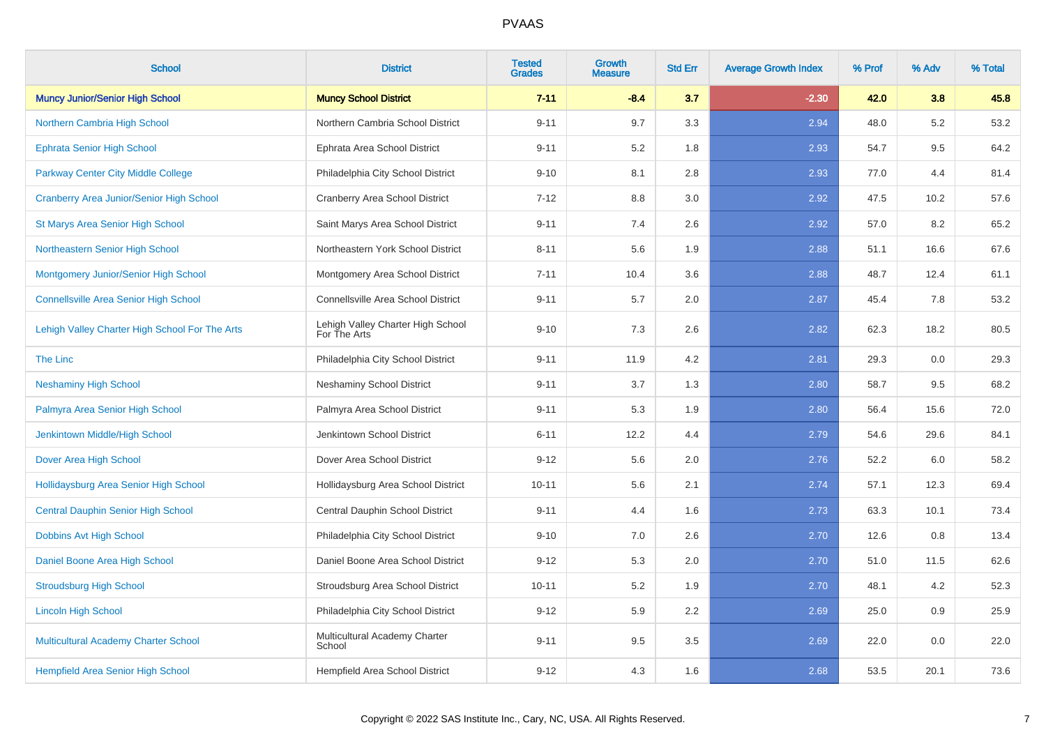| <b>School</b>                                   | <b>District</b>                                   | <b>Tested</b><br><b>Grades</b> | <b>Growth</b><br><b>Measure</b> | <b>Std Err</b> | <b>Average Growth Index</b> | % Prof | % Adv | % Total |
|-------------------------------------------------|---------------------------------------------------|--------------------------------|---------------------------------|----------------|-----------------------------|--------|-------|---------|
| <b>Muncy Junior/Senior High School</b>          | <b>Muncy School District</b>                      | $7 - 11$                       | $-8.4$                          | 3.7            | $-2.30$                     | 42.0   | 3.8   | 45.8    |
| Northern Cambria High School                    | Northern Cambria School District                  | $9 - 11$                       | 9.7                             | 3.3            | 2.94                        | 48.0   | 5.2   | 53.2    |
| <b>Ephrata Senior High School</b>               | Ephrata Area School District                      | $9 - 11$                       | 5.2                             | 1.8            | 2.93                        | 54.7   | 9.5   | 64.2    |
| Parkway Center City Middle College              | Philadelphia City School District                 | $9 - 10$                       | 8.1                             | 2.8            | 2.93                        | 77.0   | 4.4   | 81.4    |
| <b>Cranberry Area Junior/Senior High School</b> | <b>Cranberry Area School District</b>             | $7 - 12$                       | 8.8                             | 3.0            | 2.92                        | 47.5   | 10.2  | 57.6    |
| <b>St Marys Area Senior High School</b>         | Saint Marys Area School District                  | $9 - 11$                       | 7.4                             | 2.6            | 2.92                        | 57.0   | 8.2   | 65.2    |
| Northeastern Senior High School                 | Northeastern York School District                 | $8 - 11$                       | 5.6                             | 1.9            | 2.88                        | 51.1   | 16.6  | 67.6    |
| Montgomery Junior/Senior High School            | Montgomery Area School District                   | $7 - 11$                       | 10.4                            | 3.6            | 2.88                        | 48.7   | 12.4  | 61.1    |
| <b>Connellsville Area Senior High School</b>    | Connellsville Area School District                | $9 - 11$                       | 5.7                             | 2.0            | 2.87                        | 45.4   | 7.8   | 53.2    |
| Lehigh Valley Charter High School For The Arts  | Lehigh Valley Charter High School<br>For The Arts | $9 - 10$                       | 7.3                             | 2.6            | 2.82                        | 62.3   | 18.2  | 80.5    |
| The Linc                                        | Philadelphia City School District                 | $9 - 11$                       | 11.9                            | 4.2            | 2.81                        | 29.3   | 0.0   | 29.3    |
| <b>Neshaminy High School</b>                    | <b>Neshaminy School District</b>                  | $9 - 11$                       | 3.7                             | 1.3            | 2.80                        | 58.7   | 9.5   | 68.2    |
| Palmyra Area Senior High School                 | Palmyra Area School District                      | $9 - 11$                       | 5.3                             | 1.9            | 2.80                        | 56.4   | 15.6  | 72.0    |
| Jenkintown Middle/High School                   | Jenkintown School District                        | $6 - 11$                       | 12.2                            | 4.4            | 2.79                        | 54.6   | 29.6  | 84.1    |
| Dover Area High School                          | Dover Area School District                        | $9 - 12$                       | 5.6                             | 2.0            | 2.76                        | 52.2   | 6.0   | 58.2    |
| Hollidaysburg Area Senior High School           | Hollidaysburg Area School District                | $10 - 11$                      | 5.6                             | 2.1            | 2.74                        | 57.1   | 12.3  | 69.4    |
| <b>Central Dauphin Senior High School</b>       | Central Dauphin School District                   | $9 - 11$                       | 4.4                             | 1.6            | 2.73                        | 63.3   | 10.1  | 73.4    |
| Dobbins Avt High School                         | Philadelphia City School District                 | $9 - 10$                       | 7.0                             | 2.6            | 2.70                        | 12.6   | 0.8   | 13.4    |
| Daniel Boone Area High School                   | Daniel Boone Area School District                 | $9 - 12$                       | 5.3                             | $2.0\,$        | 2.70                        | 51.0   | 11.5  | 62.6    |
| <b>Stroudsburg High School</b>                  | Stroudsburg Area School District                  | $10 - 11$                      | 5.2                             | 1.9            | 2.70                        | 48.1   | 4.2   | 52.3    |
| <b>Lincoln High School</b>                      | Philadelphia City School District                 | $9 - 12$                       | 5.9                             | 2.2            | 2.69                        | 25.0   | 0.9   | 25.9    |
| Multicultural Academy Charter School            | Multicultural Academy Charter<br>School           | $9 - 11$                       | 9.5                             | 3.5            | 2.69                        | 22.0   | 0.0   | 22.0    |
| <b>Hempfield Area Senior High School</b>        | Hempfield Area School District                    | $9 - 12$                       | 4.3                             | 1.6            | 2.68                        | 53.5   | 20.1  | 73.6    |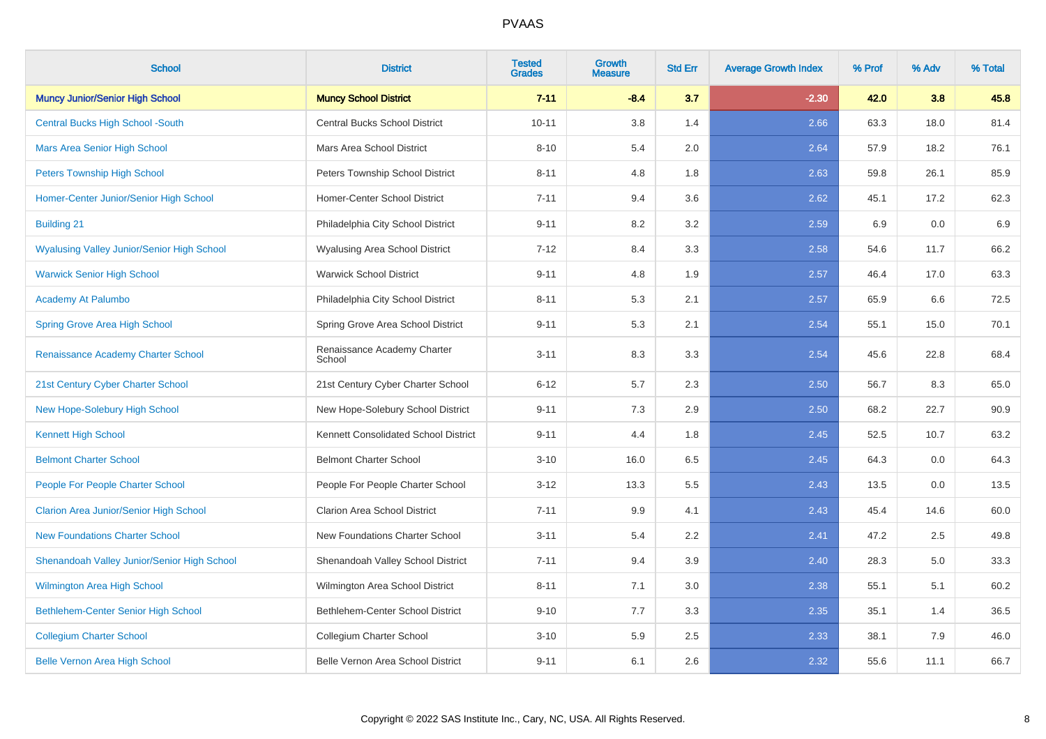| <b>School</b>                                     | <b>District</b>                       | <b>Tested</b><br><b>Grades</b> | <b>Growth</b><br><b>Measure</b> | <b>Std Err</b> | <b>Average Growth Index</b> | % Prof | % Adv | % Total |
|---------------------------------------------------|---------------------------------------|--------------------------------|---------------------------------|----------------|-----------------------------|--------|-------|---------|
| <b>Muncy Junior/Senior High School</b>            | <b>Muncy School District</b>          | $7 - 11$                       | $-8.4$                          | 3.7            | $-2.30$                     | 42.0   | 3.8   | 45.8    |
| <b>Central Bucks High School -South</b>           | <b>Central Bucks School District</b>  | $10 - 11$                      | 3.8                             | 1.4            | 2.66                        | 63.3   | 18.0  | 81.4    |
| <b>Mars Area Senior High School</b>               | Mars Area School District             | $8 - 10$                       | 5.4                             | 2.0            | 2.64                        | 57.9   | 18.2  | 76.1    |
| <b>Peters Township High School</b>                | Peters Township School District       | $8 - 11$                       | 4.8                             | 1.8            | 2.63                        | 59.8   | 26.1  | 85.9    |
| Homer-Center Junior/Senior High School            | Homer-Center School District          | $7 - 11$                       | 9.4                             | 3.6            | 2.62                        | 45.1   | 17.2  | 62.3    |
| <b>Building 21</b>                                | Philadelphia City School District     | $9 - 11$                       | 8.2                             | 3.2            | 2.59                        | 6.9    | 0.0   | 6.9     |
| <b>Wyalusing Valley Junior/Senior High School</b> | Wyalusing Area School District        | $7-12$                         | 8.4                             | 3.3            | 2.58                        | 54.6   | 11.7  | 66.2    |
| <b>Warwick Senior High School</b>                 | <b>Warwick School District</b>        | $9 - 11$                       | 4.8                             | 1.9            | 2.57                        | 46.4   | 17.0  | 63.3    |
| <b>Academy At Palumbo</b>                         | Philadelphia City School District     | $8 - 11$                       | 5.3                             | 2.1            | 2.57                        | 65.9   | 6.6   | 72.5    |
| <b>Spring Grove Area High School</b>              | Spring Grove Area School District     | $9 - 11$                       | 5.3                             | 2.1            | 2.54                        | 55.1   | 15.0  | 70.1    |
| Renaissance Academy Charter School                | Renaissance Academy Charter<br>School | $3 - 11$                       | 8.3                             | 3.3            | 2.54                        | 45.6   | 22.8  | 68.4    |
| 21st Century Cyber Charter School                 | 21st Century Cyber Charter School     | $6 - 12$                       | 5.7                             | 2.3            | 2.50                        | 56.7   | 8.3   | 65.0    |
| New Hope-Solebury High School                     | New Hope-Solebury School District     | $9 - 11$                       | 7.3                             | 2.9            | 2.50                        | 68.2   | 22.7  | 90.9    |
| <b>Kennett High School</b>                        | Kennett Consolidated School District  | $9 - 11$                       | 4.4                             | 1.8            | 2.45                        | 52.5   | 10.7  | 63.2    |
| <b>Belmont Charter School</b>                     | <b>Belmont Charter School</b>         | $3 - 10$                       | 16.0                            | 6.5            | 2.45                        | 64.3   | 0.0   | 64.3    |
| People For People Charter School                  | People For People Charter School      | $3 - 12$                       | 13.3                            | 5.5            | 2.43                        | 13.5   | 0.0   | 13.5    |
| <b>Clarion Area Junior/Senior High School</b>     | <b>Clarion Area School District</b>   | $7 - 11$                       | 9.9                             | 4.1            | 2.43                        | 45.4   | 14.6  | 60.0    |
| <b>New Foundations Charter School</b>             | New Foundations Charter School        | $3 - 11$                       | 5.4                             | 2.2            | 2.41                        | 47.2   | 2.5   | 49.8    |
| Shenandoah Valley Junior/Senior High School       | Shenandoah Valley School District     | $7 - 11$                       | 9.4                             | 3.9            | 2.40                        | 28.3   | 5.0   | 33.3    |
| <b>Wilmington Area High School</b>                | Wilmington Area School District       | $8 - 11$                       | 7.1                             | 3.0            | 2.38                        | 55.1   | 5.1   | 60.2    |
| Bethlehem-Center Senior High School               | Bethlehem-Center School District      | $9 - 10$                       | 7.7                             | 3.3            | 2.35                        | 35.1   | 1.4   | 36.5    |
| <b>Collegium Charter School</b>                   | Collegium Charter School              | $3 - 10$                       | 5.9                             | 2.5            | 2.33                        | 38.1   | 7.9   | 46.0    |
| <b>Belle Vernon Area High School</b>              | Belle Vernon Area School District     | $9 - 11$                       | 6.1                             | 2.6            | 2.32                        | 55.6   | 11.1  | 66.7    |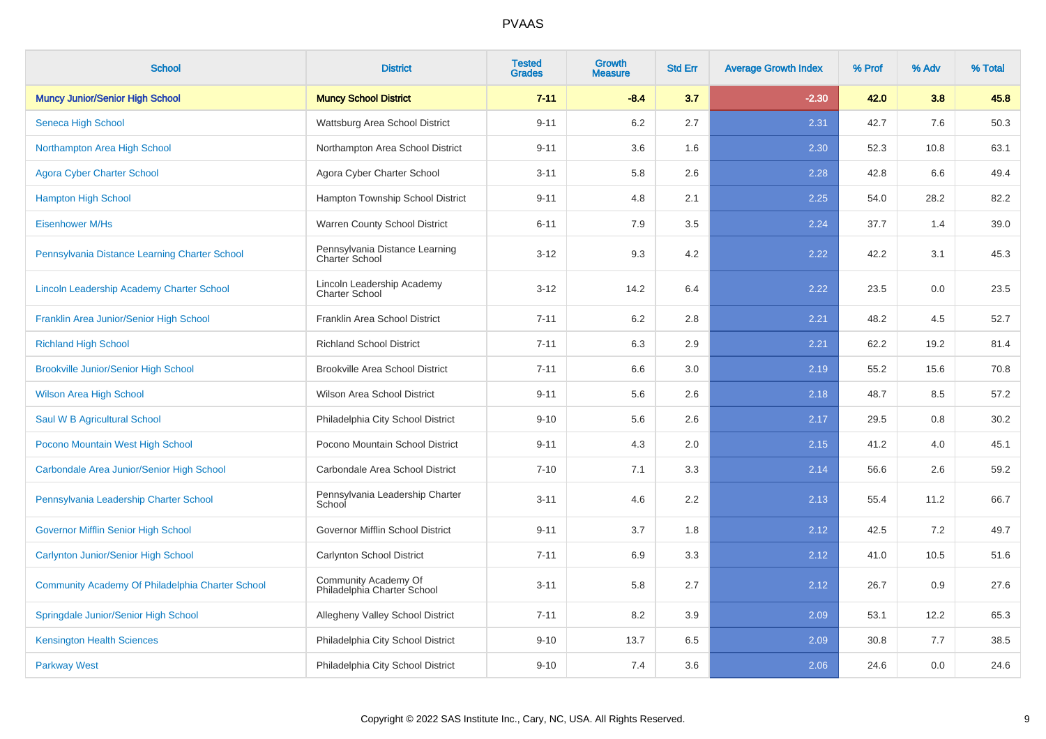| <b>School</b>                                    | <b>District</b>                                         | <b>Tested</b><br><b>Grades</b> | <b>Growth</b><br><b>Measure</b> | <b>Std Err</b> | <b>Average Growth Index</b> | % Prof | % Adv | % Total |
|--------------------------------------------------|---------------------------------------------------------|--------------------------------|---------------------------------|----------------|-----------------------------|--------|-------|---------|
| <b>Muncy Junior/Senior High School</b>           | <b>Muncy School District</b>                            | $7 - 11$                       | $-8.4$                          | 3.7            | $-2.30$                     | 42.0   | 3.8   | 45.8    |
| Seneca High School                               | Wattsburg Area School District                          | $9 - 11$                       | 6.2                             | 2.7            | 2.31                        | 42.7   | 7.6   | 50.3    |
| Northampton Area High School                     | Northampton Area School District                        | $9 - 11$                       | 3.6                             | 1.6            | 2.30                        | 52.3   | 10.8  | 63.1    |
| <b>Agora Cyber Charter School</b>                | Agora Cyber Charter School                              | $3 - 11$                       | 5.8                             | 2.6            | 2.28                        | 42.8   | 6.6   | 49.4    |
| <b>Hampton High School</b>                       | Hampton Township School District                        | $9 - 11$                       | 4.8                             | 2.1            | 2.25                        | 54.0   | 28.2  | 82.2    |
| <b>Eisenhower M/Hs</b>                           | Warren County School District                           | $6 - 11$                       | 7.9                             | 3.5            | 2.24                        | 37.7   | 1.4   | 39.0    |
| Pennsylvania Distance Learning Charter School    | Pennsylvania Distance Learning<br><b>Charter School</b> | $3 - 12$                       | 9.3                             | 4.2            | 2.22                        | 42.2   | 3.1   | 45.3    |
| Lincoln Leadership Academy Charter School        | Lincoln Leadership Academy<br><b>Charter School</b>     | $3 - 12$                       | 14.2                            | 6.4            | 2.22                        | 23.5   | 0.0   | 23.5    |
| Franklin Area Junior/Senior High School          | Franklin Area School District                           | $7 - 11$                       | 6.2                             | 2.8            | 2.21                        | 48.2   | 4.5   | 52.7    |
| <b>Richland High School</b>                      | <b>Richland School District</b>                         | $7 - 11$                       | 6.3                             | 2.9            | 2.21                        | 62.2   | 19.2  | 81.4    |
| <b>Brookville Junior/Senior High School</b>      | <b>Brookville Area School District</b>                  | $7 - 11$                       | 6.6                             | 3.0            | 2.19                        | 55.2   | 15.6  | 70.8    |
| <b>Wilson Area High School</b>                   | Wilson Area School District                             | $9 - 11$                       | 5.6                             | 2.6            | 2.18                        | 48.7   | 8.5   | 57.2    |
| Saul W B Agricultural School                     | Philadelphia City School District                       | $9 - 10$                       | 5.6                             | 2.6            | 2.17                        | 29.5   | 0.8   | 30.2    |
| Pocono Mountain West High School                 | Pocono Mountain School District                         | $9 - 11$                       | 4.3                             | 2.0            | 2.15                        | 41.2   | 4.0   | 45.1    |
| Carbondale Area Junior/Senior High School        | Carbondale Area School District                         | $7 - 10$                       | 7.1                             | 3.3            | 2.14                        | 56.6   | 2.6   | 59.2    |
| Pennsylvania Leadership Charter School           | Pennsylvania Leadership Charter<br>School               | $3 - 11$                       | 4.6                             | 2.2            | 2.13                        | 55.4   | 11.2  | 66.7    |
| <b>Governor Mifflin Senior High School</b>       | Governor Mifflin School District                        | $9 - 11$                       | 3.7                             | 1.8            | 2.12                        | 42.5   | 7.2   | 49.7    |
| <b>Carlynton Junior/Senior High School</b>       | Carlynton School District                               | $7 - 11$                       | 6.9                             | 3.3            | 2.12                        | 41.0   | 10.5  | 51.6    |
| Community Academy Of Philadelphia Charter School | Community Academy Of<br>Philadelphia Charter School     | $3 - 11$                       | 5.8                             | 2.7            | 2.12                        | 26.7   | 0.9   | 27.6    |
| Springdale Junior/Senior High School             | Allegheny Valley School District                        | $7 - 11$                       | 8.2                             | 3.9            | 2.09                        | 53.1   | 12.2  | 65.3    |
| <b>Kensington Health Sciences</b>                | Philadelphia City School District                       | $9 - 10$                       | 13.7                            | 6.5            | 2.09                        | 30.8   | 7.7   | 38.5    |
| <b>Parkway West</b>                              | Philadelphia City School District                       | $9 - 10$                       | 7.4                             | 3.6            | 2.06                        | 24.6   | 0.0   | 24.6    |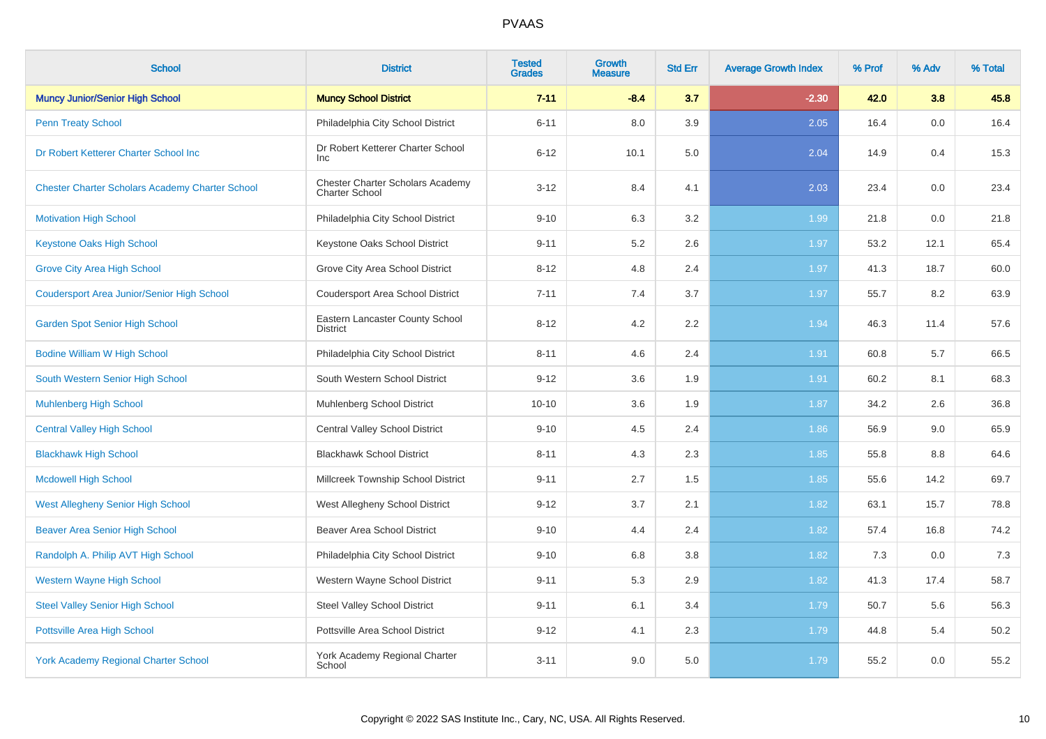| <b>School</b>                                          | <b>District</b>                                           | <b>Tested</b><br><b>Grades</b> | <b>Growth</b><br><b>Measure</b> | <b>Std Err</b> | <b>Average Growth Index</b> | % Prof | % Adv | % Total |
|--------------------------------------------------------|-----------------------------------------------------------|--------------------------------|---------------------------------|----------------|-----------------------------|--------|-------|---------|
| <b>Muncy Junior/Senior High School</b>                 | <b>Muncy School District</b>                              | $7 - 11$                       | $-8.4$                          | 3.7            | $-2.30$                     | 42.0   | 3.8   | 45.8    |
| <b>Penn Treaty School</b>                              | Philadelphia City School District                         | $6 - 11$                       | 8.0                             | 3.9            | 2.05                        | 16.4   | 0.0   | 16.4    |
| Dr Robert Ketterer Charter School Inc                  | Dr Robert Ketterer Charter School<br><b>Inc</b>           | $6 - 12$                       | 10.1                            | 5.0            | 2.04                        | 14.9   | 0.4   | 15.3    |
| <b>Chester Charter Scholars Academy Charter School</b> | Chester Charter Scholars Academy<br><b>Charter School</b> | $3 - 12$                       | 8.4                             | 4.1            | 2.03                        | 23.4   | 0.0   | 23.4    |
| <b>Motivation High School</b>                          | Philadelphia City School District                         | $9 - 10$                       | 6.3                             | 3.2            | 1.99                        | 21.8   | 0.0   | 21.8    |
| <b>Keystone Oaks High School</b>                       | Keystone Oaks School District                             | $9 - 11$                       | 5.2                             | 2.6            | 1.97                        | 53.2   | 12.1  | 65.4    |
| <b>Grove City Area High School</b>                     | Grove City Area School District                           | $8 - 12$                       | 4.8                             | 2.4            | 1.97                        | 41.3   | 18.7  | 60.0    |
| <b>Coudersport Area Junior/Senior High School</b>      | <b>Coudersport Area School District</b>                   | $7 - 11$                       | 7.4                             | 3.7            | 1.97                        | 55.7   | 8.2   | 63.9    |
| <b>Garden Spot Senior High School</b>                  | Eastern Lancaster County School<br><b>District</b>        | $8 - 12$                       | 4.2                             | 2.2            | 1.94                        | 46.3   | 11.4  | 57.6    |
| <b>Bodine William W High School</b>                    | Philadelphia City School District                         | $8 - 11$                       | 4.6                             | 2.4            | 1.91                        | 60.8   | 5.7   | 66.5    |
| South Western Senior High School                       | South Western School District                             | $9 - 12$                       | 3.6                             | 1.9            | 1.91                        | 60.2   | 8.1   | 68.3    |
| <b>Muhlenberg High School</b>                          | Muhlenberg School District                                | $10 - 10$                      | 3.6                             | 1.9            | 1.87                        | 34.2   | 2.6   | 36.8    |
| <b>Central Valley High School</b>                      | <b>Central Valley School District</b>                     | $9 - 10$                       | 4.5                             | 2.4            | 1.86                        | 56.9   | 9.0   | 65.9    |
| <b>Blackhawk High School</b>                           | <b>Blackhawk School District</b>                          | $8 - 11$                       | 4.3                             | 2.3            | 1.85                        | 55.8   | 8.8   | 64.6    |
| <b>Mcdowell High School</b>                            | Millcreek Township School District                        | $9 - 11$                       | 2.7                             | 1.5            | 1.85                        | 55.6   | 14.2  | 69.7    |
| <b>West Allegheny Senior High School</b>               | West Allegheny School District                            | $9 - 12$                       | 3.7                             | 2.1            | 1.82                        | 63.1   | 15.7  | 78.8    |
| <b>Beaver Area Senior High School</b>                  | <b>Beaver Area School District</b>                        | $9 - 10$                       | 4.4                             | 2.4            | 1.82                        | 57.4   | 16.8  | 74.2    |
| Randolph A. Philip AVT High School                     | Philadelphia City School District                         | $9 - 10$                       | 6.8                             | 3.8            | 1.82                        | 7.3    | 0.0   | 7.3     |
| <b>Western Wayne High School</b>                       | Western Wayne School District                             | $9 - 11$                       | 5.3                             | 2.9            | 1.82                        | 41.3   | 17.4  | 58.7    |
| <b>Steel Valley Senior High School</b>                 | <b>Steel Valley School District</b>                       | $9 - 11$                       | 6.1                             | 3.4            | 1.79                        | 50.7   | 5.6   | 56.3    |
| Pottsville Area High School                            | Pottsville Area School District                           | $9 - 12$                       | 4.1                             | 2.3            | 1.79                        | 44.8   | 5.4   | 50.2    |
| <b>York Academy Regional Charter School</b>            | York Academy Regional Charter<br>School                   | $3 - 11$                       | 9.0                             | 5.0            | 1.79                        | 55.2   | 0.0   | 55.2    |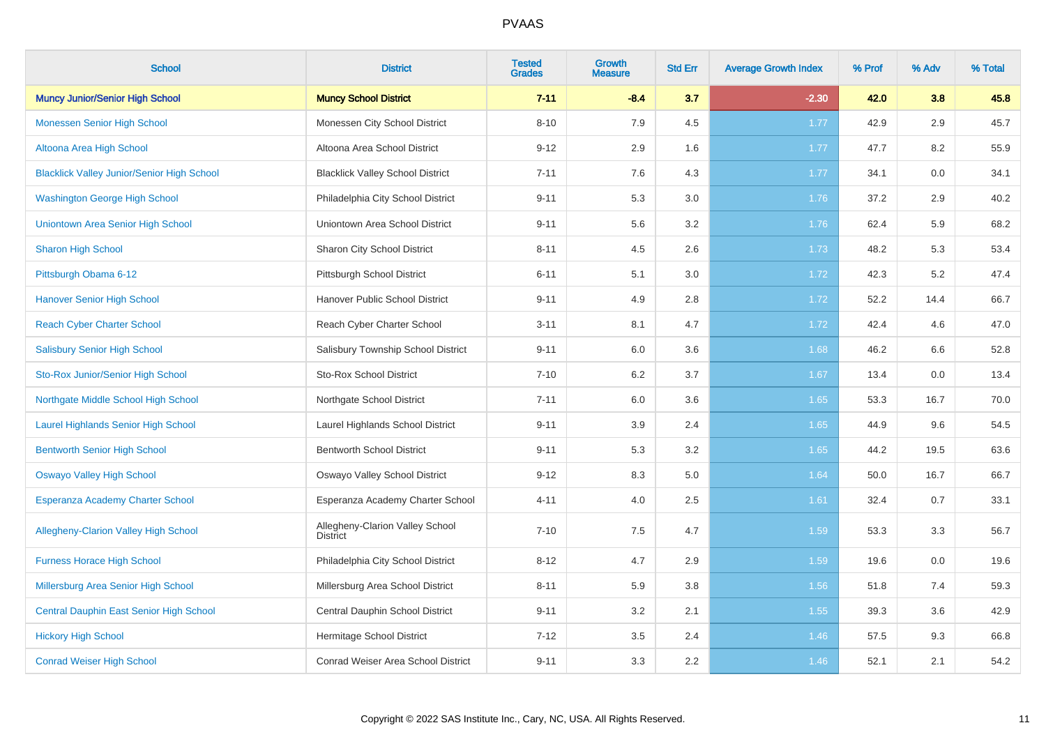| <b>School</b>                                     | <b>District</b>                                    | <b>Tested</b><br><b>Grades</b> | <b>Growth</b><br><b>Measure</b> | <b>Std Err</b> | <b>Average Growth Index</b> | % Prof | % Adv | % Total |
|---------------------------------------------------|----------------------------------------------------|--------------------------------|---------------------------------|----------------|-----------------------------|--------|-------|---------|
| <b>Muncy Junior/Senior High School</b>            | <b>Muncy School District</b>                       | $7 - 11$                       | $-8.4$                          | 3.7            | $-2.30$                     | 42.0   | 3.8   | 45.8    |
| <b>Monessen Senior High School</b>                | Monessen City School District                      | $8 - 10$                       | 7.9                             | 4.5            | 1.77                        | 42.9   | 2.9   | 45.7    |
| Altoona Area High School                          | Altoona Area School District                       | $9 - 12$                       | 2.9                             | 1.6            | 1.77                        | 47.7   | 8.2   | 55.9    |
| <b>Blacklick Valley Junior/Senior High School</b> | <b>Blacklick Valley School District</b>            | $7 - 11$                       | 7.6                             | 4.3            | 1.77                        | 34.1   | 0.0   | 34.1    |
| <b>Washington George High School</b>              | Philadelphia City School District                  | $9 - 11$                       | 5.3                             | 3.0            | 1.76                        | 37.2   | 2.9   | 40.2    |
| Uniontown Area Senior High School                 | Uniontown Area School District                     | $9 - 11$                       | 5.6                             | 3.2            | 1.76                        | 62.4   | 5.9   | 68.2    |
| <b>Sharon High School</b>                         | Sharon City School District                        | $8 - 11$                       | 4.5                             | 2.6            | 1.73                        | 48.2   | 5.3   | 53.4    |
| Pittsburgh Obama 6-12                             | Pittsburgh School District                         | $6 - 11$                       | 5.1                             | 3.0            | 1.72                        | 42.3   | 5.2   | 47.4    |
| <b>Hanover Senior High School</b>                 | Hanover Public School District                     | $9 - 11$                       | 4.9                             | 2.8            | 1.72                        | 52.2   | 14.4  | 66.7    |
| <b>Reach Cyber Charter School</b>                 | Reach Cyber Charter School                         | $3 - 11$                       | 8.1                             | 4.7            | 1.72                        | 42.4   | 4.6   | 47.0    |
| <b>Salisbury Senior High School</b>               | Salisbury Township School District                 | $9 - 11$                       | 6.0                             | 3.6            | 1.68                        | 46.2   | 6.6   | 52.8    |
| Sto-Rox Junior/Senior High School                 | <b>Sto-Rox School District</b>                     | $7 - 10$                       | 6.2                             | 3.7            | 1.67                        | 13.4   | 0.0   | 13.4    |
| Northgate Middle School High School               | Northgate School District                          | $7 - 11$                       | 6.0                             | 3.6            | 1.65                        | 53.3   | 16.7  | 70.0    |
| Laurel Highlands Senior High School               | Laurel Highlands School District                   | $9 - 11$                       | 3.9                             | 2.4            | 1.65                        | 44.9   | 9.6   | 54.5    |
| <b>Bentworth Senior High School</b>               | <b>Bentworth School District</b>                   | $9 - 11$                       | 5.3                             | 3.2            | 1.65                        | 44.2   | 19.5  | 63.6    |
| <b>Oswayo Valley High School</b>                  | Oswayo Valley School District                      | $9 - 12$                       | 8.3                             | 5.0            | 1.64                        | 50.0   | 16.7  | 66.7    |
| <b>Esperanza Academy Charter School</b>           | Esperanza Academy Charter School                   | $4 - 11$                       | 4.0                             | 2.5            | 1.61                        | 32.4   | 0.7   | 33.1    |
| <b>Allegheny-Clarion Valley High School</b>       | Allegheny-Clarion Valley School<br><b>District</b> | $7 - 10$                       | 7.5                             | 4.7            | 1.59                        | 53.3   | 3.3   | 56.7    |
| <b>Furness Horace High School</b>                 | Philadelphia City School District                  | $8 - 12$                       | 4.7                             | 2.9            | 1.59                        | 19.6   | 0.0   | 19.6    |
| Millersburg Area Senior High School               | Millersburg Area School District                   | $8 - 11$                       | 5.9                             | 3.8            | 1.56                        | 51.8   | 7.4   | 59.3    |
| Central Dauphin East Senior High School           | Central Dauphin School District                    | $9 - 11$                       | 3.2                             | 2.1            | 1.55                        | 39.3   | 3.6   | 42.9    |
| <b>Hickory High School</b>                        | Hermitage School District                          | $7 - 12$                       | 3.5                             | 2.4            | 1.46                        | 57.5   | 9.3   | 66.8    |
| <b>Conrad Weiser High School</b>                  | <b>Conrad Weiser Area School District</b>          | $9 - 11$                       | 3.3                             | 2.2            | 1.46                        | 52.1   | 2.1   | 54.2    |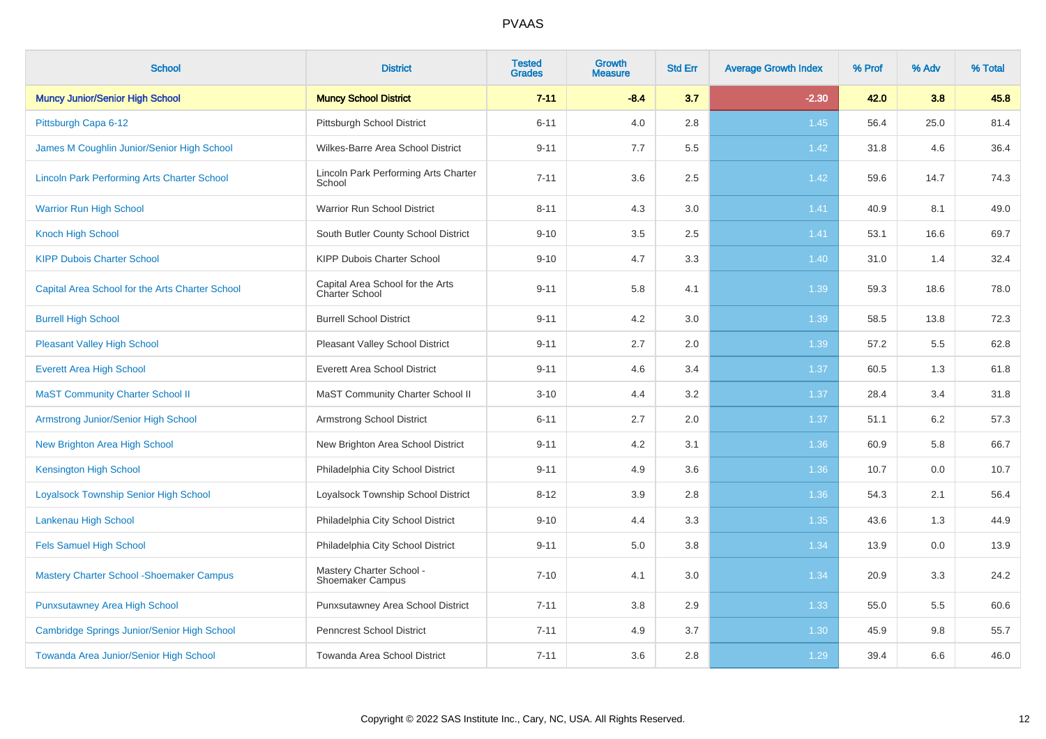| <b>School</b>                                      | <b>District</b>                                    | <b>Tested</b><br><b>Grades</b> | <b>Growth</b><br><b>Measure</b> | <b>Std Err</b> | <b>Average Growth Index</b> | % Prof | % Adv | % Total |
|----------------------------------------------------|----------------------------------------------------|--------------------------------|---------------------------------|----------------|-----------------------------|--------|-------|---------|
| <b>Muncy Junior/Senior High School</b>             | <b>Muncy School District</b>                       | $7 - 11$                       | $-8.4$                          | 3.7            | $-2.30$                     | 42.0   | 3.8   | 45.8    |
| Pittsburgh Capa 6-12                               | Pittsburgh School District                         | $6 - 11$                       | 4.0                             | 2.8            | 1.45                        | 56.4   | 25.0  | 81.4    |
| James M Coughlin Junior/Senior High School         | Wilkes-Barre Area School District                  | $9 - 11$                       | 7.7                             | 5.5            | 1.42                        | 31.8   | 4.6   | 36.4    |
| <b>Lincoln Park Performing Arts Charter School</b> | Lincoln Park Performing Arts Charter<br>School     | $7 - 11$                       | 3.6                             | 2.5            | 1.42                        | 59.6   | 14.7  | 74.3    |
| <b>Warrior Run High School</b>                     | Warrior Run School District                        | $8 - 11$                       | 4.3                             | $3.0\,$        | 1.41                        | 40.9   | 8.1   | 49.0    |
| <b>Knoch High School</b>                           | South Butler County School District                | $9 - 10$                       | 3.5                             | 2.5            | 1.41                        | 53.1   | 16.6  | 69.7    |
| <b>KIPP Dubois Charter School</b>                  | <b>KIPP Dubois Charter School</b>                  | $9 - 10$                       | 4.7                             | 3.3            | 1.40                        | 31.0   | 1.4   | 32.4    |
| Capital Area School for the Arts Charter School    | Capital Area School for the Arts<br>Charter School | $9 - 11$                       | 5.8                             | 4.1            | 1.39                        | 59.3   | 18.6  | 78.0    |
| <b>Burrell High School</b>                         | <b>Burrell School District</b>                     | $9 - 11$                       | 4.2                             | 3.0            | 1.39                        | 58.5   | 13.8  | 72.3    |
| <b>Pleasant Valley High School</b>                 | Pleasant Valley School District                    | $9 - 11$                       | 2.7                             | 2.0            | 1.39                        | 57.2   | 5.5   | 62.8    |
| <b>Everett Area High School</b>                    | <b>Everett Area School District</b>                | $9 - 11$                       | 4.6                             | 3.4            | 1.37                        | 60.5   | 1.3   | 61.8    |
| <b>MaST Community Charter School II</b>            | MaST Community Charter School II                   | $3 - 10$                       | 4.4                             | 3.2            | 1.37                        | 28.4   | 3.4   | 31.8    |
| <b>Armstrong Junior/Senior High School</b>         | Armstrong School District                          | $6 - 11$                       | 2.7                             | 2.0            | 1.37                        | 51.1   | 6.2   | 57.3    |
| New Brighton Area High School                      | New Brighton Area School District                  | $9 - 11$                       | 4.2                             | 3.1            | 1.36                        | 60.9   | 5.8   | 66.7    |
| <b>Kensington High School</b>                      | Philadelphia City School District                  | $9 - 11$                       | 4.9                             | 3.6            | 1.36                        | 10.7   | 0.0   | 10.7    |
| <b>Loyalsock Township Senior High School</b>       | Loyalsock Township School District                 | $8 - 12$                       | 3.9                             | 2.8            | 1.36                        | 54.3   | 2.1   | 56.4    |
| Lankenau High School                               | Philadelphia City School District                  | $9 - 10$                       | 4.4                             | 3.3            | 1.35                        | 43.6   | 1.3   | 44.9    |
| <b>Fels Samuel High School</b>                     | Philadelphia City School District                  | $9 - 11$                       | 5.0                             | 3.8            | 1.34                        | 13.9   | 0.0   | 13.9    |
| <b>Mastery Charter School - Shoemaker Campus</b>   | Mastery Charter School -<br>Shoemaker Campus       | $7 - 10$                       | 4.1                             | 3.0            | 1.34                        | 20.9   | 3.3   | 24.2    |
| <b>Punxsutawney Area High School</b>               | Punxsutawney Area School District                  | $7 - 11$                       | 3.8                             | 2.9            | 1.33                        | 55.0   | 5.5   | 60.6    |
| Cambridge Springs Junior/Senior High School        | Penncrest School District                          | $7 - 11$                       | 4.9                             | 3.7            | 1.30                        | 45.9   | 9.8   | 55.7    |
| Towanda Area Junior/Senior High School             | Towanda Area School District                       | $7 - 11$                       | 3.6                             | 2.8            | 1.29                        | 39.4   | 6.6   | 46.0    |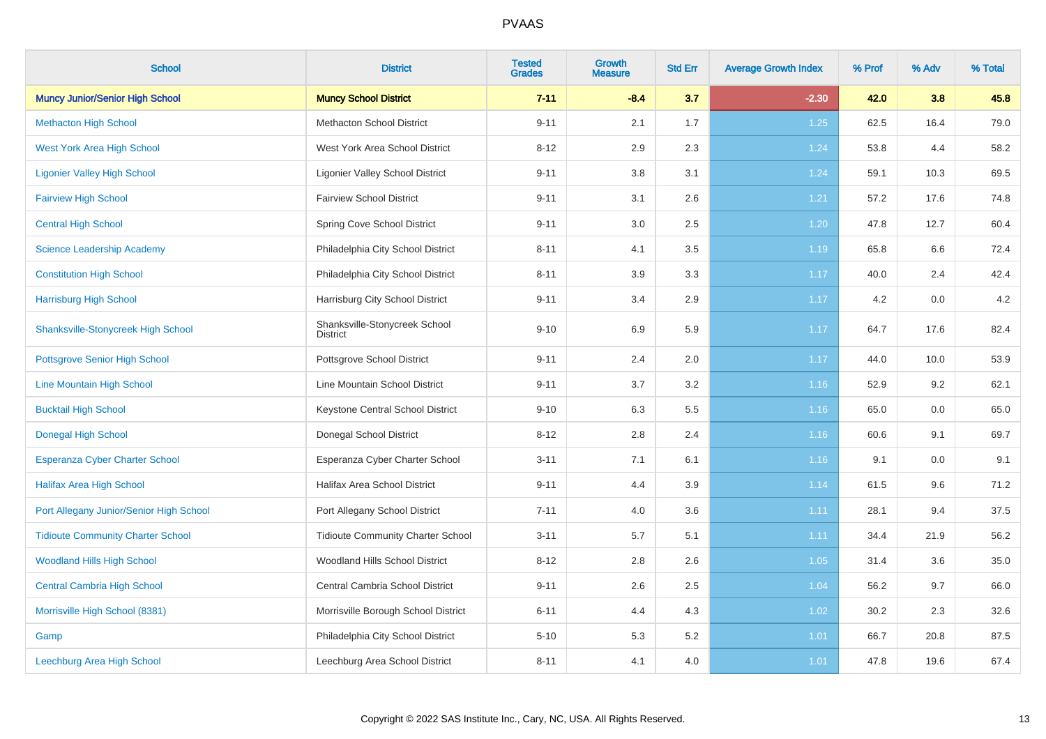| <b>School</b>                             | <b>District</b>                                  | <b>Tested</b><br><b>Grades</b> | Growth<br><b>Measure</b> | <b>Std Err</b> | <b>Average Growth Index</b> | % Prof | % Adv | % Total |
|-------------------------------------------|--------------------------------------------------|--------------------------------|--------------------------|----------------|-----------------------------|--------|-------|---------|
| <b>Muncy Junior/Senior High School</b>    | <b>Muncy School District</b>                     | $7 - 11$                       | $-8.4$                   | 3.7            | $-2.30$                     | 42.0   | 3.8   | 45.8    |
| <b>Methacton High School</b>              | <b>Methacton School District</b>                 | $9 - 11$                       | 2.1                      | 1.7            | 1.25                        | 62.5   | 16.4  | 79.0    |
| <b>West York Area High School</b>         | West York Area School District                   | $8 - 12$                       | 2.9                      | 2.3            | 1.24                        | 53.8   | 4.4   | 58.2    |
| <b>Ligonier Valley High School</b>        | <b>Ligonier Valley School District</b>           | $9 - 11$                       | 3.8                      | 3.1            | 1.24                        | 59.1   | 10.3  | 69.5    |
| <b>Fairview High School</b>               | <b>Fairview School District</b>                  | $9 - 11$                       | 3.1                      | 2.6            | 1.21                        | 57.2   | 17.6  | 74.8    |
| <b>Central High School</b>                | Spring Cove School District                      | $9 - 11$                       | 3.0                      | 2.5            | 1.20                        | 47.8   | 12.7  | 60.4    |
| <b>Science Leadership Academy</b>         | Philadelphia City School District                | $8 - 11$                       | 4.1                      | 3.5            | 1.19                        | 65.8   | 6.6   | 72.4    |
| <b>Constitution High School</b>           | Philadelphia City School District                | $8 - 11$                       | 3.9                      | 3.3            | 1.17                        | 40.0   | 2.4   | 42.4    |
| <b>Harrisburg High School</b>             | Harrisburg City School District                  | $9 - 11$                       | 3.4                      | 2.9            | 1.17                        | 4.2    | 0.0   | 4.2     |
| <b>Shanksville-Stonycreek High School</b> | Shanksville-Stonycreek School<br><b>District</b> | $9 - 10$                       | 6.9                      | 5.9            | 1.17                        | 64.7   | 17.6  | 82.4    |
| <b>Pottsgrove Senior High School</b>      | Pottsgrove School District                       | $9 - 11$                       | 2.4                      | 2.0            | 1.17                        | 44.0   | 10.0  | 53.9    |
| Line Mountain High School                 | Line Mountain School District                    | $9 - 11$                       | 3.7                      | $3.2\,$        | 1.16                        | 52.9   | 9.2   | 62.1    |
| <b>Bucktail High School</b>               | Keystone Central School District                 | $9 - 10$                       | 6.3                      | 5.5            | 1.16                        | 65.0   | 0.0   | 65.0    |
| <b>Donegal High School</b>                | Donegal School District                          | $8 - 12$                       | 2.8                      | 2.4            | 1.16                        | 60.6   | 9.1   | 69.7    |
| <b>Esperanza Cyber Charter School</b>     | Esperanza Cyber Charter School                   | $3 - 11$                       | 7.1                      | 6.1            | 1.16                        | 9.1    | 0.0   | 9.1     |
| <b>Halifax Area High School</b>           | <b>Halifax Area School District</b>              | $9 - 11$                       | 4.4                      | 3.9            | 1.14                        | 61.5   | 9.6   | 71.2    |
| Port Allegany Junior/Senior High School   | Port Allegany School District                    | $7 - 11$                       | 4.0                      | 3.6            | 1.11                        | 28.1   | 9.4   | 37.5    |
| <b>Tidioute Community Charter School</b>  | <b>Tidioute Community Charter School</b>         | $3 - 11$                       | 5.7                      | 5.1            | 1.11                        | 34.4   | 21.9  | 56.2    |
| <b>Woodland Hills High School</b>         | Woodland Hills School District                   | $8 - 12$                       | 2.8                      | 2.6            | 1.05                        | 31.4   | 3.6   | 35.0    |
| <b>Central Cambria High School</b>        | Central Cambria School District                  | $9 - 11$                       | 2.6                      | 2.5            | 1.04                        | 56.2   | 9.7   | 66.0    |
| Morrisville High School (8381)            | Morrisville Borough School District              | $6 - 11$                       | 4.4                      | 4.3            | 1.02                        | 30.2   | 2.3   | 32.6    |
| Gamp                                      | Philadelphia City School District                | $5 - 10$                       | 5.3                      | 5.2            | 1.01                        | 66.7   | 20.8  | 87.5    |
| Leechburg Area High School                | Leechburg Area School District                   | $8 - 11$                       | 4.1                      | 4.0            | 1.01                        | 47.8   | 19.6  | 67.4    |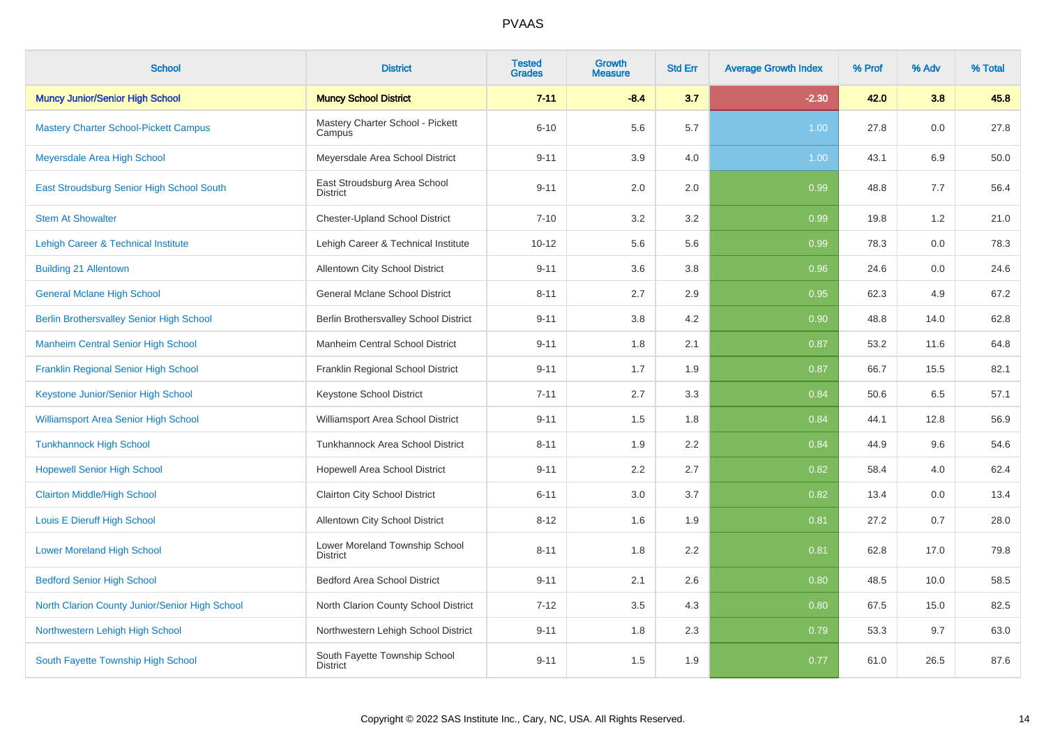| <b>School</b>                                   | <b>District</b>                                   | <b>Tested</b><br><b>Grades</b> | Growth<br><b>Measure</b> | <b>Std Err</b> | <b>Average Growth Index</b> | % Prof | % Adv | % Total |
|-------------------------------------------------|---------------------------------------------------|--------------------------------|--------------------------|----------------|-----------------------------|--------|-------|---------|
| <b>Muncy Junior/Senior High School</b>          | <b>Muncy School District</b>                      | $7 - 11$                       | $-8.4$                   | 3.7            | $-2.30$                     | 42.0   | 3.8   | 45.8    |
| <b>Mastery Charter School-Pickett Campus</b>    | Mastery Charter School - Pickett<br>Campus        | $6 - 10$                       | 5.6                      | 5.7            | 1.00                        | 27.8   | 0.0   | 27.8    |
| Meyersdale Area High School                     | Meyersdale Area School District                   | $9 - 11$                       | 3.9                      | 4.0            | 1.00                        | 43.1   | 6.9   | 50.0    |
| East Stroudsburg Senior High School South       | East Stroudsburg Area School<br><b>District</b>   | $9 - 11$                       | 2.0                      | 2.0            | 0.99                        | 48.8   | 7.7   | 56.4    |
| <b>Stem At Showalter</b>                        | <b>Chester-Upland School District</b>             | $7 - 10$                       | 3.2                      | 3.2            | 0.99                        | 19.8   | 1.2   | 21.0    |
| <b>Lehigh Career &amp; Technical Institute</b>  | Lehigh Career & Technical Institute               | $10 - 12$                      | 5.6                      | 5.6            | 0.99                        | 78.3   | 0.0   | 78.3    |
| <b>Building 21 Allentown</b>                    | Allentown City School District                    | $9 - 11$                       | 3.6                      | 3.8            | 0.96                        | 24.6   | 0.0   | 24.6    |
| <b>General Mclane High School</b>               | <b>General Mclane School District</b>             | $8 - 11$                       | 2.7                      | 2.9            | 0.95                        | 62.3   | 4.9   | 67.2    |
| <b>Berlin Brothersvalley Senior High School</b> | Berlin Brothersvalley School District             | $9 - 11$                       | 3.8                      | 4.2            | 0.90                        | 48.8   | 14.0  | 62.8    |
| <b>Manheim Central Senior High School</b>       | Manheim Central School District                   | $9 - 11$                       | 1.8                      | 2.1            | 0.87                        | 53.2   | 11.6  | 64.8    |
| Franklin Regional Senior High School            | Franklin Regional School District                 | $9 - 11$                       | 1.7                      | 1.9            | 0.87                        | 66.7   | 15.5  | 82.1    |
| Keystone Junior/Senior High School              | Keystone School District                          | $7 - 11$                       | 2.7                      | 3.3            | 0.84                        | 50.6   | 6.5   | 57.1    |
| <b>Williamsport Area Senior High School</b>     | Williamsport Area School District                 | $9 - 11$                       | 1.5                      | 1.8            | 0.84                        | 44.1   | 12.8  | 56.9    |
| <b>Tunkhannock High School</b>                  | Tunkhannock Area School District                  | $8 - 11$                       | 1.9                      | 2.2            | 0.84                        | 44.9   | 9.6   | 54.6    |
| <b>Hopewell Senior High School</b>              | Hopewell Area School District                     | $9 - 11$                       | 2.2                      | 2.7            | 0.82                        | 58.4   | 4.0   | 62.4    |
| <b>Clairton Middle/High School</b>              | Clairton City School District                     | $6 - 11$                       | 3.0                      | 3.7            | 0.82                        | 13.4   | 0.0   | 13.4    |
| Louis E Dieruff High School                     | Allentown City School District                    | $8 - 12$                       | 1.6                      | 1.9            | 0.81                        | 27.2   | 0.7   | 28.0    |
| <b>Lower Moreland High School</b>               | Lower Moreland Township School<br><b>District</b> | $8 - 11$                       | 1.8                      | 2.2            | 0.81                        | 62.8   | 17.0  | 79.8    |
| <b>Bedford Senior High School</b>               | <b>Bedford Area School District</b>               | $9 - 11$                       | 2.1                      | 2.6            | 0.80                        | 48.5   | 10.0  | 58.5    |
| North Clarion County Junior/Senior High School  | North Clarion County School District              | $7 - 12$                       | $3.5\,$                  | 4.3            | 0.80                        | 67.5   | 15.0  | 82.5    |
| Northwestern Lehigh High School                 | Northwestern Lehigh School District               | $9 - 11$                       | 1.8                      | 2.3            | 0.79                        | 53.3   | 9.7   | 63.0    |
| South Fayette Township High School              | South Fayette Township School<br><b>District</b>  | $9 - 11$                       | 1.5                      | 1.9            | 0.77                        | 61.0   | 26.5  | 87.6    |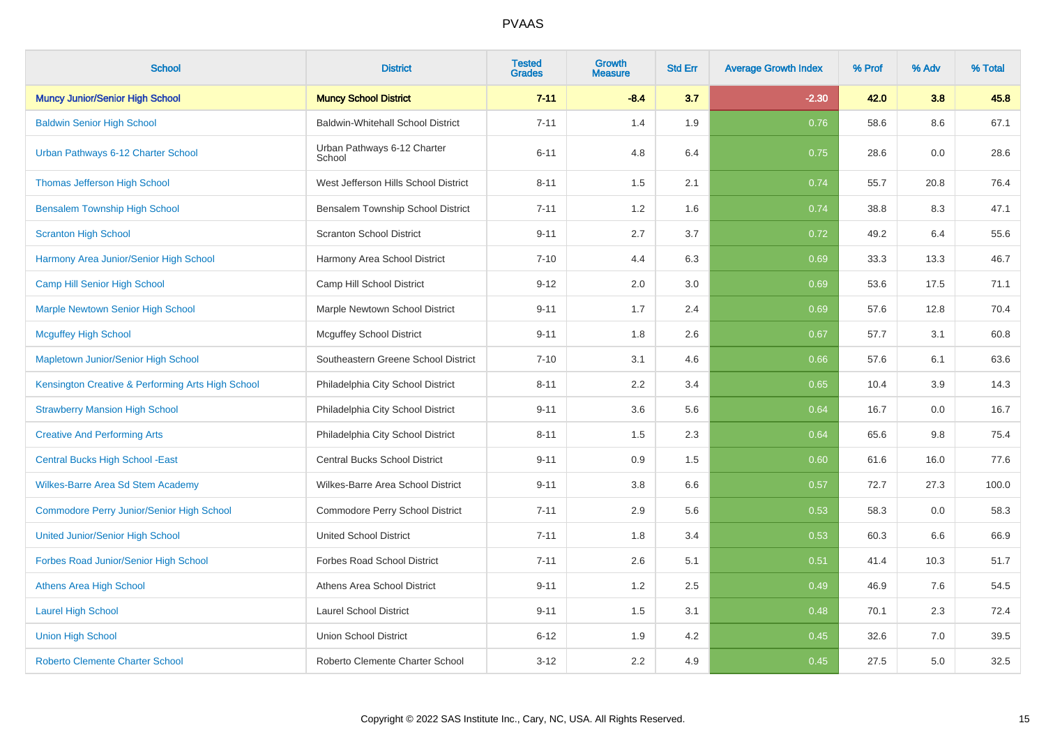| <b>School</b>                                     | <b>District</b>                          | <b>Tested</b><br><b>Grades</b> | <b>Growth</b><br><b>Measure</b> | <b>Std Err</b> | <b>Average Growth Index</b> | % Prof | % Adv | % Total |
|---------------------------------------------------|------------------------------------------|--------------------------------|---------------------------------|----------------|-----------------------------|--------|-------|---------|
| <b>Muncy Junior/Senior High School</b>            | <b>Muncy School District</b>             | $7 - 11$                       | $-8.4$                          | 3.7            | $-2.30$                     | 42.0   | 3.8   | 45.8    |
| <b>Baldwin Senior High School</b>                 | <b>Baldwin-Whitehall School District</b> | $7 - 11$                       | 1.4                             | 1.9            | 0.76                        | 58.6   | 8.6   | 67.1    |
| Urban Pathways 6-12 Charter School                | Urban Pathways 6-12 Charter<br>School    | $6 - 11$                       | 4.8                             | 6.4            | 0.75                        | 28.6   | 0.0   | 28.6    |
| <b>Thomas Jefferson High School</b>               | West Jefferson Hills School District     | $8 - 11$                       | 1.5                             | 2.1            | 0.74                        | 55.7   | 20.8  | 76.4    |
| <b>Bensalem Township High School</b>              | Bensalem Township School District        | $7 - 11$                       | 1.2                             | 1.6            | 0.74                        | 38.8   | 8.3   | 47.1    |
| <b>Scranton High School</b>                       | <b>Scranton School District</b>          | $9 - 11$                       | 2.7                             | 3.7            | 0.72                        | 49.2   | 6.4   | 55.6    |
| Harmony Area Junior/Senior High School            | Harmony Area School District             | $7 - 10$                       | 4.4                             | 6.3            | 0.69                        | 33.3   | 13.3  | 46.7    |
| Camp Hill Senior High School                      | Camp Hill School District                | $9 - 12$                       | 2.0                             | 3.0            | 0.69                        | 53.6   | 17.5  | 71.1    |
| <b>Marple Newtown Senior High School</b>          | Marple Newtown School District           | $9 - 11$                       | 1.7                             | 2.4            | 0.69                        | 57.6   | 12.8  | 70.4    |
| <b>Mcguffey High School</b>                       | <b>Mcguffey School District</b>          | $9 - 11$                       | 1.8                             | 2.6            | 0.67                        | 57.7   | 3.1   | 60.8    |
| Mapletown Junior/Senior High School               | Southeastern Greene School District      | $7 - 10$                       | 3.1                             | 4.6            | 0.66                        | 57.6   | 6.1   | 63.6    |
| Kensington Creative & Performing Arts High School | Philadelphia City School District        | $8 - 11$                       | 2.2                             | 3.4            | 0.65                        | 10.4   | 3.9   | 14.3    |
| <b>Strawberry Mansion High School</b>             | Philadelphia City School District        | $9 - 11$                       | 3.6                             | 5.6            | 0.64                        | 16.7   | 0.0   | 16.7    |
| <b>Creative And Performing Arts</b>               | Philadelphia City School District        | $8 - 11$                       | 1.5                             | 2.3            | 0.64                        | 65.6   | 9.8   | 75.4    |
| <b>Central Bucks High School - East</b>           | Central Bucks School District            | $9 - 11$                       | 0.9                             | 1.5            | 0.60                        | 61.6   | 16.0  | 77.6    |
| Wilkes-Barre Area Sd Stem Academy                 | Wilkes-Barre Area School District        | $9 - 11$                       | 3.8                             | 6.6            | 0.57                        | 72.7   | 27.3  | 100.0   |
| <b>Commodore Perry Junior/Senior High School</b>  | Commodore Perry School District          | $7 - 11$                       | 2.9                             | 5.6            | 0.53                        | 58.3   | 0.0   | 58.3    |
| <b>United Junior/Senior High School</b>           | <b>United School District</b>            | $7 - 11$                       | 1.8                             | 3.4            | 0.53                        | 60.3   | 6.6   | 66.9    |
| Forbes Road Junior/Senior High School             | <b>Forbes Road School District</b>       | $7 - 11$                       | 2.6                             | 5.1            | 0.51                        | 41.4   | 10.3  | 51.7    |
| <b>Athens Area High School</b>                    | Athens Area School District              | $9 - 11$                       | 1.2                             | 2.5            | 0.49                        | 46.9   | 7.6   | 54.5    |
| <b>Laurel High School</b>                         | <b>Laurel School District</b>            | $9 - 11$                       | 1.5                             | 3.1            | 0.48                        | 70.1   | 2.3   | 72.4    |
| <b>Union High School</b>                          | <b>Union School District</b>             | $6 - 12$                       | 1.9                             | 4.2            | 0.45                        | 32.6   | 7.0   | 39.5    |
| <b>Roberto Clemente Charter School</b>            | Roberto Clemente Charter School          | $3 - 12$                       | 2.2                             | 4.9            | 0.45                        | 27.5   | 5.0   | 32.5    |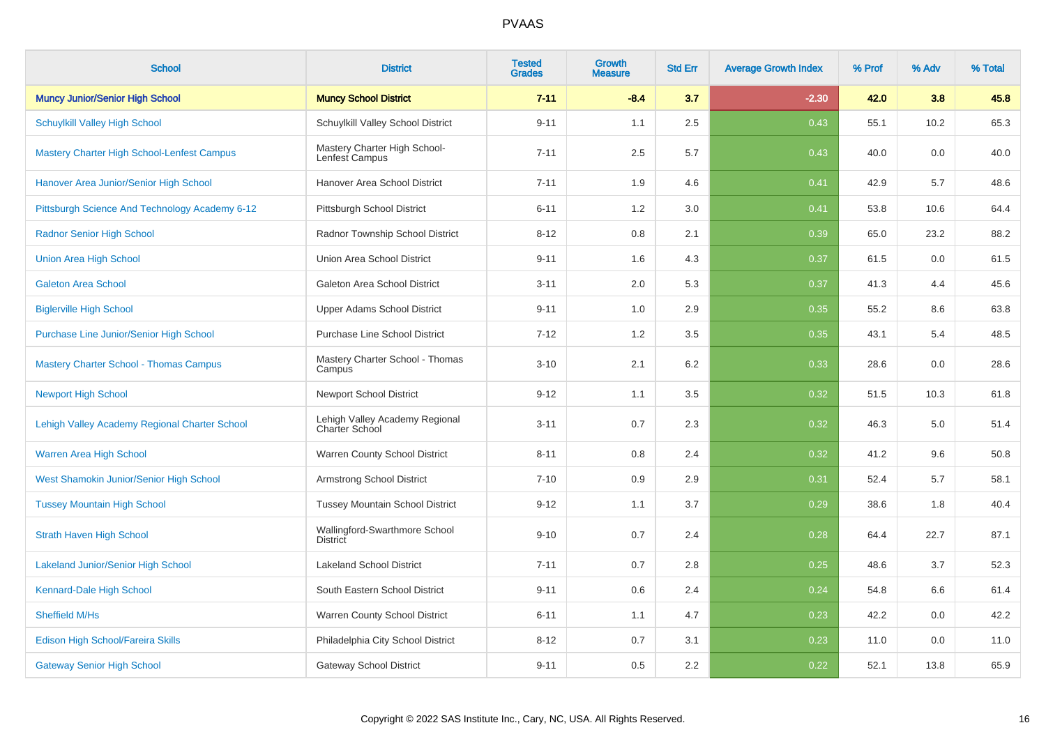| <b>School</b>                                     | <b>District</b>                                         | <b>Tested</b><br><b>Grades</b> | <b>Growth</b><br><b>Measure</b> | <b>Std Err</b> | <b>Average Growth Index</b> | % Prof | % Adv | % Total |
|---------------------------------------------------|---------------------------------------------------------|--------------------------------|---------------------------------|----------------|-----------------------------|--------|-------|---------|
| <b>Muncy Junior/Senior High School</b>            | <b>Muncy School District</b>                            | $7 - 11$                       | $-8.4$                          | 3.7            | $-2.30$                     | 42.0   | 3.8   | 45.8    |
| <b>Schuylkill Valley High School</b>              | Schuylkill Valley School District                       | $9 - 11$                       | 1.1                             | 2.5            | 0.43                        | 55.1   | 10.2  | 65.3    |
| <b>Mastery Charter High School-Lenfest Campus</b> | Mastery Charter High School-<br>Lenfest Campus          | $7 - 11$                       | 2.5                             | 5.7            | 0.43                        | 40.0   | 0.0   | 40.0    |
| Hanover Area Junior/Senior High School            | Hanover Area School District                            | $7 - 11$                       | 1.9                             | 4.6            | 0.41                        | 42.9   | 5.7   | 48.6    |
| Pittsburgh Science And Technology Academy 6-12    | Pittsburgh School District                              | $6 - 11$                       | 1.2                             | 3.0            | 0.41                        | 53.8   | 10.6  | 64.4    |
| <b>Radnor Senior High School</b>                  | Radnor Township School District                         | $8 - 12$                       | 0.8                             | 2.1            | 0.39                        | 65.0   | 23.2  | 88.2    |
| <b>Union Area High School</b>                     | Union Area School District                              | $9 - 11$                       | 1.6                             | 4.3            | 0.37                        | 61.5   | 0.0   | 61.5    |
| <b>Galeton Area School</b>                        | Galeton Area School District                            | $3 - 11$                       | 2.0                             | 5.3            | 0.37                        | 41.3   | 4.4   | 45.6    |
| <b>Biglerville High School</b>                    | <b>Upper Adams School District</b>                      | $9 - 11$                       | 1.0                             | 2.9            | 0.35                        | 55.2   | 8.6   | 63.8    |
| Purchase Line Junior/Senior High School           | <b>Purchase Line School District</b>                    | $7 - 12$                       | 1.2                             | 3.5            | 0.35                        | 43.1   | 5.4   | 48.5    |
| <b>Mastery Charter School - Thomas Campus</b>     | Mastery Charter School - Thomas<br>Campus               | $3 - 10$                       | 2.1                             | 6.2            | 0.33                        | 28.6   | 0.0   | 28.6    |
| <b>Newport High School</b>                        | <b>Newport School District</b>                          | $9 - 12$                       | 1.1                             | 3.5            | 0.32                        | 51.5   | 10.3  | 61.8    |
| Lehigh Valley Academy Regional Charter School     | Lehigh Valley Academy Regional<br><b>Charter School</b> | $3 - 11$                       | 0.7                             | 2.3            | 0.32                        | 46.3   | 5.0   | 51.4    |
| Warren Area High School                           | Warren County School District                           | $8 - 11$                       | 0.8                             | 2.4            | 0.32                        | 41.2   | 9.6   | 50.8    |
| West Shamokin Junior/Senior High School           | <b>Armstrong School District</b>                        | $7 - 10$                       | 0.9                             | 2.9            | 0.31                        | 52.4   | 5.7   | 58.1    |
| <b>Tussey Mountain High School</b>                | <b>Tussey Mountain School District</b>                  | $9 - 12$                       | 1.1                             | 3.7            | 0.29                        | 38.6   | 1.8   | 40.4    |
| <b>Strath Haven High School</b>                   | Wallingford-Swarthmore School<br><b>District</b>        | $9 - 10$                       | 0.7                             | 2.4            | 0.28                        | 64.4   | 22.7  | 87.1    |
| <b>Lakeland Junior/Senior High School</b>         | <b>Lakeland School District</b>                         | $7 - 11$                       | 0.7                             | 2.8            | 0.25                        | 48.6   | 3.7   | 52.3    |
| Kennard-Dale High School                          | South Eastern School District                           | $9 - 11$                       | 0.6                             | 2.4            | 0.24                        | 54.8   | 6.6   | 61.4    |
| Sheffield M/Hs                                    | Warren County School District                           | $6 - 11$                       | 1.1                             | 4.7            | 0.23                        | 42.2   | 0.0   | 42.2    |
| Edison High School/Fareira Skills                 | Philadelphia City School District                       | $8 - 12$                       | 0.7                             | 3.1            | 0.23                        | 11.0   | 0.0   | 11.0    |
| <b>Gateway Senior High School</b>                 | <b>Gateway School District</b>                          | $9 - 11$                       | 0.5                             | 2.2            | 0.22                        | 52.1   | 13.8  | 65.9    |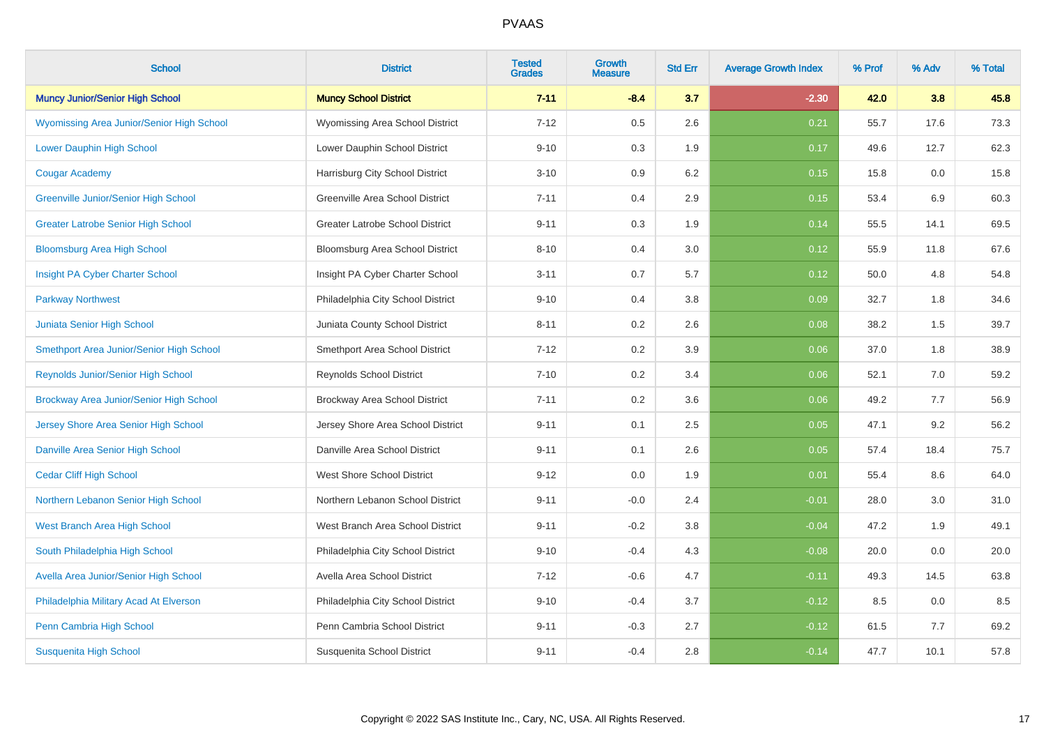| <b>School</b>                                    | <b>District</b>                        | <b>Tested</b><br><b>Grades</b> | <b>Growth</b><br><b>Measure</b> | <b>Std Err</b> | <b>Average Growth Index</b> | % Prof | % Adv | % Total |
|--------------------------------------------------|----------------------------------------|--------------------------------|---------------------------------|----------------|-----------------------------|--------|-------|---------|
| <b>Muncy Junior/Senior High School</b>           | <b>Muncy School District</b>           | $7 - 11$                       | $-8.4$                          | 3.7            | $-2.30$                     | 42.0   | 3.8   | 45.8    |
| <b>Wyomissing Area Junior/Senior High School</b> | Wyomissing Area School District        | $7 - 12$                       | 0.5                             | 2.6            | 0.21                        | 55.7   | 17.6  | 73.3    |
| <b>Lower Dauphin High School</b>                 | Lower Dauphin School District          | $9 - 10$                       | 0.3                             | 1.9            | 0.17                        | 49.6   | 12.7  | 62.3    |
| <b>Cougar Academy</b>                            | Harrisburg City School District        | $3 - 10$                       | 0.9                             | 6.2            | 0.15                        | 15.8   | 0.0   | 15.8    |
| Greenville Junior/Senior High School             | Greenville Area School District        | $7 - 11$                       | 0.4                             | 2.9            | 0.15                        | 53.4   | 6.9   | 60.3    |
| <b>Greater Latrobe Senior High School</b>        | <b>Greater Latrobe School District</b> | $9 - 11$                       | 0.3                             | 1.9            | 0.14                        | 55.5   | 14.1  | 69.5    |
| <b>Bloomsburg Area High School</b>               | Bloomsburg Area School District        | $8 - 10$                       | 0.4                             | 3.0            | 0.12                        | 55.9   | 11.8  | 67.6    |
| Insight PA Cyber Charter School                  | Insight PA Cyber Charter School        | $3 - 11$                       | 0.7                             | 5.7            | 0.12                        | 50.0   | 4.8   | 54.8    |
| <b>Parkway Northwest</b>                         | Philadelphia City School District      | $9 - 10$                       | 0.4                             | 3.8            | 0.09                        | 32.7   | 1.8   | 34.6    |
| Juniata Senior High School                       | Juniata County School District         | $8 - 11$                       | 0.2                             | 2.6            | 0.08                        | 38.2   | 1.5   | 39.7    |
| Smethport Area Junior/Senior High School         | Smethport Area School District         | $7 - 12$                       | 0.2                             | 3.9            | 0.06                        | 37.0   | 1.8   | 38.9    |
| <b>Reynolds Junior/Senior High School</b>        | <b>Reynolds School District</b>        | $7 - 10$                       | 0.2                             | 3.4            | 0.06                        | 52.1   | 7.0   | 59.2    |
| Brockway Area Junior/Senior High School          | Brockway Area School District          | $7 - 11$                       | 0.2                             | 3.6            | 0.06                        | 49.2   | 7.7   | 56.9    |
| Jersey Shore Area Senior High School             | Jersey Shore Area School District      | $9 - 11$                       | 0.1                             | 2.5            | 0.05                        | 47.1   | 9.2   | 56.2    |
| Danville Area Senior High School                 | Danville Area School District          | $9 - 11$                       | 0.1                             | 2.6            | 0.05                        | 57.4   | 18.4  | 75.7    |
| <b>Cedar Cliff High School</b>                   | <b>West Shore School District</b>      | $9 - 12$                       | 0.0                             | 1.9            | 0.01                        | 55.4   | 8.6   | 64.0    |
| Northern Lebanon Senior High School              | Northern Lebanon School District       | $9 - 11$                       | $-0.0$                          | 2.4            | $-0.01$                     | 28.0   | 3.0   | 31.0    |
| West Branch Area High School                     | West Branch Area School District       | $9 - 11$                       | $-0.2$                          | 3.8            | $-0.04$                     | 47.2   | 1.9   | 49.1    |
| South Philadelphia High School                   | Philadelphia City School District      | $9 - 10$                       | $-0.4$                          | 4.3            | $-0.08$                     | 20.0   | 0.0   | 20.0    |
| Avella Area Junior/Senior High School            | Avella Area School District            | $7 - 12$                       | $-0.6$                          | 4.7            | $-0.11$                     | 49.3   | 14.5  | 63.8    |
| Philadelphia Military Acad At Elverson           | Philadelphia City School District      | $9 - 10$                       | $-0.4$                          | 3.7            | $-0.12$                     | 8.5    | 0.0   | 8.5     |
| Penn Cambria High School                         | Penn Cambria School District           | $9 - 11$                       | $-0.3$                          | 2.7            | $-0.12$                     | 61.5   | 7.7   | 69.2    |
| <b>Susquenita High School</b>                    | Susquenita School District             | $9 - 11$                       | $-0.4$                          | 2.8            | $-0.14$                     | 47.7   | 10.1  | 57.8    |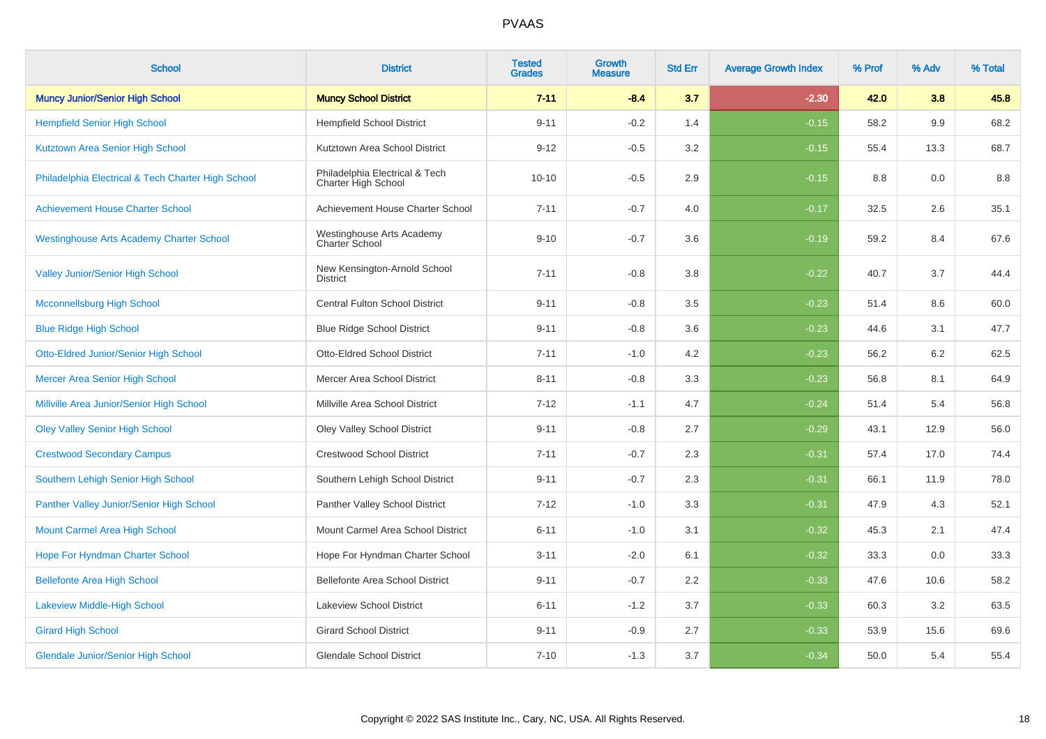| <b>School</b>                                      | <b>District</b>                                       | <b>Tested</b><br><b>Grades</b> | Growth<br><b>Measure</b> | <b>Std Err</b> | <b>Average Growth Index</b> | % Prof | % Adv | % Total |
|----------------------------------------------------|-------------------------------------------------------|--------------------------------|--------------------------|----------------|-----------------------------|--------|-------|---------|
| <b>Muncy Junior/Senior High School</b>             | <b>Muncy School District</b>                          | $7 - 11$                       | $-8.4$                   | 3.7            | $-2.30$                     | 42.0   | 3.8   | 45.8    |
| <b>Hempfield Senior High School</b>                | <b>Hempfield School District</b>                      | $9 - 11$                       | $-0.2$                   | 1.4            | $-0.15$                     | 58.2   | 9.9   | 68.2    |
| Kutztown Area Senior High School                   | Kutztown Area School District                         | $9 - 12$                       | $-0.5$                   | 3.2            | $-0.15$                     | 55.4   | 13.3  | 68.7    |
| Philadelphia Electrical & Tech Charter High School | Philadelphia Electrical & Tech<br>Charter High School | $10 - 10$                      | $-0.5$                   | 2.9            | $-0.15$                     | 8.8    | 0.0   | 8.8     |
| <b>Achievement House Charter School</b>            | Achievement House Charter School                      | $7 - 11$                       | $-0.7$                   | 4.0            | $-0.17$                     | 32.5   | 2.6   | 35.1    |
| <b>Westinghouse Arts Academy Charter School</b>    | Westinghouse Arts Academy<br>Charter School           | $9 - 10$                       | $-0.7$                   | 3.6            | $-0.19$                     | 59.2   | 8.4   | 67.6    |
| <b>Valley Junior/Senior High School</b>            | New Kensington-Arnold School<br><b>District</b>       | $7 - 11$                       | $-0.8$                   | 3.8            | $-0.22$                     | 40.7   | 3.7   | 44.4    |
| <b>Mcconnellsburg High School</b>                  | <b>Central Fulton School District</b>                 | $9 - 11$                       | $-0.8$                   | 3.5            | $-0.23$                     | 51.4   | 8.6   | 60.0    |
| <b>Blue Ridge High School</b>                      | <b>Blue Ridge School District</b>                     | $9 - 11$                       | $-0.8$                   | 3.6            | $-0.23$                     | 44.6   | 3.1   | 47.7    |
| <b>Otto-Eldred Junior/Senior High School</b>       | <b>Otto-Eldred School District</b>                    | $7 - 11$                       | $-1.0$                   | 4.2            | $-0.23$                     | 56.2   | 6.2   | 62.5    |
| Mercer Area Senior High School                     | Mercer Area School District                           | $8 - 11$                       | $-0.8$                   | 3.3            | $-0.23$                     | 56.8   | 8.1   | 64.9    |
| Millville Area Junior/Senior High School           | Millville Area School District                        | $7 - 12$                       | $-1.1$                   | 4.7            | $-0.24$                     | 51.4   | 5.4   | 56.8    |
| <b>Oley Valley Senior High School</b>              | <b>Oley Valley School District</b>                    | $9 - 11$                       | $-0.8$                   | 2.7            | $-0.29$                     | 43.1   | 12.9  | 56.0    |
| <b>Crestwood Secondary Campus</b>                  | <b>Crestwood School District</b>                      | $7 - 11$                       | $-0.7$                   | 2.3            | $-0.31$                     | 57.4   | 17.0  | 74.4    |
| Southern Lehigh Senior High School                 | Southern Lehigh School District                       | $9 - 11$                       | $-0.7$                   | 2.3            | $-0.31$                     | 66.1   | 11.9  | 78.0    |
| Panther Valley Junior/Senior High School           | Panther Valley School District                        | $7 - 12$                       | $-1.0$                   | 3.3            | $-0.31$                     | 47.9   | 4.3   | 52.1    |
| Mount Carmel Area High School                      | Mount Carmel Area School District                     | $6 - 11$                       | $-1.0$                   | 3.1            | $-0.32$                     | 45.3   | 2.1   | 47.4    |
| Hope For Hyndman Charter School                    | Hope For Hyndman Charter School                       | $3 - 11$                       | $-2.0$                   | 6.1            | $-0.32$                     | 33.3   | 0.0   | 33.3    |
| <b>Bellefonte Area High School</b>                 | Bellefonte Area School District                       | $9 - 11$                       | $-0.7$                   | 2.2            | $-0.33$                     | 47.6   | 10.6  | 58.2    |
| <b>Lakeview Middle-High School</b>                 | <b>Lakeview School District</b>                       | $6 - 11$                       | $-1.2$                   | 3.7            | $-0.33$                     | 60.3   | 3.2   | 63.5    |
| <b>Girard High School</b>                          | <b>Girard School District</b>                         | $9 - 11$                       | $-0.9$                   | 2.7            | $-0.33$                     | 53.9   | 15.6  | 69.6    |
| <b>Glendale Junior/Senior High School</b>          | <b>Glendale School District</b>                       | $7 - 10$                       | $-1.3$                   | 3.7            | $-0.34$                     | 50.0   | 5.4   | 55.4    |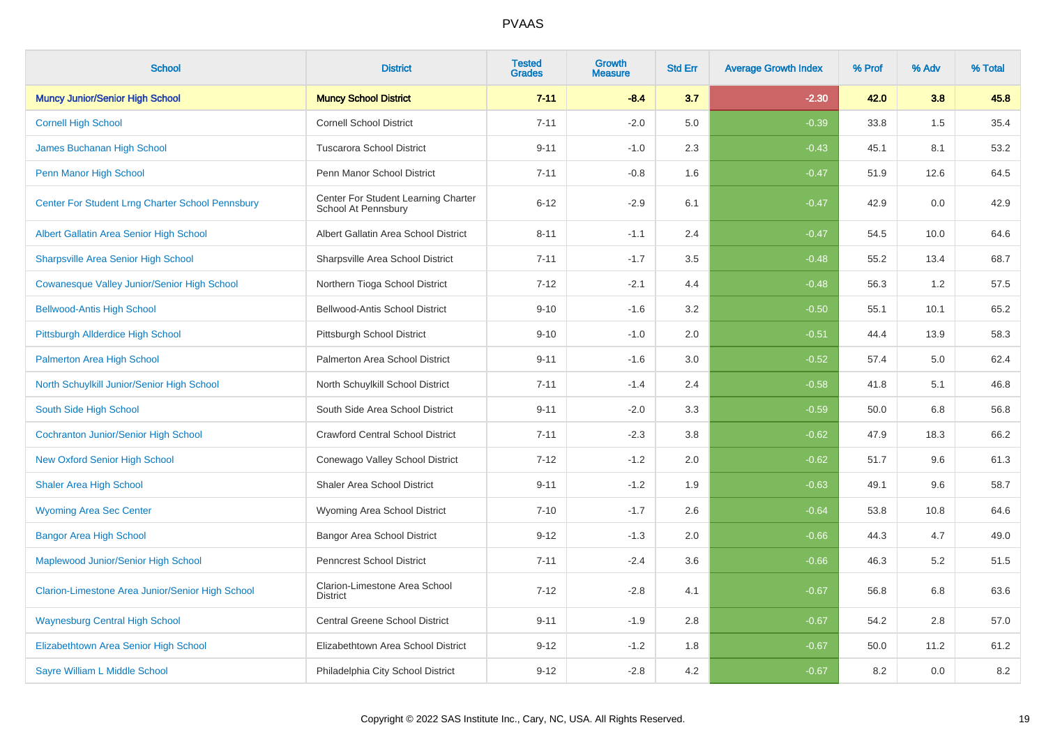| <b>School</b>                                    | <b>District</b>                                            | <b>Tested</b><br><b>Grades</b> | <b>Growth</b><br><b>Measure</b> | <b>Std Err</b> | <b>Average Growth Index</b> | % Prof | % Adv   | % Total |
|--------------------------------------------------|------------------------------------------------------------|--------------------------------|---------------------------------|----------------|-----------------------------|--------|---------|---------|
| <b>Muncy Junior/Senior High School</b>           | <b>Muncy School District</b>                               | $7 - 11$                       | $-8.4$                          | 3.7            | $-2.30$                     | 42.0   | 3.8     | 45.8    |
| <b>Cornell High School</b>                       | <b>Cornell School District</b>                             | $7 - 11$                       | $-2.0$                          | 5.0            | $-0.39$                     | 33.8   | 1.5     | 35.4    |
| <b>James Buchanan High School</b>                | <b>Tuscarora School District</b>                           | $9 - 11$                       | $-1.0$                          | 2.3            | $-0.43$                     | 45.1   | 8.1     | 53.2    |
| Penn Manor High School                           | Penn Manor School District                                 | $7 - 11$                       | $-0.8$                          | 1.6            | $-0.47$                     | 51.9   | 12.6    | 64.5    |
| Center For Student Lrng Charter School Pennsbury | Center For Student Learning Charter<br>School At Pennsbury | $6 - 12$                       | $-2.9$                          | 6.1            | $-0.47$                     | 42.9   | 0.0     | 42.9    |
| Albert Gallatin Area Senior High School          | Albert Gallatin Area School District                       | $8 - 11$                       | $-1.1$                          | 2.4            | $-0.47$                     | 54.5   | 10.0    | 64.6    |
| <b>Sharpsville Area Senior High School</b>       | Sharpsville Area School District                           | $7 - 11$                       | $-1.7$                          | 3.5            | $-0.48$                     | 55.2   | 13.4    | 68.7    |
| Cowanesque Valley Junior/Senior High School      | Northern Tioga School District                             | $7 - 12$                       | $-2.1$                          | 4.4            | $-0.48$                     | 56.3   | 1.2     | 57.5    |
| <b>Bellwood-Antis High School</b>                | Bellwood-Antis School District                             | $9 - 10$                       | $-1.6$                          | 3.2            | $-0.50$                     | 55.1   | 10.1    | 65.2    |
| <b>Pittsburgh Allderdice High School</b>         | Pittsburgh School District                                 | $9 - 10$                       | $-1.0$                          | 2.0            | $-0.51$                     | 44.4   | 13.9    | 58.3    |
| Palmerton Area High School                       | Palmerton Area School District                             | $9 - 11$                       | $-1.6$                          | 3.0            | $-0.52$                     | 57.4   | $5.0\,$ | 62.4    |
| North Schuylkill Junior/Senior High School       | North Schuylkill School District                           | $7 - 11$                       | $-1.4$                          | 2.4            | $-0.58$                     | 41.8   | 5.1     | 46.8    |
| South Side High School                           | South Side Area School District                            | $9 - 11$                       | $-2.0$                          | 3.3            | $-0.59$                     | 50.0   | 6.8     | 56.8    |
| <b>Cochranton Junior/Senior High School</b>      | <b>Crawford Central School District</b>                    | $7 - 11$                       | $-2.3$                          | 3.8            | $-0.62$                     | 47.9   | 18.3    | 66.2    |
| <b>New Oxford Senior High School</b>             | Conewago Valley School District                            | $7 - 12$                       | $-1.2$                          | 2.0            | $-0.62$                     | 51.7   | 9.6     | 61.3    |
| <b>Shaler Area High School</b>                   | <b>Shaler Area School District</b>                         | $9 - 11$                       | $-1.2$                          | 1.9            | $-0.63$                     | 49.1   | 9.6     | 58.7    |
| <b>Wyoming Area Sec Center</b>                   | Wyoming Area School District                               | $7 - 10$                       | $-1.7$                          | 2.6            | $-0.64$                     | 53.8   | 10.8    | 64.6    |
| <b>Bangor Area High School</b>                   | <b>Bangor Area School District</b>                         | $9 - 12$                       | $-1.3$                          | 2.0            | $-0.66$                     | 44.3   | 4.7     | 49.0    |
| Maplewood Junior/Senior High School              | <b>Penncrest School District</b>                           | $7 - 11$                       | $-2.4$                          | 3.6            | $-0.66$                     | 46.3   | 5.2     | 51.5    |
| Clarion-Limestone Area Junior/Senior High School | Clarion-Limestone Area School<br><b>District</b>           | $7 - 12$                       | $-2.8$                          | 4.1            | $-0.67$                     | 56.8   | 6.8     | 63.6    |
| <b>Waynesburg Central High School</b>            | Central Greene School District                             | $9 - 11$                       | $-1.9$                          | 2.8            | $-0.67$                     | 54.2   | 2.8     | 57.0    |
| Elizabethtown Area Senior High School            | Elizabethtown Area School District                         | $9 - 12$                       | $-1.2$                          | 1.8            | $-0.67$                     | 50.0   | 11.2    | 61.2    |
| Sayre William L Middle School                    | Philadelphia City School District                          | $9 - 12$                       | $-2.8$                          | 4.2            | $-0.67$                     | 8.2    | 0.0     | $8.2\,$ |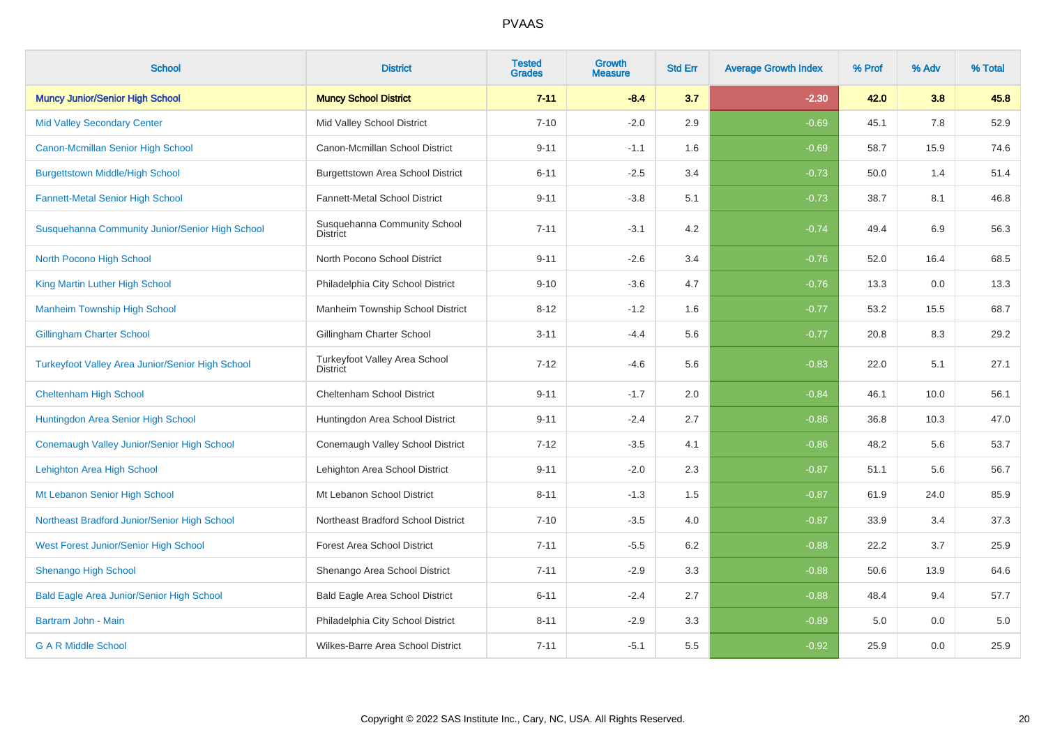| <b>School</b>                                           | <b>District</b>                                  | <b>Tested</b><br><b>Grades</b> | <b>Growth</b><br><b>Measure</b> | <b>Std Err</b> | <b>Average Growth Index</b> | % Prof | % Adv | % Total |
|---------------------------------------------------------|--------------------------------------------------|--------------------------------|---------------------------------|----------------|-----------------------------|--------|-------|---------|
| <b>Muncy Junior/Senior High School</b>                  | <b>Muncy School District</b>                     | $7 - 11$                       | $-8.4$                          | 3.7            | $-2.30$                     | 42.0   | 3.8   | 45.8    |
| <b>Mid Valley Secondary Center</b>                      | Mid Valley School District                       | $7 - 10$                       | $-2.0$                          | 2.9            | $-0.69$                     | 45.1   | 7.8   | 52.9    |
| Canon-Mcmillan Senior High School                       | Canon-Mcmillan School District                   | $9 - 11$                       | $-1.1$                          | 1.6            | $-0.69$                     | 58.7   | 15.9  | 74.6    |
| <b>Burgettstown Middle/High School</b>                  | Burgettstown Area School District                | $6 - 11$                       | $-2.5$                          | 3.4            | $-0.73$                     | 50.0   | 1.4   | 51.4    |
| <b>Fannett-Metal Senior High School</b>                 | Fannett-Metal School District                    | $9 - 11$                       | $-3.8$                          | 5.1            | $-0.73$                     | 38.7   | 8.1   | 46.8    |
| Susquehanna Community Junior/Senior High School         | Susquehanna Community School<br><b>District</b>  | $7 - 11$                       | $-3.1$                          | 4.2            | $-0.74$                     | 49.4   | 6.9   | 56.3    |
| North Pocono High School                                | North Pocono School District                     | $9 - 11$                       | $-2.6$                          | 3.4            | $-0.76$                     | 52.0   | 16.4  | 68.5    |
| King Martin Luther High School                          | Philadelphia City School District                | $9 - 10$                       | $-3.6$                          | 4.7            | $-0.76$                     | 13.3   | 0.0   | 13.3    |
| <b>Manheim Township High School</b>                     | Manheim Township School District                 | $8 - 12$                       | $-1.2$                          | 1.6            | $-0.77$                     | 53.2   | 15.5  | 68.7    |
| <b>Gillingham Charter School</b>                        | Gillingham Charter School                        | $3 - 11$                       | $-4.4$                          | 5.6            | $-0.77$                     | 20.8   | 8.3   | 29.2    |
| <b>Turkeyfoot Valley Area Junior/Senior High School</b> | Turkeyfoot Valley Area School<br><b>District</b> | $7 - 12$                       | $-4.6$                          | 5.6            | $-0.83$                     | 22.0   | 5.1   | 27.1    |
| <b>Cheltenham High School</b>                           | Cheltenham School District                       | $9 - 11$                       | $-1.7$                          | 2.0            | $-0.84$                     | 46.1   | 10.0  | 56.1    |
| Huntingdon Area Senior High School                      | Huntingdon Area School District                  | $9 - 11$                       | $-2.4$                          | 2.7            | $-0.86$                     | 36.8   | 10.3  | 47.0    |
| Conemaugh Valley Junior/Senior High School              | Conemaugh Valley School District                 | $7 - 12$                       | $-3.5$                          | 4.1            | $-0.86$                     | 48.2   | 5.6   | 53.7    |
| Lehighton Area High School                              | Lehighton Area School District                   | $9 - 11$                       | $-2.0$                          | 2.3            | $-0.87$                     | 51.1   | 5.6   | 56.7    |
| Mt Lebanon Senior High School                           | Mt Lebanon School District                       | $8 - 11$                       | $-1.3$                          | 1.5            | $-0.87$                     | 61.9   | 24.0  | 85.9    |
| Northeast Bradford Junior/Senior High School            | Northeast Bradford School District               | $7 - 10$                       | $-3.5$                          | 4.0            | $-0.87$                     | 33.9   | 3.4   | 37.3    |
| West Forest Junior/Senior High School                   | <b>Forest Area School District</b>               | $7 - 11$                       | $-5.5$                          | 6.2            | $-0.88$                     | 22.2   | 3.7   | 25.9    |
| <b>Shenango High School</b>                             | Shenango Area School District                    | $7 - 11$                       | $-2.9$                          | 3.3            | $-0.88$                     | 50.6   | 13.9  | 64.6    |
| <b>Bald Eagle Area Junior/Senior High School</b>        | Bald Eagle Area School District                  | $6 - 11$                       | $-2.4$                          | 2.7            | $-0.88$                     | 48.4   | 9.4   | 57.7    |
| Bartram John - Main                                     | Philadelphia City School District                | $8 - 11$                       | $-2.9$                          | 3.3            | $-0.89$                     | 5.0    | 0.0   | 5.0     |
| <b>G A R Middle School</b>                              | Wilkes-Barre Area School District                | $7 - 11$                       | $-5.1$                          | 5.5            | $-0.92$                     | 25.9   | 0.0   | 25.9    |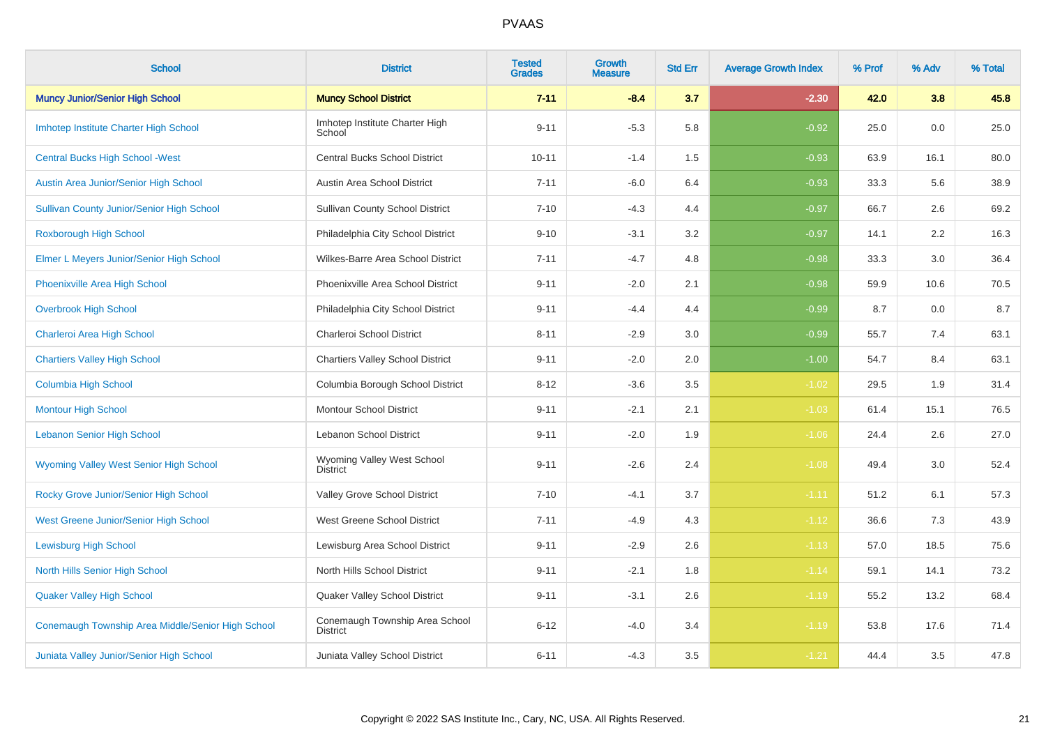| <b>School</b>                                     | <b>District</b>                                   | <b>Tested</b><br><b>Grades</b> | Growth<br><b>Measure</b> | <b>Std Err</b> | <b>Average Growth Index</b> | % Prof | % Adv | % Total |
|---------------------------------------------------|---------------------------------------------------|--------------------------------|--------------------------|----------------|-----------------------------|--------|-------|---------|
| <b>Muncy Junior/Senior High School</b>            | <b>Muncy School District</b>                      | $7 - 11$                       | $-8.4$                   | 3.7            | $-2.30$                     | 42.0   | 3.8   | 45.8    |
| Imhotep Institute Charter High School             | Imhotep Institute Charter High<br>School          | $9 - 11$                       | $-5.3$                   | 5.8            | $-0.92$                     | 25.0   | 0.0   | 25.0    |
| <b>Central Bucks High School - West</b>           | <b>Central Bucks School District</b>              | $10 - 11$                      | $-1.4$                   | 1.5            | $-0.93$                     | 63.9   | 16.1  | 80.0    |
| Austin Area Junior/Senior High School             | Austin Area School District                       | $7 - 11$                       | $-6.0$                   | 6.4            | $-0.93$                     | 33.3   | 5.6   | 38.9    |
| <b>Sullivan County Junior/Senior High School</b>  | <b>Sullivan County School District</b>            | $7 - 10$                       | $-4.3$                   | 4.4            | $-0.97$                     | 66.7   | 2.6   | 69.2    |
| Roxborough High School                            | Philadelphia City School District                 | $9 - 10$                       | $-3.1$                   | $3.2\,$        | $-0.97$                     | 14.1   | 2.2   | 16.3    |
| Elmer L Meyers Junior/Senior High School          | Wilkes-Barre Area School District                 | $7 - 11$                       | $-4.7$                   | 4.8            | $-0.98$                     | 33.3   | 3.0   | 36.4    |
| Phoenixville Area High School                     | Phoenixville Area School District                 | $9 - 11$                       | $-2.0$                   | 2.1            | $-0.98$                     | 59.9   | 10.6  | 70.5    |
| <b>Overbrook High School</b>                      | Philadelphia City School District                 | $9 - 11$                       | $-4.4$                   | 4.4            | $-0.99$                     | 8.7    | 0.0   | 8.7     |
| Charleroi Area High School                        | Charleroi School District                         | $8 - 11$                       | $-2.9$                   | 3.0            | $-0.99$                     | 55.7   | 7.4   | 63.1    |
| <b>Chartiers Valley High School</b>               | <b>Chartiers Valley School District</b>           | $9 - 11$                       | $-2.0$                   | 2.0            | $-1.00$                     | 54.7   | 8.4   | 63.1    |
| <b>Columbia High School</b>                       | Columbia Borough School District                  | $8 - 12$                       | $-3.6$                   | 3.5            | $-1.02$                     | 29.5   | 1.9   | 31.4    |
| <b>Montour High School</b>                        | <b>Montour School District</b>                    | $9 - 11$                       | $-2.1$                   | 2.1            | $-1.03$                     | 61.4   | 15.1  | 76.5    |
| <b>Lebanon Senior High School</b>                 | Lebanon School District                           | $9 - 11$                       | $-2.0$                   | 1.9            | $-1.06$                     | 24.4   | 2.6   | 27.0    |
| <b>Wyoming Valley West Senior High School</b>     | Wyoming Valley West School<br><b>District</b>     | $9 - 11$                       | $-2.6$                   | 2.4            | $-1.08$                     | 49.4   | 3.0   | 52.4    |
| Rocky Grove Junior/Senior High School             | Valley Grove School District                      | $7 - 10$                       | $-4.1$                   | 3.7            | $-1.11$                     | 51.2   | 6.1   | 57.3    |
| West Greene Junior/Senior High School             | West Greene School District                       | $7 - 11$                       | $-4.9$                   | 4.3            | $-1.12$                     | 36.6   | 7.3   | 43.9    |
| <b>Lewisburg High School</b>                      | Lewisburg Area School District                    | $9 - 11$                       | $-2.9$                   | 2.6            | $-1.13$                     | 57.0   | 18.5  | 75.6    |
| North Hills Senior High School                    | North Hills School District                       | $9 - 11$                       | $-2.1$                   | 1.8            | $-1.14$                     | 59.1   | 14.1  | 73.2    |
| <b>Quaker Valley High School</b>                  | Quaker Valley School District                     | $9 - 11$                       | $-3.1$                   | 2.6            | $-1.19$                     | 55.2   | 13.2  | 68.4    |
| Conemaugh Township Area Middle/Senior High School | Conemaugh Township Area School<br><b>District</b> | $6 - 12$                       | $-4.0$                   | 3.4            | $-1.19$                     | 53.8   | 17.6  | 71.4    |
| Juniata Valley Junior/Senior High School          | Juniata Valley School District                    | $6 - 11$                       | $-4.3$                   | 3.5            | $-1.21$                     | 44.4   | 3.5   | 47.8    |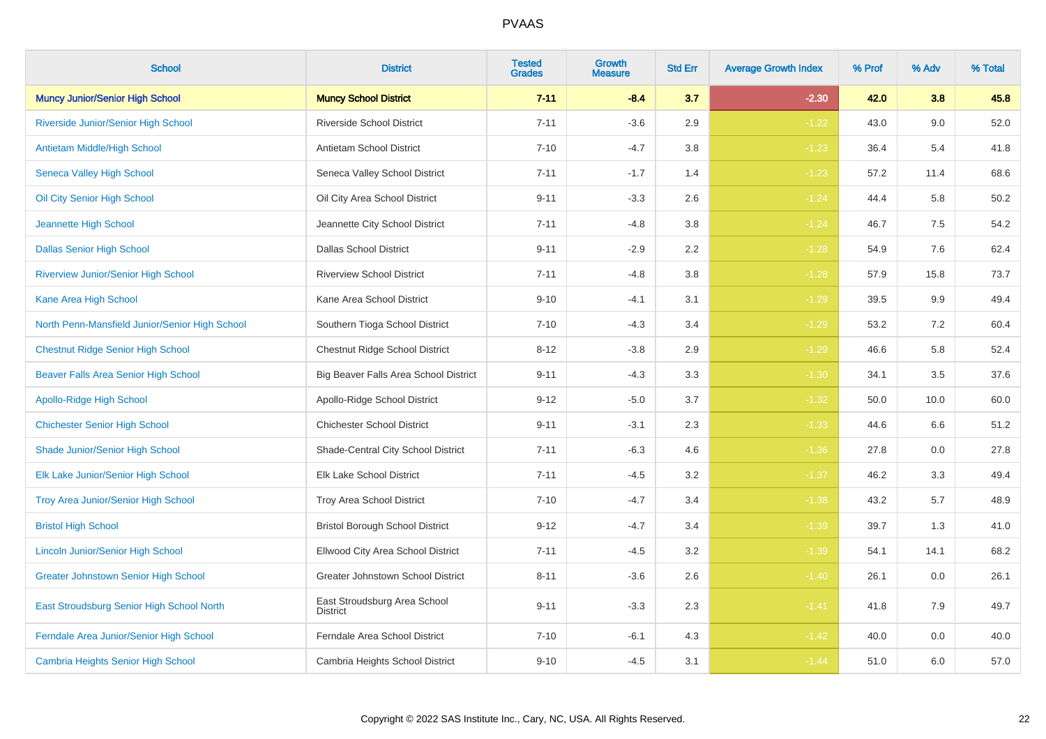| <b>School</b>                                  | <b>District</b>                                 | <b>Tested</b><br><b>Grades</b> | <b>Growth</b><br><b>Measure</b> | <b>Std Err</b> | <b>Average Growth Index</b> | % Prof | % Adv | % Total |
|------------------------------------------------|-------------------------------------------------|--------------------------------|---------------------------------|----------------|-----------------------------|--------|-------|---------|
| <b>Muncy Junior/Senior High School</b>         | <b>Muncy School District</b>                    | $7 - 11$                       | $-8.4$                          | 3.7            | $-2.30$                     | 42.0   | 3.8   | 45.8    |
| Riverside Junior/Senior High School            | <b>Riverside School District</b>                | $7 - 11$                       | $-3.6$                          | 2.9            | $-1.22$                     | 43.0   | 9.0   | 52.0    |
| Antietam Middle/High School                    | Antietam School District                        | $7 - 10$                       | $-4.7$                          | 3.8            | $-1.23$                     | 36.4   | 5.4   | 41.8    |
| Seneca Valley High School                      | Seneca Valley School District                   | $7 - 11$                       | $-1.7$                          | 1.4            | $-1.23$                     | 57.2   | 11.4  | 68.6    |
| Oil City Senior High School                    | Oil City Area School District                   | $9 - 11$                       | $-3.3$                          | 2.6            | $-1.24$                     | 44.4   | 5.8   | 50.2    |
| Jeannette High School                          | Jeannette City School District                  | $7 - 11$                       | $-4.8$                          | 3.8            | $-1.24$                     | 46.7   | 7.5   | 54.2    |
| <b>Dallas Senior High School</b>               | <b>Dallas School District</b>                   | $9 - 11$                       | $-2.9$                          | 2.2            | $-1.28$                     | 54.9   | 7.6   | 62.4    |
| <b>Riverview Junior/Senior High School</b>     | <b>Riverview School District</b>                | $7 - 11$                       | $-4.8$                          | 3.8            | $-1.28$                     | 57.9   | 15.8  | 73.7    |
| Kane Area High School                          | Kane Area School District                       | $9 - 10$                       | $-4.1$                          | 3.1            | $-1.29$                     | 39.5   | 9.9   | 49.4    |
| North Penn-Mansfield Junior/Senior High School | Southern Tioga School District                  | $7 - 10$                       | $-4.3$                          | 3.4            | $-1.29$                     | 53.2   | 7.2   | 60.4    |
| <b>Chestnut Ridge Senior High School</b>       | <b>Chestnut Ridge School District</b>           | $8 - 12$                       | $-3.8$                          | 2.9            | $-1.29$                     | 46.6   | 5.8   | 52.4    |
| <b>Beaver Falls Area Senior High School</b>    | Big Beaver Falls Area School District           | $9 - 11$                       | $-4.3$                          | 3.3            | $-1.30$                     | 34.1   | 3.5   | 37.6    |
| Apollo-Ridge High School                       | Apollo-Ridge School District                    | $9 - 12$                       | $-5.0$                          | 3.7            | $-1.32$                     | 50.0   | 10.0  | 60.0    |
| <b>Chichester Senior High School</b>           | <b>Chichester School District</b>               | $9 - 11$                       | $-3.1$                          | 2.3            | $-1.33$                     | 44.6   | 6.6   | 51.2    |
| Shade Junior/Senior High School                | Shade-Central City School District              | $7 - 11$                       | $-6.3$                          | 4.6            | $-1.36$                     | 27.8   | 0.0   | 27.8    |
| Elk Lake Junior/Senior High School             | <b>Elk Lake School District</b>                 | $7 - 11$                       | $-4.5$                          | 3.2            | $-1.37$                     | 46.2   | 3.3   | 49.4    |
| Troy Area Junior/Senior High School            | Troy Area School District                       | $7 - 10$                       | $-4.7$                          | 3.4            | $-1.38$                     | 43.2   | 5.7   | 48.9    |
| <b>Bristol High School</b>                     | <b>Bristol Borough School District</b>          | $9 - 12$                       | $-4.7$                          | 3.4            | $-1.39$                     | 39.7   | 1.3   | 41.0    |
| <b>Lincoln Junior/Senior High School</b>       | Ellwood City Area School District               | $7 - 11$                       | $-4.5$                          | 3.2            | $-1.39$                     | 54.1   | 14.1  | 68.2    |
| <b>Greater Johnstown Senior High School</b>    | <b>Greater Johnstown School District</b>        | $8 - 11$                       | $-3.6$                          | 2.6            | $-1.40$                     | 26.1   | 0.0   | 26.1    |
| East Stroudsburg Senior High School North      | East Stroudsburg Area School<br><b>District</b> | $9 - 11$                       | $-3.3$                          | 2.3            | $-1.41$                     | 41.8   | 7.9   | 49.7    |
| Ferndale Area Junior/Senior High School        | Ferndale Area School District                   | $7 - 10$                       | $-6.1$                          | 4.3            | $-1.42$                     | 40.0   | 0.0   | 40.0    |
| <b>Cambria Heights Senior High School</b>      | Cambria Heights School District                 | $9 - 10$                       | $-4.5$                          | 3.1            | $-1.44$                     | 51.0   | 6.0   | 57.0    |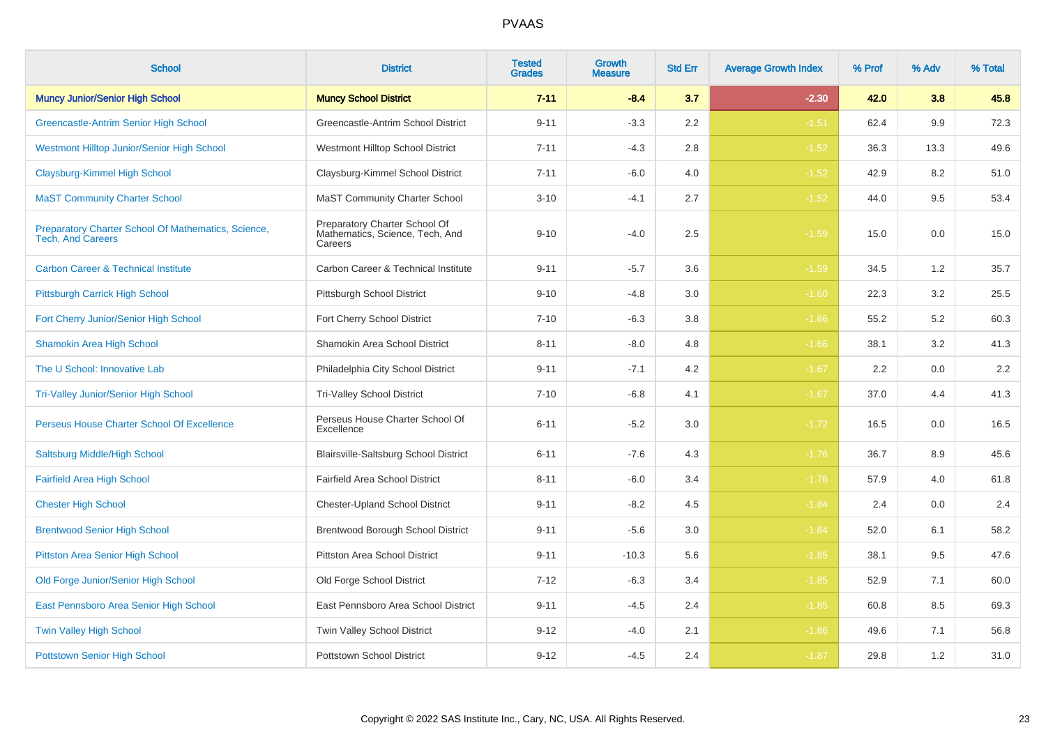| <b>School</b>                                                                   | <b>District</b>                                                             | <b>Tested</b><br><b>Grades</b> | Growth<br>Measure | <b>Std Err</b> | <b>Average Growth Index</b> | % Prof | % Adv | % Total |
|---------------------------------------------------------------------------------|-----------------------------------------------------------------------------|--------------------------------|-------------------|----------------|-----------------------------|--------|-------|---------|
| <b>Muncy Junior/Senior High School</b>                                          | <b>Muncy School District</b>                                                | $7 - 11$                       | $-8.4$            | 3.7            | $-2.30$                     | 42.0   | 3.8   | 45.8    |
| Greencastle-Antrim Senior High School                                           | Greencastle-Antrim School District                                          | $9 - 11$                       | $-3.3$            | 2.2            | $-1.51$                     | 62.4   | 9.9   | 72.3    |
| Westmont Hilltop Junior/Senior High School                                      | Westmont Hilltop School District                                            | $7 - 11$                       | $-4.3$            | 2.8            | $-1.52$                     | 36.3   | 13.3  | 49.6    |
| Claysburg-Kimmel High School                                                    | Claysburg-Kimmel School District                                            | $7 - 11$                       | $-6.0$            | 4.0            | $-1.52$                     | 42.9   | 8.2   | 51.0    |
| <b>MaST Community Charter School</b>                                            | <b>MaST Community Charter School</b>                                        | $3 - 10$                       | $-4.1$            | 2.7            | $-1.52$                     | 44.0   | 9.5   | 53.4    |
| Preparatory Charter School Of Mathematics, Science,<br><b>Tech, And Careers</b> | Preparatory Charter School Of<br>Mathematics, Science, Tech, And<br>Careers | $9 - 10$                       | $-4.0$            | 2.5            | $-1.59$                     | 15.0   | 0.0   | 15.0    |
| <b>Carbon Career &amp; Technical Institute</b>                                  | Carbon Career & Technical Institute                                         | $9 - 11$                       | $-5.7$            | 3.6            | $-1.59$                     | 34.5   | 1.2   | 35.7    |
| Pittsburgh Carrick High School                                                  | Pittsburgh School District                                                  | $9 - 10$                       | $-4.8$            | 3.0            | $-1.60$                     | 22.3   | 3.2   | 25.5    |
| Fort Cherry Junior/Senior High School                                           | Fort Cherry School District                                                 | $7 - 10$                       | $-6.3$            | 3.8            | $-1.66$                     | 55.2   | 5.2   | 60.3    |
| <b>Shamokin Area High School</b>                                                | Shamokin Area School District                                               | $8 - 11$                       | $-8.0$            | 4.8            | $-1.66$                     | 38.1   | 3.2   | 41.3    |
| The U School: Innovative Lab                                                    | Philadelphia City School District                                           | $9 - 11$                       | $-7.1$            | 4.2            | $-1.67$                     | 2.2    | 0.0   | $2.2\,$ |
| <b>Tri-Valley Junior/Senior High School</b>                                     | <b>Tri-Valley School District</b>                                           | $7 - 10$                       | $-6.8$            | 4.1            | $-1.67$                     | 37.0   | 4.4   | 41.3    |
| Perseus House Charter School Of Excellence                                      | Perseus House Charter School Of<br>Excellence                               | $6 - 11$                       | $-5.2$            | 3.0            | $-1.72$                     | 16.5   | 0.0   | 16.5    |
| Saltsburg Middle/High School                                                    | Blairsville-Saltsburg School District                                       | $6 - 11$                       | $-7.6$            | 4.3            | $-1.76$                     | 36.7   | 8.9   | 45.6    |
| <b>Fairfield Area High School</b>                                               | Fairfield Area School District                                              | $8 - 11$                       | $-6.0$            | 3.4            | $-1.76$                     | 57.9   | 4.0   | 61.8    |
| <b>Chester High School</b>                                                      | <b>Chester-Upland School District</b>                                       | $9 - 11$                       | $-8.2$            | 4.5            | $-1.84$                     | 2.4    | 0.0   | 2.4     |
| <b>Brentwood Senior High School</b>                                             | Brentwood Borough School District                                           | $9 - 11$                       | $-5.6$            | $3.0\,$        | $-1.84$                     | 52.0   | 6.1   | 58.2    |
| <b>Pittston Area Senior High School</b>                                         | Pittston Area School District                                               | $9 - 11$                       | $-10.3$           | 5.6            | $-1.85$                     | 38.1   | 9.5   | 47.6    |
| Old Forge Junior/Senior High School                                             | Old Forge School District                                                   | $7 - 12$                       | $-6.3$            | 3.4            | $-1.85$                     | 52.9   | 7.1   | 60.0    |
| East Pennsboro Area Senior High School                                          | East Pennsboro Area School District                                         | $9 - 11$                       | $-4.5$            | 2.4            | $-1.85$                     | 60.8   | 8.5   | 69.3    |
| <b>Twin Valley High School</b>                                                  | Twin Valley School District                                                 | $9 - 12$                       | $-4.0$            | 2.1            | $-1.86$                     | 49.6   | 7.1   | 56.8    |
| <b>Pottstown Senior High School</b>                                             | <b>Pottstown School District</b>                                            | $9 - 12$                       | $-4.5$            | 2.4            | $-1.87$                     | 29.8   | 1.2   | 31.0    |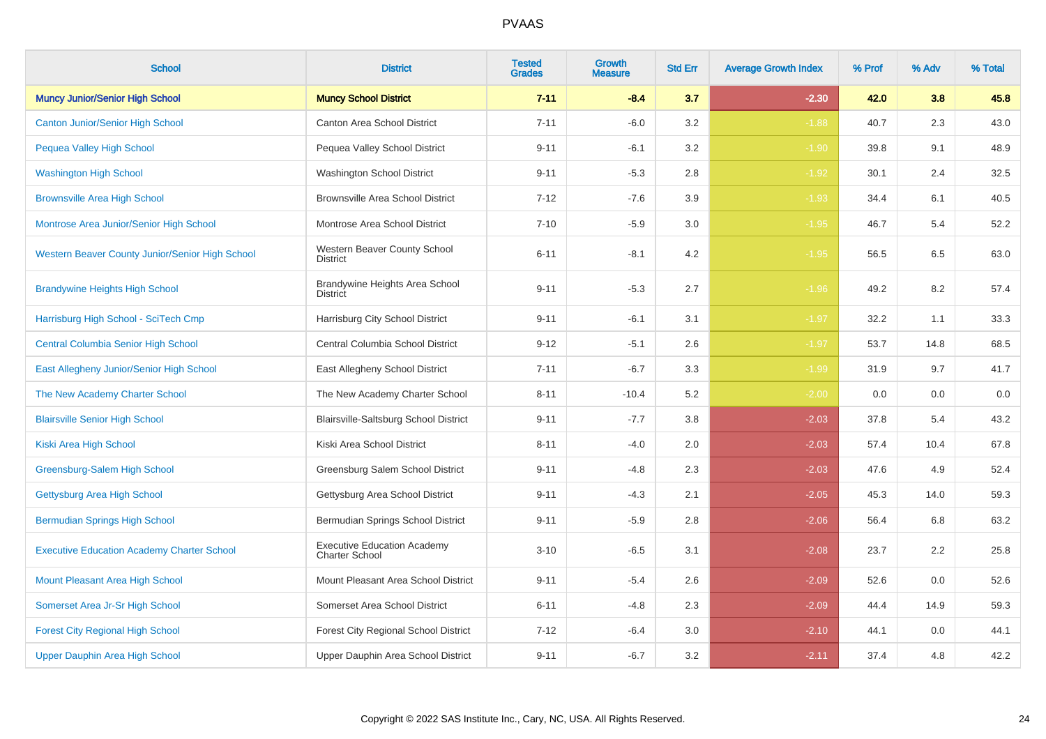| <b>School</b>                                     | <b>District</b>                                             | <b>Tested</b><br><b>Grades</b> | <b>Growth</b><br><b>Measure</b> | <b>Std Err</b> | <b>Average Growth Index</b> | % Prof | % Adv | % Total |
|---------------------------------------------------|-------------------------------------------------------------|--------------------------------|---------------------------------|----------------|-----------------------------|--------|-------|---------|
| <b>Muncy Junior/Senior High School</b>            | <b>Muncy School District</b>                                | $7 - 11$                       | $-8.4$                          | 3.7            | $-2.30$                     | 42.0   | 3.8   | 45.8    |
| <b>Canton Junior/Senior High School</b>           | Canton Area School District                                 | $7 - 11$                       | $-6.0$                          | 3.2            | $-1.88$                     | 40.7   | 2.3   | 43.0    |
| <b>Pequea Valley High School</b>                  | Pequea Valley School District                               | $9 - 11$                       | $-6.1$                          | 3.2            | $-1.90$                     | 39.8   | 9.1   | 48.9    |
| <b>Washington High School</b>                     | Washington School District                                  | $9 - 11$                       | $-5.3$                          | 2.8            | $-1.92$                     | 30.1   | 2.4   | 32.5    |
| <b>Brownsville Area High School</b>               | <b>Brownsville Area School District</b>                     | $7 - 12$                       | $-7.6$                          | 3.9            | $-1.93$                     | 34.4   | 6.1   | 40.5    |
| Montrose Area Junior/Senior High School           | Montrose Area School District                               | $7 - 10$                       | $-5.9$                          | 3.0            | $-1.95$                     | 46.7   | 5.4   | 52.2    |
| Western Beaver County Junior/Senior High School   | Western Beaver County School<br><b>District</b>             | $6 - 11$                       | $-8.1$                          | 4.2            | $-1.95$                     | 56.5   | 6.5   | 63.0    |
| <b>Brandywine Heights High School</b>             | Brandywine Heights Area School<br><b>District</b>           | $9 - 11$                       | $-5.3$                          | 2.7            | $-1.96$                     | 49.2   | 8.2   | 57.4    |
| Harrisburg High School - SciTech Cmp              | Harrisburg City School District                             | $9 - 11$                       | $-6.1$                          | 3.1            | $-1.97$                     | 32.2   | 1.1   | 33.3    |
| <b>Central Columbia Senior High School</b>        | Central Columbia School District                            | $9 - 12$                       | $-5.1$                          | 2.6            | $-1.97$                     | 53.7   | 14.8  | 68.5    |
| East Allegheny Junior/Senior High School          | East Allegheny School District                              | $7 - 11$                       | $-6.7$                          | 3.3            | $-1.99$                     | 31.9   | 9.7   | 41.7    |
| The New Academy Charter School                    | The New Academy Charter School                              | $8 - 11$                       | $-10.4$                         | 5.2            | $-2.00$                     | 0.0    | 0.0   | 0.0     |
| <b>Blairsville Senior High School</b>             | <b>Blairsville-Saltsburg School District</b>                | $9 - 11$                       | $-7.7$                          | 3.8            | $-2.03$                     | 37.8   | 5.4   | 43.2    |
| Kiski Area High School                            | Kiski Area School District                                  | $8 - 11$                       | $-4.0$                          | 2.0            | $-2.03$                     | 57.4   | 10.4  | 67.8    |
| Greensburg-Salem High School                      | Greensburg Salem School District                            | $9 - 11$                       | $-4.8$                          | 2.3            | $-2.03$                     | 47.6   | 4.9   | 52.4    |
| Gettysburg Area High School                       | Gettysburg Area School District                             | $9 - 11$                       | $-4.3$                          | 2.1            | $-2.05$                     | 45.3   | 14.0  | 59.3    |
| <b>Bermudian Springs High School</b>              | Bermudian Springs School District                           | $9 - 11$                       | $-5.9$                          | 2.8            | $-2.06$                     | 56.4   | 6.8   | 63.2    |
| <b>Executive Education Academy Charter School</b> | <b>Executive Education Academy</b><br><b>Charter School</b> | $3 - 10$                       | $-6.5$                          | 3.1            | $-2.08$                     | 23.7   | 2.2   | 25.8    |
| Mount Pleasant Area High School                   | Mount Pleasant Area School District                         | $9 - 11$                       | $-5.4$                          | 2.6            | $-2.09$                     | 52.6   | 0.0   | 52.6    |
| Somerset Area Jr-Sr High School                   | Somerset Area School District                               | $6 - 11$                       | $-4.8$                          | 2.3            | $-2.09$                     | 44.4   | 14.9  | 59.3    |
| <b>Forest City Regional High School</b>           | Forest City Regional School District                        | $7 - 12$                       | $-6.4$                          | 3.0            | $-2.10$                     | 44.1   | 0.0   | 44.1    |
| Upper Dauphin Area High School                    | Upper Dauphin Area School District                          | $9 - 11$                       | $-6.7$                          | 3.2            | $-2.11$                     | 37.4   | 4.8   | 42.2    |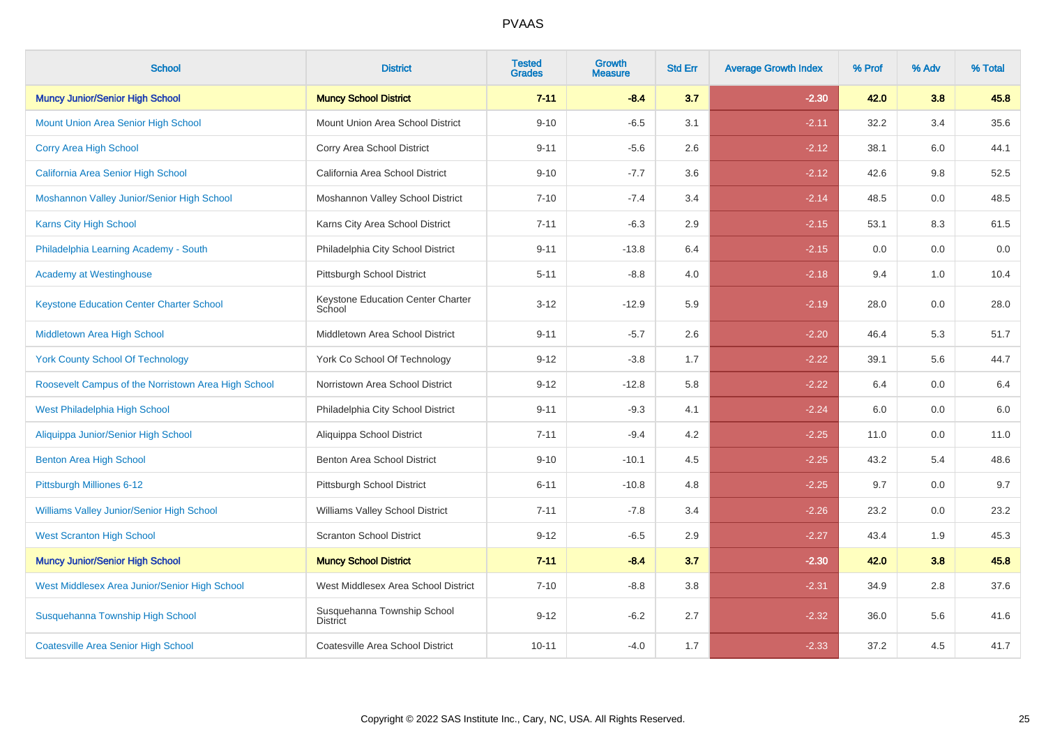| <b>School</b>                                       | <b>District</b>                             | <b>Tested</b><br><b>Grades</b> | <b>Growth</b><br><b>Measure</b> | <b>Std Err</b> | <b>Average Growth Index</b> | % Prof | % Adv | % Total |
|-----------------------------------------------------|---------------------------------------------|--------------------------------|---------------------------------|----------------|-----------------------------|--------|-------|---------|
| <b>Muncy Junior/Senior High School</b>              | <b>Muncy School District</b>                | $7 - 11$                       | $-8.4$                          | 3.7            | $-2.30$                     | 42.0   | 3.8   | 45.8    |
| <b>Mount Union Area Senior High School</b>          | Mount Union Area School District            | $9 - 10$                       | $-6.5$                          | 3.1            | $-2.11$                     | 32.2   | 3.4   | 35.6    |
| <b>Corry Area High School</b>                       | Corry Area School District                  | $9 - 11$                       | $-5.6$                          | 2.6            | $-2.12$                     | 38.1   | 6.0   | 44.1    |
| California Area Senior High School                  | California Area School District             | $9 - 10$                       | $-7.7$                          | 3.6            | $-2.12$                     | 42.6   | 9.8   | 52.5    |
| Moshannon Valley Junior/Senior High School          | Moshannon Valley School District            | $7 - 10$                       | $-7.4$                          | 3.4            | $-2.14$                     | 48.5   | 0.0   | 48.5    |
| <b>Karns City High School</b>                       | Karns City Area School District             | $7 - 11$                       | $-6.3$                          | 2.9            | $-2.15$                     | 53.1   | 8.3   | 61.5    |
| Philadelphia Learning Academy - South               | Philadelphia City School District           | $9 - 11$                       | $-13.8$                         | 6.4            | $-2.15$                     | 0.0    | 0.0   | 0.0     |
| <b>Academy at Westinghouse</b>                      | Pittsburgh School District                  | $5 - 11$                       | $-8.8$                          | 4.0            | $-2.18$                     | 9.4    | 1.0   | 10.4    |
| <b>Keystone Education Center Charter School</b>     | Keystone Education Center Charter<br>School | $3 - 12$                       | $-12.9$                         | 5.9            | $-2.19$                     | 28.0   | 0.0   | 28.0    |
| <b>Middletown Area High School</b>                  | Middletown Area School District             | $9 - 11$                       | $-5.7$                          | 2.6            | $-2.20$                     | 46.4   | 5.3   | 51.7    |
| <b>York County School Of Technology</b>             | York Co School Of Technology                | $9 - 12$                       | $-3.8$                          | 1.7            | $-2.22$                     | 39.1   | 5.6   | 44.7    |
| Roosevelt Campus of the Norristown Area High School | Norristown Area School District             | $9 - 12$                       | $-12.8$                         | 5.8            | $-2.22$                     | 6.4    | 0.0   | 6.4     |
| West Philadelphia High School                       | Philadelphia City School District           | $9 - 11$                       | $-9.3$                          | 4.1            | $-2.24$                     | 6.0    | 0.0   | 6.0     |
| Aliquippa Junior/Senior High School                 | Aliquippa School District                   | $7 - 11$                       | $-9.4$                          | 4.2            | $-2.25$                     | 11.0   | 0.0   | 11.0    |
| <b>Benton Area High School</b>                      | Benton Area School District                 | $9 - 10$                       | $-10.1$                         | 4.5            | $-2.25$                     | 43.2   | 5.4   | 48.6    |
| Pittsburgh Milliones 6-12                           | Pittsburgh School District                  | $6 - 11$                       | $-10.8$                         | 4.8            | $-2.25$                     | 9.7    | 0.0   | 9.7     |
| <b>Williams Valley Junior/Senior High School</b>    | <b>Williams Valley School District</b>      | $7 - 11$                       | $-7.8$                          | 3.4            | $-2.26$                     | 23.2   | 0.0   | 23.2    |
| <b>West Scranton High School</b>                    | <b>Scranton School District</b>             | $9 - 12$                       | $-6.5$                          | 2.9            | $-2.27$                     | 43.4   | 1.9   | 45.3    |
| <b>Muncy Junior/Senior High School</b>              | <b>Muncy School District</b>                | $7 - 11$                       | $-8.4$                          | 3.7            | $-2.30$                     | 42.0   | 3.8   | 45.8    |
| West Middlesex Area Junior/Senior High School       | West Middlesex Area School District         | $7 - 10$                       | $-8.8$                          | 3.8            | $-2.31$                     | 34.9   | 2.8   | 37.6    |
| Susquehanna Township High School                    | Susquehanna Township School<br>District     | $9 - 12$                       | $-6.2$                          | 2.7            | $-2.32$                     | 36.0   | 5.6   | 41.6    |
| <b>Coatesville Area Senior High School</b>          | Coatesville Area School District            | $10 - 11$                      | $-4.0$                          | 1.7            | $-2.33$                     | 37.2   | 4.5   | 41.7    |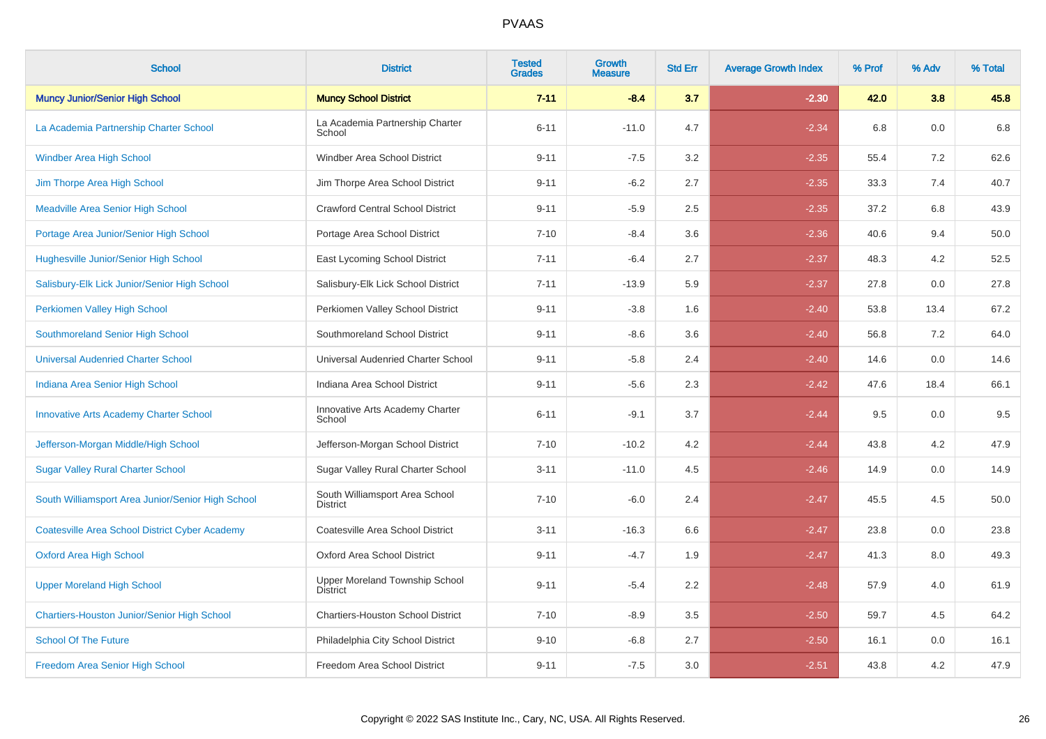| <b>School</b>                                         | <b>District</b>                                   | <b>Tested</b><br><b>Grades</b> | <b>Growth</b><br><b>Measure</b> | <b>Std Err</b> | <b>Average Growth Index</b> | % Prof | % Adv   | % Total |
|-------------------------------------------------------|---------------------------------------------------|--------------------------------|---------------------------------|----------------|-----------------------------|--------|---------|---------|
| <b>Muncy Junior/Senior High School</b>                | <b>Muncy School District</b>                      | $7 - 11$                       | $-8.4$                          | 3.7            | $-2.30$                     | 42.0   | 3.8     | 45.8    |
| La Academia Partnership Charter School                | La Academia Partnership Charter<br>School         | $6 - 11$                       | $-11.0$                         | 4.7            | $-2.34$                     | 6.8    | 0.0     | 6.8     |
| <b>Windber Area High School</b>                       | Windber Area School District                      | $9 - 11$                       | $-7.5$                          | 3.2            | $-2.35$                     | 55.4   | 7.2     | 62.6    |
| Jim Thorpe Area High School                           | Jim Thorpe Area School District                   | $9 - 11$                       | $-6.2$                          | 2.7            | $-2.35$                     | 33.3   | 7.4     | 40.7    |
| <b>Meadville Area Senior High School</b>              | <b>Crawford Central School District</b>           | $9 - 11$                       | $-5.9$                          | 2.5            | $-2.35$                     | 37.2   | 6.8     | 43.9    |
| Portage Area Junior/Senior High School                | Portage Area School District                      | $7 - 10$                       | $-8.4$                          | 3.6            | $-2.36$                     | 40.6   | 9.4     | 50.0    |
| <b>Hughesville Junior/Senior High School</b>          | East Lycoming School District                     | $7 - 11$                       | $-6.4$                          | 2.7            | $-2.37$                     | 48.3   | 4.2     | 52.5    |
| Salisbury-Elk Lick Junior/Senior High School          | Salisbury-Elk Lick School District                | $7 - 11$                       | $-13.9$                         | 5.9            | $-2.37$                     | 27.8   | 0.0     | 27.8    |
| Perkiomen Valley High School                          | Perkiomen Valley School District                  | $9 - 11$                       | $-3.8$                          | 1.6            | $-2.40$                     | 53.8   | 13.4    | 67.2    |
| Southmoreland Senior High School                      | Southmoreland School District                     | $9 - 11$                       | $-8.6$                          | 3.6            | $-2.40$                     | 56.8   | 7.2     | 64.0    |
| <b>Universal Audenried Charter School</b>             | Universal Audenried Charter School                | $9 - 11$                       | $-5.8$                          | 2.4            | $-2.40$                     | 14.6   | 0.0     | 14.6    |
| Indiana Area Senior High School                       | Indiana Area School District                      | $9 - 11$                       | $-5.6$                          | 2.3            | $-2.42$                     | 47.6   | 18.4    | 66.1    |
| <b>Innovative Arts Academy Charter School</b>         | Innovative Arts Academy Charter<br>School         | $6 - 11$                       | $-9.1$                          | 3.7            | $-2.44$                     | 9.5    | 0.0     | 9.5     |
| Jefferson-Morgan Middle/High School                   | Jefferson-Morgan School District                  | $7 - 10$                       | $-10.2$                         | 4.2            | $-2.44$                     | 43.8   | 4.2     | 47.9    |
| <b>Sugar Valley Rural Charter School</b>              | Sugar Valley Rural Charter School                 | $3 - 11$                       | $-11.0$                         | 4.5            | $-2.46$                     | 14.9   | 0.0     | 14.9    |
| South Williamsport Area Junior/Senior High School     | South Williamsport Area School<br><b>District</b> | $7 - 10$                       | $-6.0$                          | 2.4            | $-2.47$                     | 45.5   | 4.5     | 50.0    |
| <b>Coatesville Area School District Cyber Academy</b> | Coatesville Area School District                  | $3 - 11$                       | $-16.3$                         | 6.6            | $-2.47$                     | 23.8   | $0.0\,$ | 23.8    |
| <b>Oxford Area High School</b>                        | Oxford Area School District                       | $9 - 11$                       | $-4.7$                          | 1.9            | $-2.47$                     | 41.3   | 8.0     | 49.3    |
| <b>Upper Moreland High School</b>                     | Upper Moreland Township School<br><b>District</b> | $9 - 11$                       | $-5.4$                          | 2.2            | $-2.48$                     | 57.9   | 4.0     | 61.9    |
| Chartiers-Houston Junior/Senior High School           | <b>Chartiers-Houston School District</b>          | $7 - 10$                       | $-8.9$                          | 3.5            | $-2.50$                     | 59.7   | 4.5     | 64.2    |
| <b>School Of The Future</b>                           | Philadelphia City School District                 | $9 - 10$                       | $-6.8$                          | 2.7            | $-2.50$                     | 16.1   | 0.0     | 16.1    |
| Freedom Area Senior High School                       | Freedom Area School District                      | $9 - 11$                       | $-7.5$                          | 3.0            | $-2.51$                     | 43.8   | 4.2     | 47.9    |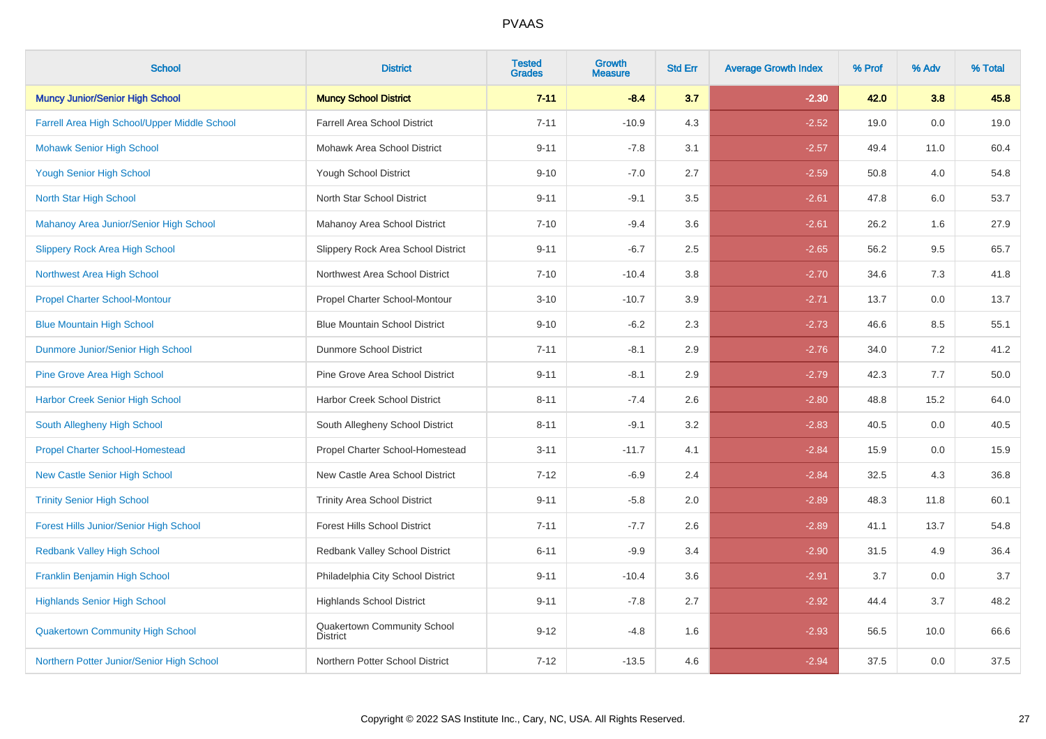| <b>School</b>                                 | <b>District</b>                                | <b>Tested</b><br><b>Grades</b> | Growth<br><b>Measure</b> | <b>Std Err</b> | <b>Average Growth Index</b> | % Prof | % Adv | % Total |
|-----------------------------------------------|------------------------------------------------|--------------------------------|--------------------------|----------------|-----------------------------|--------|-------|---------|
| <b>Muncy Junior/Senior High School</b>        | <b>Muncy School District</b>                   | $7 - 11$                       | $-8.4$                   | 3.7            | $-2.30$                     | 42.0   | 3.8   | 45.8    |
| Farrell Area High School/Upper Middle School  | <b>Farrell Area School District</b>            | $7 - 11$                       | $-10.9$                  | 4.3            | $-2.52$                     | 19.0   | 0.0   | 19.0    |
| <b>Mohawk Senior High School</b>              | Mohawk Area School District                    | $9 - 11$                       | $-7.8$                   | 3.1            | $-2.57$                     | 49.4   | 11.0  | 60.4    |
| <b>Yough Senior High School</b>               | <b>Yough School District</b>                   | $9 - 10$                       | $-7.0$                   | 2.7            | $-2.59$                     | 50.8   | 4.0   | 54.8    |
| North Star High School                        | North Star School District                     | $9 - 11$                       | $-9.1$                   | 3.5            | $-2.61$                     | 47.8   | 6.0   | 53.7    |
| Mahanoy Area Junior/Senior High School        | Mahanoy Area School District                   | $7 - 10$                       | $-9.4$                   | 3.6            | $-2.61$                     | 26.2   | 1.6   | 27.9    |
| <b>Slippery Rock Area High School</b>         | Slippery Rock Area School District             | $9 - 11$                       | $-6.7$                   | 2.5            | $-2.65$                     | 56.2   | 9.5   | 65.7    |
| Northwest Area High School                    | Northwest Area School District                 | $7 - 10$                       | $-10.4$                  | 3.8            | $-2.70$                     | 34.6   | 7.3   | 41.8    |
| <b>Propel Charter School-Montour</b>          | Propel Charter School-Montour                  | $3 - 10$                       | $-10.7$                  | 3.9            | $-2.71$                     | 13.7   | 0.0   | 13.7    |
| <b>Blue Mountain High School</b>              | <b>Blue Mountain School District</b>           | $9 - 10$                       | $-6.2$                   | 2.3            | $-2.73$                     | 46.6   | 8.5   | 55.1    |
| Dunmore Junior/Senior High School             | Dunmore School District                        | $7 - 11$                       | $-8.1$                   | 2.9            | $-2.76$                     | 34.0   | 7.2   | 41.2    |
| <b>Pine Grove Area High School</b>            | Pine Grove Area School District                | $9 - 11$                       | $-8.1$                   | 2.9            | $-2.79$                     | 42.3   | 7.7   | 50.0    |
| <b>Harbor Creek Senior High School</b>        | Harbor Creek School District                   | $8 - 11$                       | $-7.4$                   | 2.6            | $-2.80$                     | 48.8   | 15.2  | 64.0    |
| South Allegheny High School                   | South Allegheny School District                | $8 - 11$                       | $-9.1$                   | 3.2            | $-2.83$                     | 40.5   | 0.0   | 40.5    |
| <b>Propel Charter School-Homestead</b>        | Propel Charter School-Homestead                | $3 - 11$                       | $-11.7$                  | 4.1            | $-2.84$                     | 15.9   | 0.0   | 15.9    |
| <b>New Castle Senior High School</b>          | New Castle Area School District                | $7 - 12$                       | $-6.9$                   | 2.4            | $-2.84$                     | 32.5   | 4.3   | 36.8    |
| <b>Trinity Senior High School</b>             | <b>Trinity Area School District</b>            | $9 - 11$                       | $-5.8$                   | $2.0\,$        | $-2.89$                     | 48.3   | 11.8  | 60.1    |
| <b>Forest Hills Junior/Senior High School</b> | Forest Hills School District                   | $7 - 11$                       | $-7.7$                   | 2.6            | $-2.89$                     | 41.1   | 13.7  | 54.8    |
| <b>Redbank Valley High School</b>             | Redbank Valley School District                 | $6 - 11$                       | $-9.9$                   | 3.4            | $-2.90$                     | 31.5   | 4.9   | 36.4    |
| <b>Franklin Benjamin High School</b>          | Philadelphia City School District              | $9 - 11$                       | $-10.4$                  | 3.6            | $-2.91$                     | 3.7    | 0.0   | 3.7     |
| <b>Highlands Senior High School</b>           | <b>Highlands School District</b>               | $9 - 11$                       | $-7.8$                   | 2.7            | $-2.92$                     | 44.4   | 3.7   | 48.2    |
| <b>Quakertown Community High School</b>       | Quakertown Community School<br><b>District</b> | $9 - 12$                       | $-4.8$                   | 1.6            | $-2.93$                     | 56.5   | 10.0  | 66.6    |
| Northern Potter Junior/Senior High School     | Northern Potter School District                | $7 - 12$                       | $-13.5$                  | 4.6            | $-2.94$                     | 37.5   | 0.0   | 37.5    |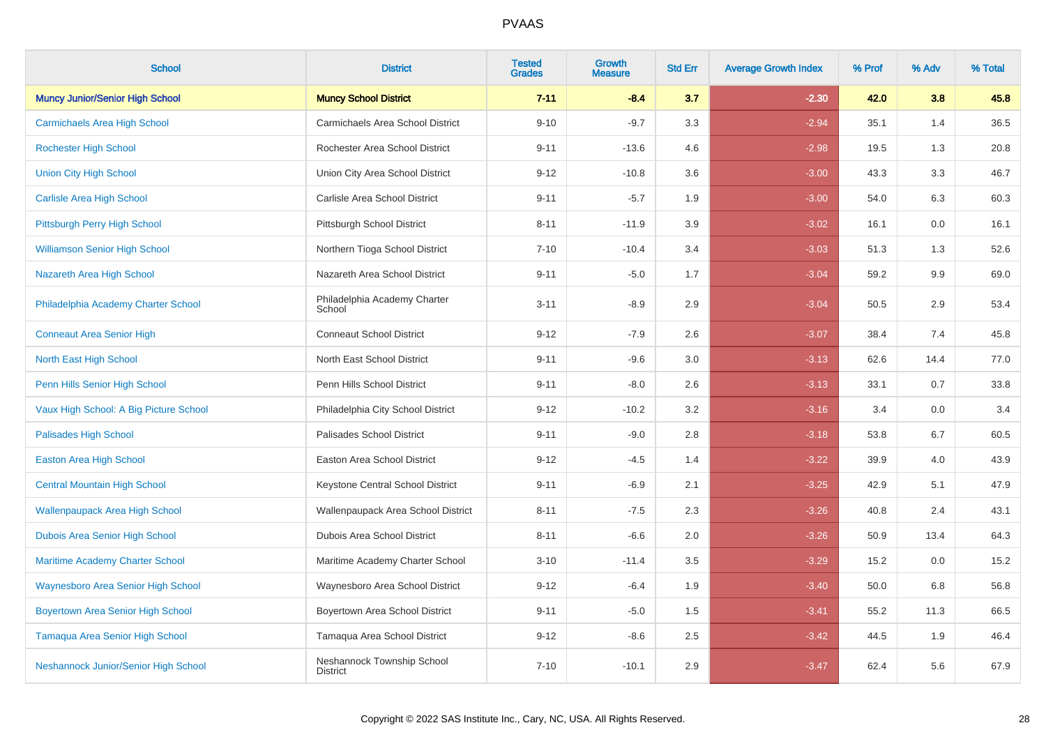| <b>School</b>                             | <b>District</b>                               | <b>Tested</b><br><b>Grades</b> | <b>Growth</b><br><b>Measure</b> | <b>Std Err</b> | <b>Average Growth Index</b> | % Prof | % Adv | % Total |
|-------------------------------------------|-----------------------------------------------|--------------------------------|---------------------------------|----------------|-----------------------------|--------|-------|---------|
| <b>Muncy Junior/Senior High School</b>    | <b>Muncy School District</b>                  | $7 - 11$                       | $-8.4$                          | 3.7            | $-2.30$                     | 42.0   | 3.8   | 45.8    |
| <b>Carmichaels Area High School</b>       | Carmichaels Area School District              | $9 - 10$                       | $-9.7$                          | 3.3            | $-2.94$                     | 35.1   | 1.4   | 36.5    |
| <b>Rochester High School</b>              | Rochester Area School District                | $9 - 11$                       | $-13.6$                         | 4.6            | $-2.98$                     | 19.5   | 1.3   | 20.8    |
| <b>Union City High School</b>             | Union City Area School District               | $9 - 12$                       | $-10.8$                         | 3.6            | $-3.00$                     | 43.3   | 3.3   | 46.7    |
| <b>Carlisle Area High School</b>          | Carlisle Area School District                 | $9 - 11$                       | $-5.7$                          | 1.9            | $-3.00$                     | 54.0   | 6.3   | 60.3    |
| Pittsburgh Perry High School              | Pittsburgh School District                    | $8 - 11$                       | $-11.9$                         | 3.9            | $-3.02$                     | 16.1   | 0.0   | 16.1    |
| <b>Williamson Senior High School</b>      | Northern Tioga School District                | $7 - 10$                       | $-10.4$                         | 3.4            | $-3.03$                     | 51.3   | 1.3   | 52.6    |
| Nazareth Area High School                 | Nazareth Area School District                 | $9 - 11$                       | $-5.0$                          | 1.7            | $-3.04$                     | 59.2   | 9.9   | 69.0    |
| Philadelphia Academy Charter School       | Philadelphia Academy Charter<br>School        | $3 - 11$                       | $-8.9$                          | 2.9            | $-3.04$                     | 50.5   | 2.9   | 53.4    |
| <b>Conneaut Area Senior High</b>          | <b>Conneaut School District</b>               | $9 - 12$                       | $-7.9$                          | 2.6            | $-3.07$                     | 38.4   | 7.4   | 45.8    |
| North East High School                    | North East School District                    | $9 - 11$                       | $-9.6$                          | 3.0            | $-3.13$                     | 62.6   | 14.4  | 77.0    |
| Penn Hills Senior High School             | Penn Hills School District                    | $9 - 11$                       | $-8.0$                          | 2.6            | $-3.13$                     | 33.1   | 0.7   | 33.8    |
| Vaux High School: A Big Picture School    | Philadelphia City School District             | $9 - 12$                       | $-10.2$                         | 3.2            | $-3.16$                     | 3.4    | 0.0   | 3.4     |
| <b>Palisades High School</b>              | Palisades School District                     | $9 - 11$                       | $-9.0$                          | 2.8            | $-3.18$                     | 53.8   | 6.7   | 60.5    |
| <b>Easton Area High School</b>            | Easton Area School District                   | $9 - 12$                       | $-4.5$                          | 1.4            | $-3.22$                     | 39.9   | 4.0   | 43.9    |
| <b>Central Mountain High School</b>       | Keystone Central School District              | $9 - 11$                       | $-6.9$                          | 2.1            | $-3.25$                     | 42.9   | 5.1   | 47.9    |
| <b>Wallenpaupack Area High School</b>     | Wallenpaupack Area School District            | $8 - 11$                       | $-7.5$                          | 2.3            | $-3.26$                     | 40.8   | 2.4   | 43.1    |
| Dubois Area Senior High School            | Dubois Area School District                   | $8 - 11$                       | $-6.6$                          | 2.0            | $-3.26$                     | 50.9   | 13.4  | 64.3    |
| <b>Maritime Academy Charter School</b>    | Maritime Academy Charter School               | $3 - 10$                       | $-11.4$                         | 3.5            | $-3.29$                     | 15.2   | 0.0   | 15.2    |
| <b>Waynesboro Area Senior High School</b> | Waynesboro Area School District               | $9 - 12$                       | $-6.4$                          | 1.9            | $-3.40$                     | 50.0   | 6.8   | 56.8    |
| <b>Boyertown Area Senior High School</b>  | Boyertown Area School District                | $9 - 11$                       | $-5.0$                          | 1.5            | $-3.41$                     | 55.2   | 11.3  | 66.5    |
| Tamaqua Area Senior High School           | Tamaqua Area School District                  | $9 - 12$                       | $-8.6$                          | 2.5            | $-3.42$                     | 44.5   | 1.9   | 46.4    |
| Neshannock Junior/Senior High School      | Neshannock Township School<br><b>District</b> | $7 - 10$                       | $-10.1$                         | 2.9            | $-3.47$                     | 62.4   | 5.6   | 67.9    |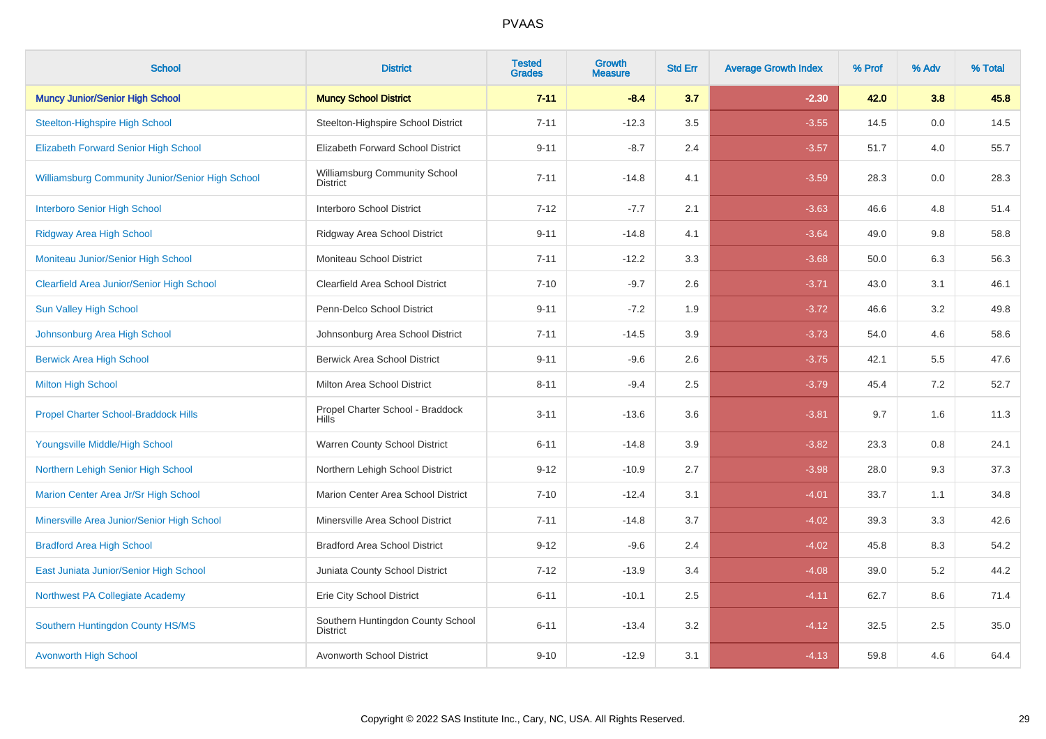| <b>School</b>                                           | <b>District</b>                                      | <b>Tested</b><br><b>Grades</b> | <b>Growth</b><br><b>Measure</b> | <b>Std Err</b> | <b>Average Growth Index</b> | % Prof | % Adv | % Total |
|---------------------------------------------------------|------------------------------------------------------|--------------------------------|---------------------------------|----------------|-----------------------------|--------|-------|---------|
| <b>Muncy Junior/Senior High School</b>                  | <b>Muncy School District</b>                         | $7 - 11$                       | $-8.4$                          | 3.7            | $-2.30$                     | 42.0   | 3.8   | 45.8    |
| <b>Steelton-Highspire High School</b>                   | Steelton-Highspire School District                   | $7 - 11$                       | $-12.3$                         | 3.5            | $-3.55$                     | 14.5   | 0.0   | 14.5    |
| <b>Elizabeth Forward Senior High School</b>             | Elizabeth Forward School District                    | $9 - 11$                       | $-8.7$                          | 2.4            | $-3.57$                     | 51.7   | 4.0   | 55.7    |
| <b>Williamsburg Community Junior/Senior High School</b> | Williamsburg Community School<br><b>District</b>     | $7 - 11$                       | $-14.8$                         | 4.1            | $-3.59$                     | 28.3   | 0.0   | 28.3    |
| <b>Interboro Senior High School</b>                     | Interboro School District                            | $7 - 12$                       | $-7.7$                          | 2.1            | $-3.63$                     | 46.6   | 4.8   | 51.4    |
| <b>Ridgway Area High School</b>                         | Ridgway Area School District                         | $9 - 11$                       | $-14.8$                         | 4.1            | $-3.64$                     | 49.0   | 9.8   | 58.8    |
| Moniteau Junior/Senior High School                      | Moniteau School District                             | $7 - 11$                       | $-12.2$                         | 3.3            | $-3.68$                     | 50.0   | 6.3   | 56.3    |
| <b>Clearfield Area Junior/Senior High School</b>        | Clearfield Area School District                      | $7 - 10$                       | $-9.7$                          | 2.6            | $-3.71$                     | 43.0   | 3.1   | 46.1    |
| <b>Sun Valley High School</b>                           | Penn-Delco School District                           | $9 - 11$                       | $-7.2$                          | 1.9            | $-3.72$                     | 46.6   | 3.2   | 49.8    |
| Johnsonburg Area High School                            | Johnsonburg Area School District                     | $7 - 11$                       | $-14.5$                         | 3.9            | $-3.73$                     | 54.0   | 4.6   | 58.6    |
| <b>Berwick Area High School</b>                         | <b>Berwick Area School District</b>                  | $9 - 11$                       | $-9.6$                          | 2.6            | $-3.75$                     | 42.1   | 5.5   | 47.6    |
| <b>Milton High School</b>                               | Milton Area School District                          | $8 - 11$                       | $-9.4$                          | 2.5            | $-3.79$                     | 45.4   | 7.2   | 52.7    |
| <b>Propel Charter School-Braddock Hills</b>             | Propel Charter School - Braddock<br><b>Hills</b>     | $3 - 11$                       | $-13.6$                         | 3.6            | $-3.81$                     | 9.7    | 1.6   | 11.3    |
| Youngsville Middle/High School                          | Warren County School District                        | $6 - 11$                       | $-14.8$                         | 3.9            | $-3.82$                     | 23.3   | 0.8   | 24.1    |
| Northern Lehigh Senior High School                      | Northern Lehigh School District                      | $9 - 12$                       | $-10.9$                         | 2.7            | $-3.98$                     | 28.0   | 9.3   | 37.3    |
| Marion Center Area Jr/Sr High School                    | Marion Center Area School District                   | $7 - 10$                       | $-12.4$                         | 3.1            | $-4.01$                     | 33.7   | 1.1   | 34.8    |
| Minersville Area Junior/Senior High School              | Minersville Area School District                     | $7 - 11$                       | $-14.8$                         | 3.7            | $-4.02$                     | 39.3   | 3.3   | 42.6    |
| <b>Bradford Area High School</b>                        | <b>Bradford Area School District</b>                 | $9 - 12$                       | $-9.6$                          | 2.4            | $-4.02$                     | 45.8   | 8.3   | 54.2    |
| East Juniata Junior/Senior High School                  | Juniata County School District                       | $7 - 12$                       | $-13.9$                         | 3.4            | $-4.08$                     | 39.0   | 5.2   | 44.2    |
| Northwest PA Collegiate Academy                         | Erie City School District                            | $6 - 11$                       | $-10.1$                         | 2.5            | $-4.11$                     | 62.7   | 8.6   | 71.4    |
| Southern Huntingdon County HS/MS                        | Southern Huntingdon County School<br><b>District</b> | $6 - 11$                       | $-13.4$                         | 3.2            | $-4.12$                     | 32.5   | 2.5   | 35.0    |
| <b>Avonworth High School</b>                            | Avonworth School District                            | $9 - 10$                       | $-12.9$                         | 3.1            | $-4.13$                     | 59.8   | 4.6   | 64.4    |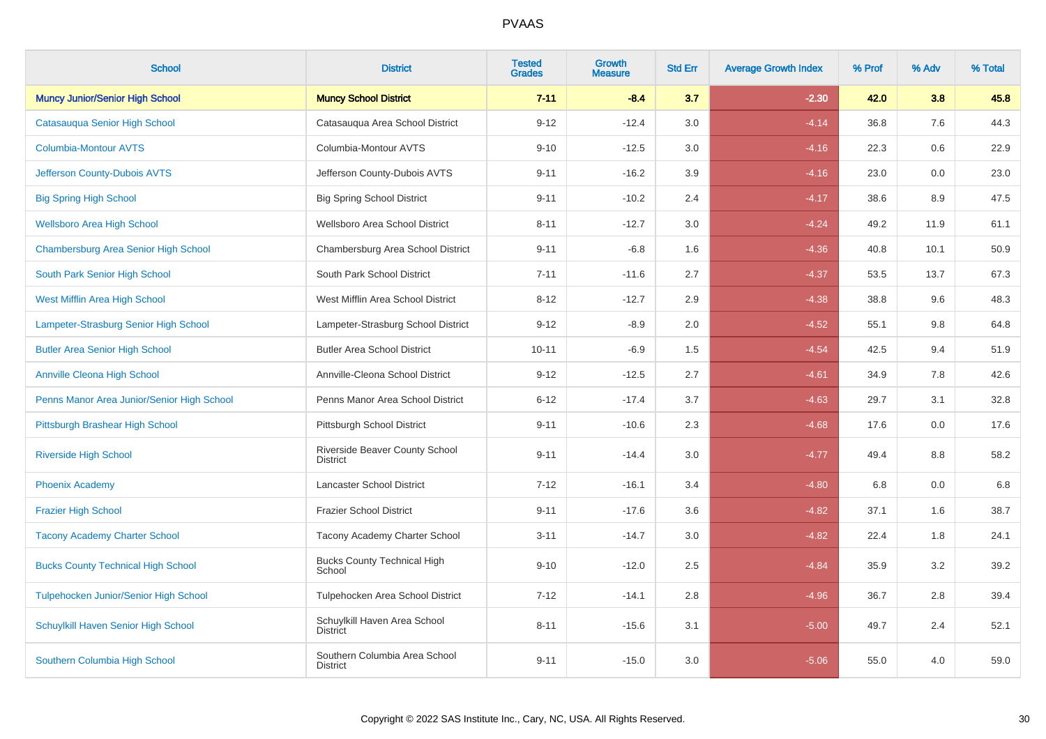| <b>School</b>                              | <b>District</b>                                  | <b>Tested</b><br><b>Grades</b> | Growth<br><b>Measure</b> | <b>Std Err</b> | <b>Average Growth Index</b> | % Prof | % Adv   | % Total |
|--------------------------------------------|--------------------------------------------------|--------------------------------|--------------------------|----------------|-----------------------------|--------|---------|---------|
| <b>Muncy Junior/Senior High School</b>     | <b>Muncy School District</b>                     | $7 - 11$                       | $-8.4$                   | 3.7            | $-2.30$                     | 42.0   | 3.8     | 45.8    |
| Catasauqua Senior High School              | Catasauqua Area School District                  | $9 - 12$                       | $-12.4$                  | 3.0            | $-4.14$                     | 36.8   | 7.6     | 44.3    |
| <b>Columbia-Montour AVTS</b>               | Columbia-Montour AVTS                            | $9 - 10$                       | $-12.5$                  | 3.0            | $-4.16$                     | 22.3   | 0.6     | 22.9    |
| Jefferson County-Dubois AVTS               | Jefferson County-Dubois AVTS                     | $9 - 11$                       | $-16.2$                  | 3.9            | $-4.16$                     | 23.0   | $0.0\,$ | 23.0    |
| <b>Big Spring High School</b>              | <b>Big Spring School District</b>                | $9 - 11$                       | $-10.2$                  | 2.4            | $-4.17$                     | 38.6   | 8.9     | 47.5    |
| <b>Wellsboro Area High School</b>          | Wellsboro Area School District                   | $8 - 11$                       | $-12.7$                  | 3.0            | $-4.24$                     | 49.2   | 11.9    | 61.1    |
| Chambersburg Area Senior High School       | Chambersburg Area School District                | $9 - 11$                       | $-6.8$                   | 1.6            | $-4.36$                     | 40.8   | 10.1    | 50.9    |
| South Park Senior High School              | South Park School District                       | $7 - 11$                       | $-11.6$                  | 2.7            | $-4.37$                     | 53.5   | 13.7    | 67.3    |
| West Mifflin Area High School              | West Mifflin Area School District                | $8 - 12$                       | $-12.7$                  | 2.9            | $-4.38$                     | 38.8   | 9.6     | 48.3    |
| Lampeter-Strasburg Senior High School      | Lampeter-Strasburg School District               | $9 - 12$                       | $-8.9$                   | 2.0            | $-4.52$                     | 55.1   | 9.8     | 64.8    |
| <b>Butler Area Senior High School</b>      | <b>Butler Area School District</b>               | $10 - 11$                      | $-6.9$                   | 1.5            | $-4.54$                     | 42.5   | 9.4     | 51.9    |
| <b>Annville Cleona High School</b>         | Annville-Cleona School District                  | $9 - 12$                       | $-12.5$                  | 2.7            | $-4.61$                     | 34.9   | 7.8     | 42.6    |
| Penns Manor Area Junior/Senior High School | Penns Manor Area School District                 | $6 - 12$                       | $-17.4$                  | 3.7            | $-4.63$                     | 29.7   | 3.1     | 32.8    |
| Pittsburgh Brashear High School            | Pittsburgh School District                       | $9 - 11$                       | $-10.6$                  | 2.3            | $-4.68$                     | 17.6   | 0.0     | 17.6    |
| <b>Riverside High School</b>               | Riverside Beaver County School<br>District       | $9 - 11$                       | $-14.4$                  | 3.0            | $-4.77$                     | 49.4   | 8.8     | 58.2    |
| <b>Phoenix Academy</b>                     | <b>Lancaster School District</b>                 | $7 - 12$                       | $-16.1$                  | 3.4            | $-4.80$                     | 6.8    | 0.0     | 6.8     |
| <b>Frazier High School</b>                 | <b>Frazier School District</b>                   | $9 - 11$                       | $-17.6$                  | 3.6            | $-4.82$                     | 37.1   | 1.6     | 38.7    |
| <b>Tacony Academy Charter School</b>       | Tacony Academy Charter School                    | $3 - 11$                       | $-14.7$                  | 3.0            | $-4.82$                     | 22.4   | 1.8     | 24.1    |
| <b>Bucks County Technical High School</b>  | <b>Bucks County Technical High</b><br>School     | $9 - 10$                       | $-12.0$                  | 2.5            | $-4.84$                     | 35.9   | 3.2     | 39.2    |
| Tulpehocken Junior/Senior High School      | Tulpehocken Area School District                 | $7 - 12$                       | $-14.1$                  | 2.8            | $-4.96$                     | 36.7   | 2.8     | 39.4    |
| Schuylkill Haven Senior High School        | Schuylkill Haven Area School<br><b>District</b>  | $8 - 11$                       | $-15.6$                  | 3.1            | $-5.00$                     | 49.7   | 2.4     | 52.1    |
| Southern Columbia High School              | Southern Columbia Area School<br><b>District</b> | $9 - 11$                       | $-15.0$                  | 3.0            | $-5.06$                     | 55.0   | 4.0     | 59.0    |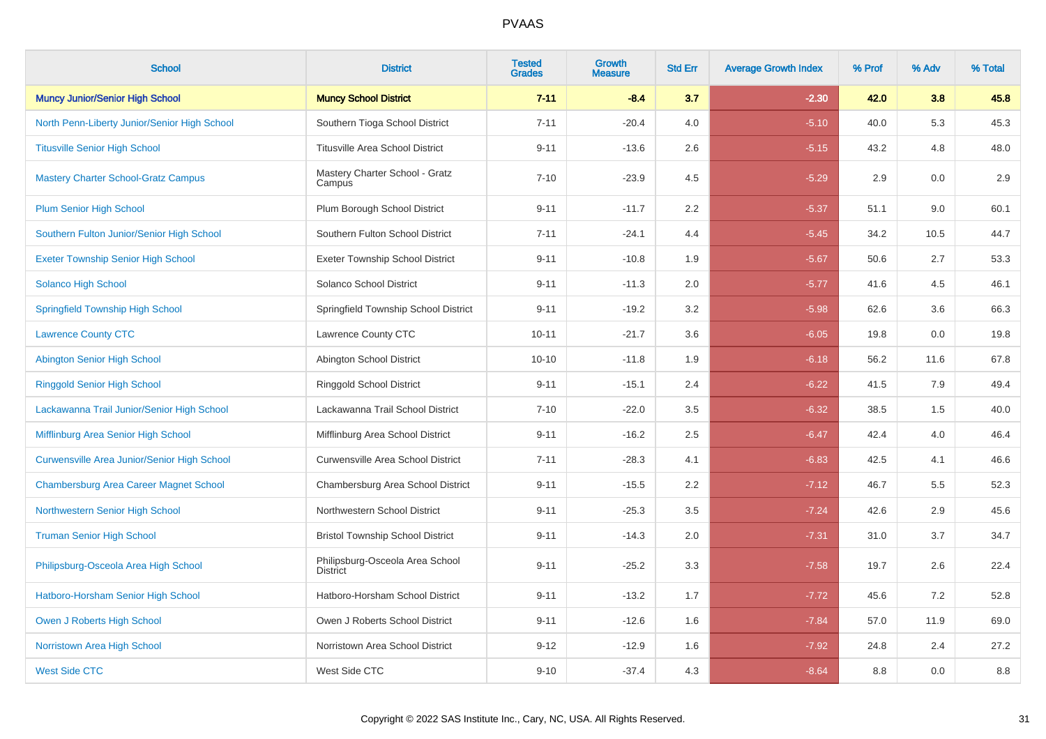| <b>School</b>                                      | <b>District</b>                                    | <b>Tested</b><br><b>Grades</b> | Growth<br><b>Measure</b> | <b>Std Err</b> | <b>Average Growth Index</b> | % Prof | % Adv | % Total |
|----------------------------------------------------|----------------------------------------------------|--------------------------------|--------------------------|----------------|-----------------------------|--------|-------|---------|
| <b>Muncy Junior/Senior High School</b>             | <b>Muncy School District</b>                       | $7 - 11$                       | $-8.4$                   | 3.7            | $-2.30$                     | 42.0   | 3.8   | 45.8    |
| North Penn-Liberty Junior/Senior High School       | Southern Tioga School District                     | $7 - 11$                       | $-20.4$                  | 4.0            | $-5.10$                     | 40.0   | 5.3   | 45.3    |
| <b>Titusville Senior High School</b>               | <b>Titusville Area School District</b>             | $9 - 11$                       | $-13.6$                  | 2.6            | $-5.15$                     | 43.2   | 4.8   | 48.0    |
| <b>Mastery Charter School-Gratz Campus</b>         | Mastery Charter School - Gratz<br>Campus           | $7 - 10$                       | $-23.9$                  | 4.5            | $-5.29$                     | 2.9    | 0.0   | 2.9     |
| <b>Plum Senior High School</b>                     | Plum Borough School District                       | $9 - 11$                       | $-11.7$                  | 2.2            | $-5.37$                     | 51.1   | 9.0   | 60.1    |
| Southern Fulton Junior/Senior High School          | Southern Fulton School District                    | $7 - 11$                       | $-24.1$                  | 4.4            | $-5.45$                     | 34.2   | 10.5  | 44.7    |
| <b>Exeter Township Senior High School</b>          | <b>Exeter Township School District</b>             | $9 - 11$                       | $-10.8$                  | 1.9            | $-5.67$                     | 50.6   | 2.7   | 53.3    |
| Solanco High School                                | Solanco School District                            | $9 - 11$                       | $-11.3$                  | 2.0            | $-5.77$                     | 41.6   | 4.5   | 46.1    |
| <b>Springfield Township High School</b>            | Springfield Township School District               | $9 - 11$                       | $-19.2$                  | 3.2            | $-5.98$                     | 62.6   | 3.6   | 66.3    |
| <b>Lawrence County CTC</b>                         | Lawrence County CTC                                | $10 - 11$                      | $-21.7$                  | 3.6            | $-6.05$                     | 19.8   | 0.0   | 19.8    |
| <b>Abington Senior High School</b>                 | Abington School District                           | $10 - 10$                      | $-11.8$                  | 1.9            | $-6.18$                     | 56.2   | 11.6  | 67.8    |
| <b>Ringgold Senior High School</b>                 | Ringgold School District                           | $9 - 11$                       | $-15.1$                  | 2.4            | $-6.22$                     | 41.5   | 7.9   | 49.4    |
| Lackawanna Trail Junior/Senior High School         | Lackawanna Trail School District                   | $7 - 10$                       | $-22.0$                  | 3.5            | $-6.32$                     | 38.5   | 1.5   | 40.0    |
| Mifflinburg Area Senior High School                | Mifflinburg Area School District                   | $9 - 11$                       | $-16.2$                  | 2.5            | $-6.47$                     | 42.4   | 4.0   | 46.4    |
| <b>Curwensville Area Junior/Senior High School</b> | Curwensville Area School District                  | $7 - 11$                       | $-28.3$                  | 4.1            | $-6.83$                     | 42.5   | 4.1   | 46.6    |
| <b>Chambersburg Area Career Magnet School</b>      | Chambersburg Area School District                  | $9 - 11$                       | $-15.5$                  | 2.2            | $-7.12$                     | 46.7   | 5.5   | 52.3    |
| Northwestern Senior High School                    | Northwestern School District                       | $9 - 11$                       | $-25.3$                  | 3.5            | $-7.24$                     | 42.6   | 2.9   | 45.6    |
| <b>Truman Senior High School</b>                   | <b>Bristol Township School District</b>            | $9 - 11$                       | $-14.3$                  | 2.0            | $-7.31$                     | 31.0   | 3.7   | 34.7    |
| Philipsburg-Osceola Area High School               | Philipsburg-Osceola Area School<br><b>District</b> | $9 - 11$                       | $-25.2$                  | 3.3            | $-7.58$                     | 19.7   | 2.6   | 22.4    |
| Hatboro-Horsham Senior High School                 | Hatboro-Horsham School District                    | $9 - 11$                       | $-13.2$                  | 1.7            | $-7.72$                     | 45.6   | 7.2   | 52.8    |
| Owen J Roberts High School                         | Owen J Roberts School District                     | $9 - 11$                       | $-12.6$                  | 1.6            | $-7.84$                     | 57.0   | 11.9  | 69.0    |
| Norristown Area High School                        | Norristown Area School District                    | $9 - 12$                       | $-12.9$                  | 1.6            | $-7.92$                     | 24.8   | 2.4   | 27.2    |
| <b>West Side CTC</b>                               | West Side CTC                                      | $9 - 10$                       | $-37.4$                  | 4.3            | $-8.64$                     | 8.8    | 0.0   | 8.8     |